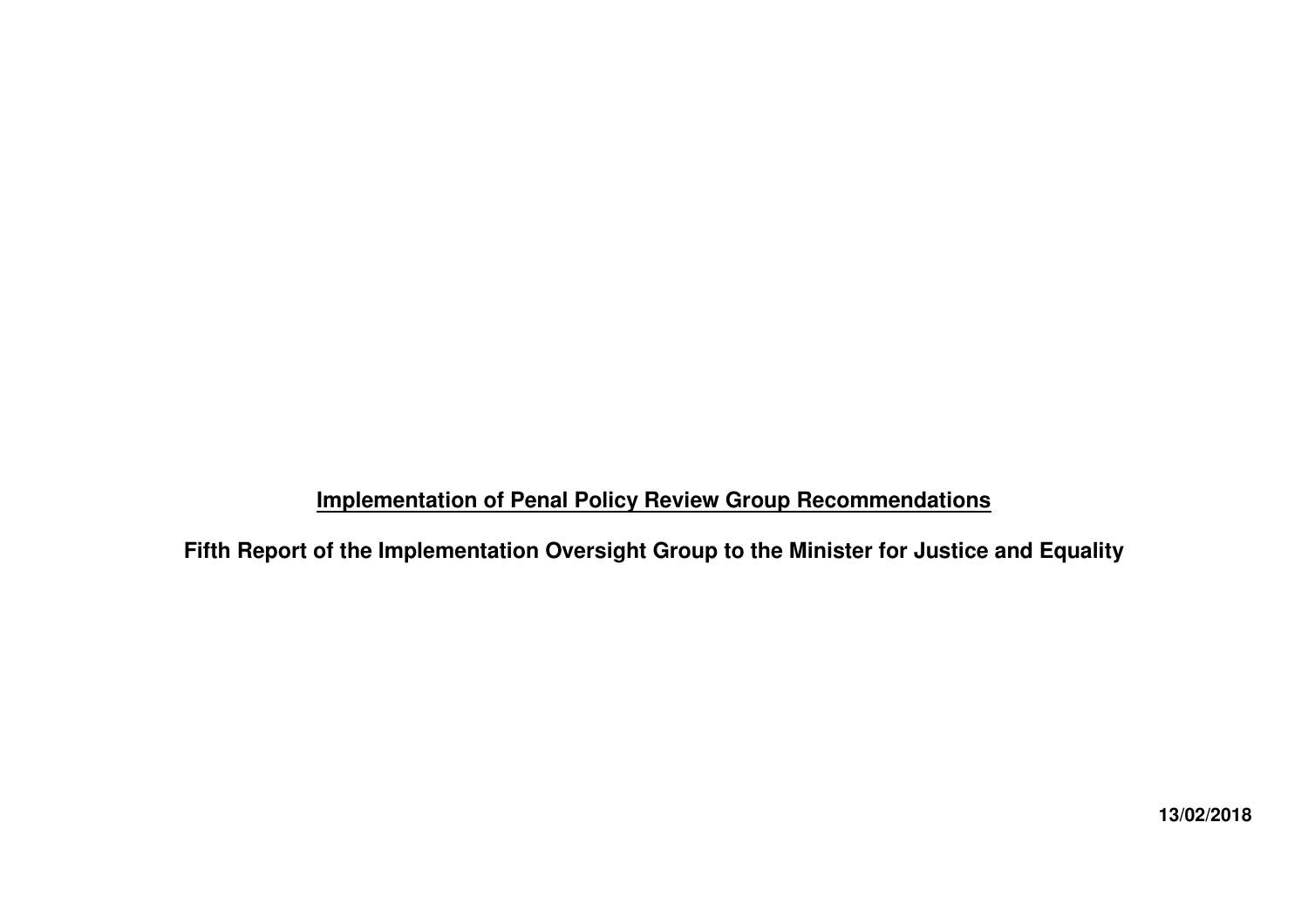# **Implementation of Penal Policy Review Group Recommendations**

**Fifth Report of the Implementation Oversight Group to the Minister for Justice and Equality**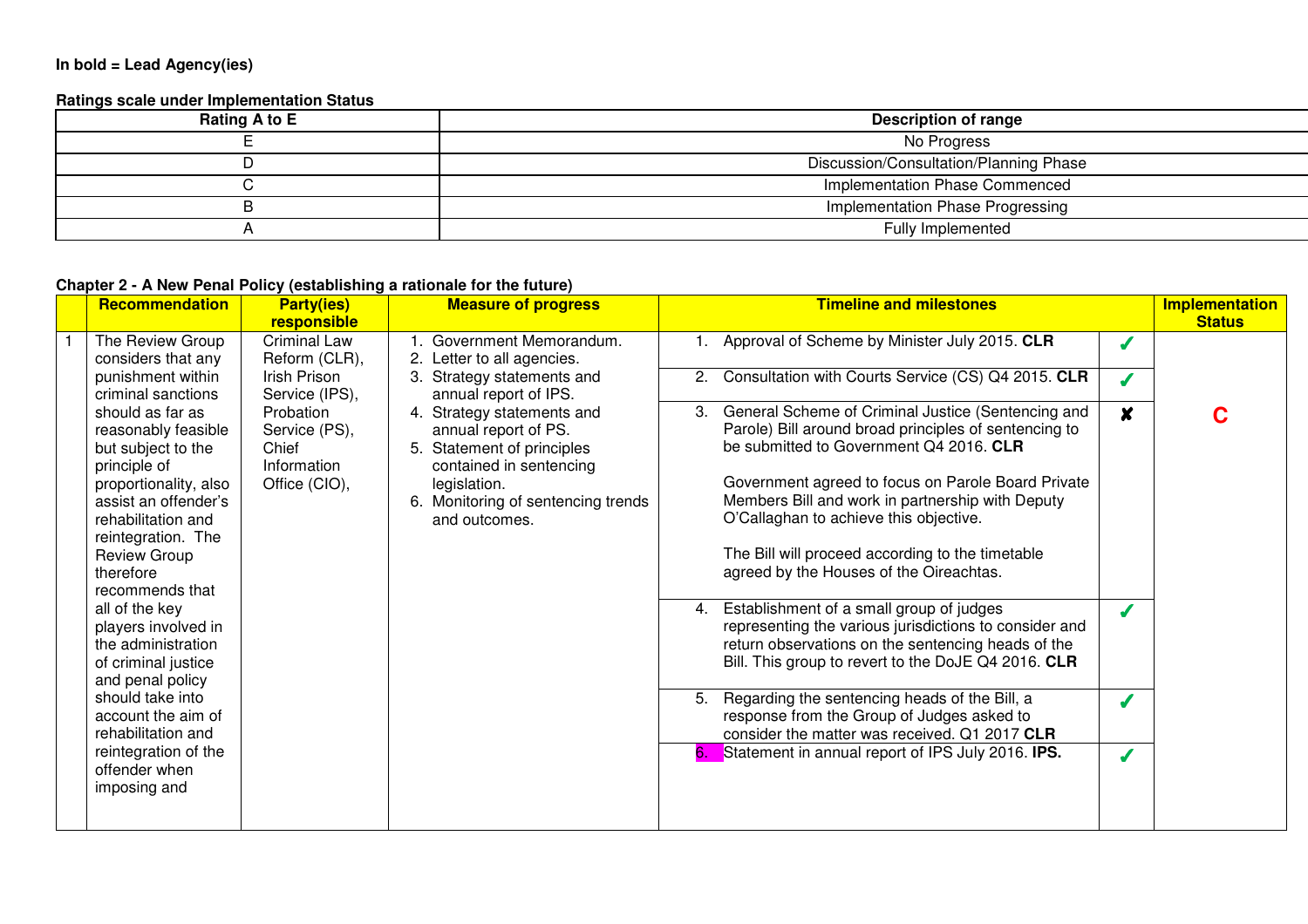#### **In bold = Lead Agency(ies)**

#### **Ratings scale under Implementation Status**

| Rating A to E | Description of range                   |
|---------------|----------------------------------------|
|               | No Progress                            |
|               | Discussion/Consultation/Planning Phase |
|               | Implementation Phase Commenced         |
|               | Implementation Phase Progressing       |
|               | Fully Implemented                      |

### **Chapter 2 - A New Penal Policy (establishing a rationale for the future)**

| <b>Recommendation</b>                                                                                                                                                                                                                                                      | <b>Party(ies)</b><br>responsible                                    | <b>Measure of progress</b>                                                                                                                                                      | <b>Timeline and milestones</b>                                                                                                                                                                                                                                                                                                                                                                                                                                                                                              |                  | <b>Implementation</b><br><b>Status</b> |
|----------------------------------------------------------------------------------------------------------------------------------------------------------------------------------------------------------------------------------------------------------------------------|---------------------------------------------------------------------|---------------------------------------------------------------------------------------------------------------------------------------------------------------------------------|-----------------------------------------------------------------------------------------------------------------------------------------------------------------------------------------------------------------------------------------------------------------------------------------------------------------------------------------------------------------------------------------------------------------------------------------------------------------------------------------------------------------------------|------------------|----------------------------------------|
| The Review Group<br>considers that any                                                                                                                                                                                                                                     | <b>Criminal Law</b><br>Reform (CLR),                                | Government Memorandum.<br>2. Letter to all agencies.                                                                                                                            | Approval of Scheme by Minister July 2015. CLR                                                                                                                                                                                                                                                                                                                                                                                                                                                                               |                  |                                        |
| punishment within<br>criminal sanctions                                                                                                                                                                                                                                    | Irish Prison<br>Service (IPS),                                      | Strategy statements and<br>annual report of IPS.                                                                                                                                | Consultation with Courts Service (CS) Q4 2015. CLR<br>2.                                                                                                                                                                                                                                                                                                                                                                                                                                                                    |                  |                                        |
| should as far as<br>reasonably feasible<br>but subject to the<br>principle of<br>proportionality, also<br>assist an offender's<br>rehabilitation and<br>reintegration. The<br><b>Review Group</b><br>therefore<br>recommends that<br>all of the key<br>players involved in | Probation<br>Service (PS),<br>Chief<br>Information<br>Office (CIO), | 4. Strategy statements and<br>annual report of PS.<br>5. Statement of principles<br>contained in sentencing<br>legislation.<br>Monitoring of sentencing trends<br>and outcomes. | General Scheme of Criminal Justice (Sentencing and<br>3.<br>Parole) Bill around broad principles of sentencing to<br>be submitted to Government Q4 2016. CLR<br>Government agreed to focus on Parole Board Private<br>Members Bill and work in partnership with Deputy<br>O'Callaghan to achieve this objective.<br>The Bill will proceed according to the timetable<br>agreed by the Houses of the Oireachtas.<br>Establishment of a small group of judges<br>4.<br>representing the various jurisdictions to consider and | $\boldsymbol{x}$ |                                        |
| the administration<br>of criminal justice<br>and penal policy<br>should take into<br>account the aim of<br>rehabilitation and                                                                                                                                              |                                                                     |                                                                                                                                                                                 | return observations on the sentencing heads of the<br>Bill. This group to revert to the DoJE Q4 2016. CLR<br>Regarding the sentencing heads of the Bill, a<br>5.<br>response from the Group of Judges asked to<br>consider the matter was received. Q1 2017 CLR                                                                                                                                                                                                                                                             |                  |                                        |
| reintegration of the<br>offender when<br>imposing and                                                                                                                                                                                                                      |                                                                     |                                                                                                                                                                                 | Statement in annual report of IPS July 2016. IPS.<br>6.                                                                                                                                                                                                                                                                                                                                                                                                                                                                     |                  |                                        |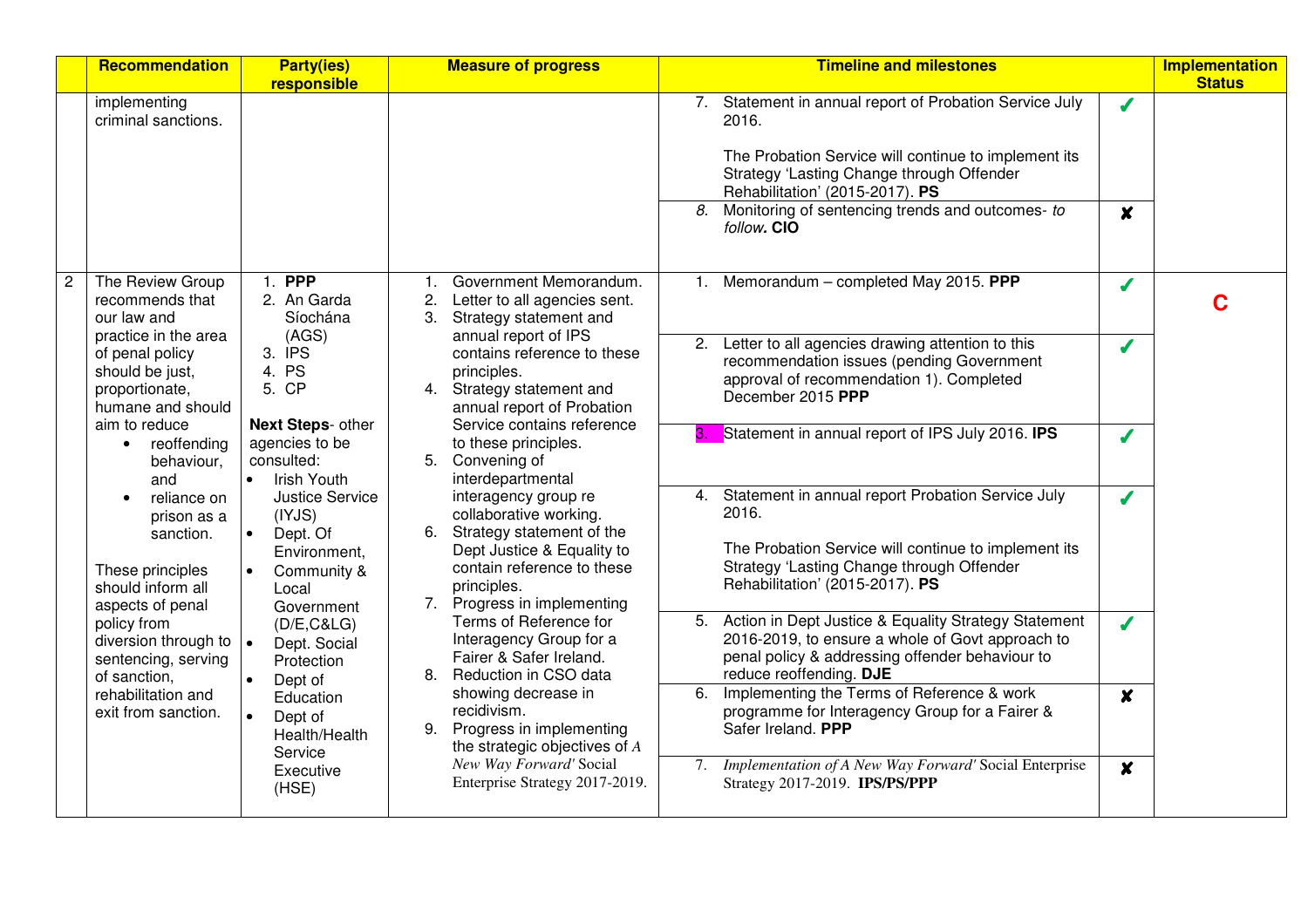| <b>Recommendation</b>                                                                                             | <b>Party(ies)</b><br>responsible                                                                                | <b>Measure of progress</b>                                                                                                                                                               | <b>Timeline and milestones</b>                                                                                                                                                                                                                                                                             | <b>Implementation</b><br><b>Status</b> |
|-------------------------------------------------------------------------------------------------------------------|-----------------------------------------------------------------------------------------------------------------|------------------------------------------------------------------------------------------------------------------------------------------------------------------------------------------|------------------------------------------------------------------------------------------------------------------------------------------------------------------------------------------------------------------------------------------------------------------------------------------------------------|----------------------------------------|
| implementing<br>criminal sanctions.                                                                               |                                                                                                                 |                                                                                                                                                                                          | 7. Statement in annual report of Probation Service July<br>Í<br>2016.<br>The Probation Service will continue to implement its<br>Strategy 'Lasting Change through Offender<br>Rehabilitation' (2015-2017). PS<br>8.<br>Monitoring of sentencing trends and outcomes- to<br>$\boldsymbol{x}$<br>follow. CIO |                                        |
| The Review Group<br>recommends that<br>our law and<br>practice in the area                                        | 1. PPP<br>2. An Garda<br>Síochána<br>(AGS)                                                                      | Government Memorandum.<br>1.<br>Letter to all agencies sent.<br>2.<br>3. Strategy statement and<br>annual report of IPS                                                                  | 1. Memorandum - completed May 2015. PPP<br>Í                                                                                                                                                                                                                                                               | C                                      |
| of penal policy<br>should be just,<br>proportionate,<br>humane and should                                         | 3. IPS<br>4. PS<br>5. CP                                                                                        | contains reference to these<br>principles.<br>4. Strategy statement and<br>annual report of Probation                                                                                    | Letter to all agencies drawing attention to this<br>2.<br>J<br>recommendation issues (pending Government<br>approval of recommendation 1). Completed<br>December 2015 PPP                                                                                                                                  |                                        |
| aim to reduce<br>reoffending<br>$\bullet$<br>behaviour,<br>and                                                    | Next Steps- other<br>agencies to be<br>consulted:<br><b>Irish Youth</b><br>$\bullet$                            | Service contains reference<br>to these principles.<br>5. Convening of<br>interdepartmental                                                                                               | 3. Statement in annual report of IPS July 2016. IPS<br>Í                                                                                                                                                                                                                                                   |                                        |
| reliance on<br>$\bullet$<br>prison as a<br>sanction.<br>These principles<br>should inform all<br>aspects of penal | <b>Justice Service</b><br>(IVJS)<br>$\bullet$<br>Dept. Of<br>Environment,<br>Community &<br>Local<br>Government | interagency group re<br>collaborative working.<br>6. Strategy statement of the<br>Dept Justice & Equality to<br>contain reference to these<br>principles.<br>7. Progress in implementing | 4. Statement in annual report Probation Service July<br>Í<br>2016.<br>The Probation Service will continue to implement its<br>Strategy 'Lasting Change through Offender<br>Rehabilitation' (2015-2017). PS                                                                                                 |                                        |
| policy from<br>diversion through to $\vert \bullet \vert$<br>sentencing, serving<br>of sanction,                  | (D/E, C&LG)<br>Dept. Social<br>Protection<br>Dept of                                                            | Terms of Reference for<br>Interagency Group for a<br>Fairer & Safer Ireland.<br>8. Reduction in CSO data                                                                                 | Action in Dept Justice & Equality Strategy Statement<br>5.<br>$\overline{\mathcal{L}}$<br>2016-2019, to ensure a whole of Govt approach to<br>penal policy & addressing offender behaviour to<br>reduce reoffending. DJE                                                                                   |                                        |
| rehabilitation and<br>exit from sanction.                                                                         | Education<br>Dept of<br>$\bullet$<br>Health/Health<br>Service                                                   | showing decrease in<br>recidivism.<br>9. Progress in implementing<br>the strategic objectives of A                                                                                       | Implementing the Terms of Reference & work<br>6.<br>$\boldsymbol{x}$<br>programme for Interagency Group for a Fairer &<br>Safer Ireland. PPP                                                                                                                                                               |                                        |
|                                                                                                                   | Executive<br>(HSE)                                                                                              | New Way Forward' Social<br>Enterprise Strategy 2017-2019.                                                                                                                                | 7. Implementation of A New Way Forward' Social Enterprise<br>$\boldsymbol{x}$<br>Strategy 2017-2019. IPS/PS/PPP                                                                                                                                                                                            |                                        |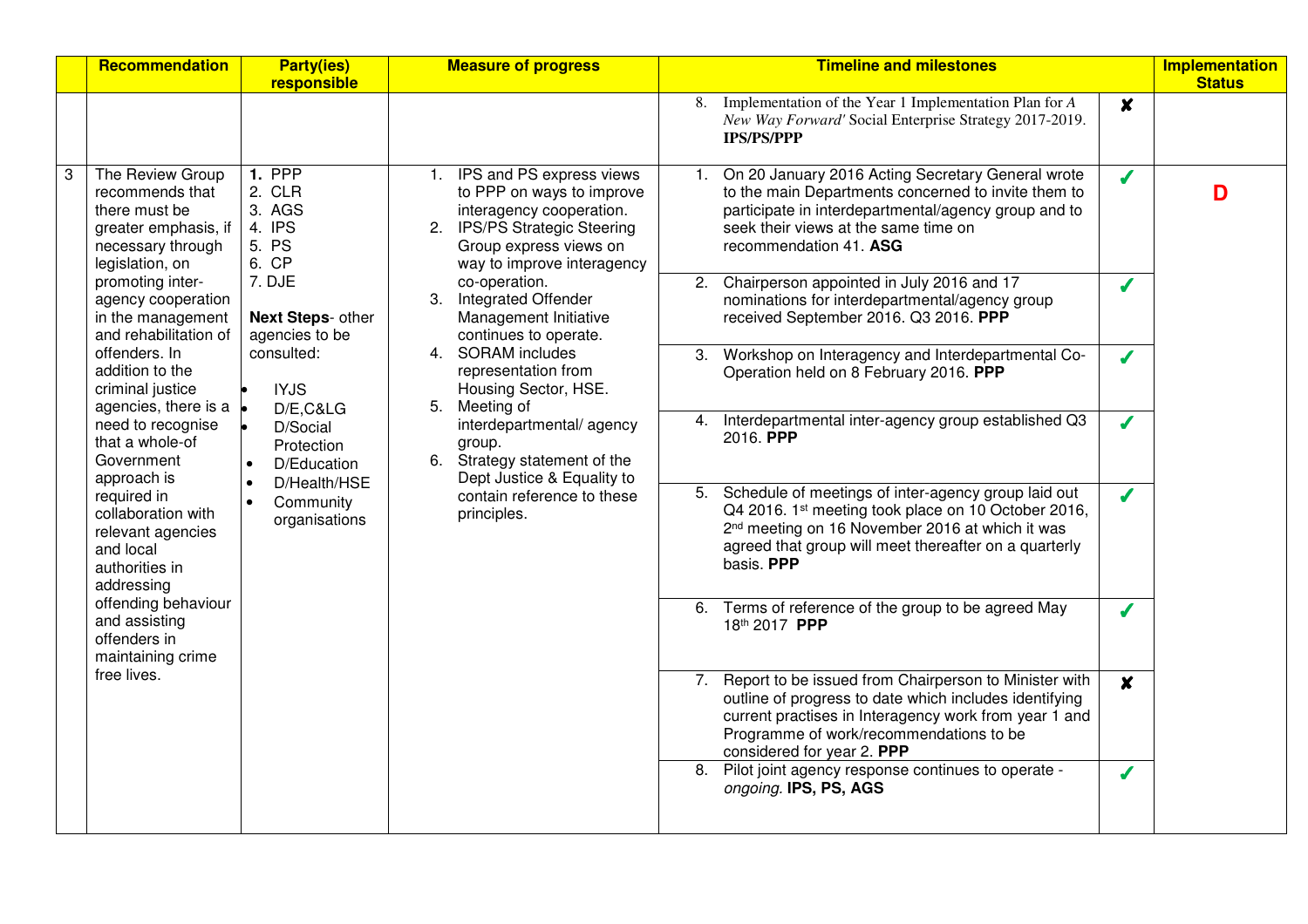|   | Recommendation                                                                                                       | <b>Party(ies)</b><br>responsible                                                | <b>Measure of progress</b>                                                                                                                                                   | <b>Timeline and milestones</b>                                                                                                                                                                                                                                           | <b>Implementation</b><br><b>Status</b> |
|---|----------------------------------------------------------------------------------------------------------------------|---------------------------------------------------------------------------------|------------------------------------------------------------------------------------------------------------------------------------------------------------------------------|--------------------------------------------------------------------------------------------------------------------------------------------------------------------------------------------------------------------------------------------------------------------------|----------------------------------------|
|   |                                                                                                                      |                                                                                 |                                                                                                                                                                              | 8. Implementation of the Year 1 Implementation Plan for A<br>$\boldsymbol{x}$<br>New Way Forward' Social Enterprise Strategy 2017-2019.<br><b>IPS/PS/PPP</b>                                                                                                             |                                        |
| 3 | The Review Group<br>recommends that<br>there must be<br>greater emphasis, if<br>necessary through<br>legislation, on | <b>1. PPP</b><br>2. CLR<br>3. AGS<br>4. IPS<br>5. PS<br>6. CP                   | 1. IPS and PS express views<br>to PPP on ways to improve<br>interagency cooperation.<br>2. IPS/PS Strategic Steering<br>Group express views on<br>way to improve interagency | On 20 January 2016 Acting Secretary General wrote<br>$\boldsymbol{J}$<br>to the main Departments concerned to invite them to<br>participate in interdepartmental/agency group and to<br>seek their views at the same time on<br>recommendation 41. ASG                   | D                                      |
|   | promoting inter-<br>agency cooperation<br>in the management<br>and rehabilitation of                                 | 7. DJE<br><b>Next Steps- other</b><br>agencies to be                            | co-operation.<br>3. Integrated Offender<br>Management Initiative<br>continues to operate.                                                                                    | 2. Chairperson appointed in July 2016 and 17<br>Í<br>nominations for interdepartmental/agency group<br>received September 2016. Q3 2016. PPP                                                                                                                             |                                        |
|   | offenders. In<br>addition to the<br>criminal justice<br>agencies, there is a                                         | consulted:<br><b>IYJS</b><br>D/E,C&LG                                           | 4. SORAM includes<br>representation from<br>Housing Sector, HSE.<br>5.<br>Meeting of                                                                                         | 3. Workshop on Interagency and Interdepartmental Co-<br>J<br>Operation held on 8 February 2016. PPP                                                                                                                                                                      |                                        |
|   | need to recognise<br>that a whole-of<br>Government<br>approach is                                                    | D/Social<br>Protection<br>D/Education<br>$\bullet$<br>D/Health/HSE<br>$\bullet$ | interdepartmental/agency<br>group.<br>Strategy statement of the<br>6.<br>Dept Justice & Equality to                                                                          | Interdepartmental inter-agency group established Q3<br>4.<br>J<br>2016. PPP                                                                                                                                                                                              |                                        |
|   | required in<br>collaboration with<br>relevant agencies<br>and local<br>authorities in<br>addressing                  | Community<br>organisations                                                      | contain reference to these<br>principles.                                                                                                                                    | 5. Schedule of meetings of inter-agency group laid out<br>J<br>Q4 2016. 1st meeting took place on 10 October 2016,<br>2 <sup>nd</sup> meeting on 16 November 2016 at which it was<br>agreed that group will meet thereafter on a quarterly<br>basis. PPP                 |                                        |
|   | offending behaviour<br>and assisting<br>offenders in<br>maintaining crime                                            |                                                                                 |                                                                                                                                                                              | 6. Terms of reference of the group to be agreed May<br>J<br>18th 2017 PPP                                                                                                                                                                                                |                                        |
|   | free lives.                                                                                                          |                                                                                 |                                                                                                                                                                              | 7. Report to be issued from Chairperson to Minister with<br>$\boldsymbol{x}$<br>outline of progress to date which includes identifying<br>current practises in Interagency work from year 1 and<br>Programme of work/recommendations to be<br>considered for year 2. PPP |                                        |
|   |                                                                                                                      |                                                                                 |                                                                                                                                                                              | 8. Pilot joint agency response continues to operate -<br>ongoing. IPS, PS, AGS                                                                                                                                                                                           |                                        |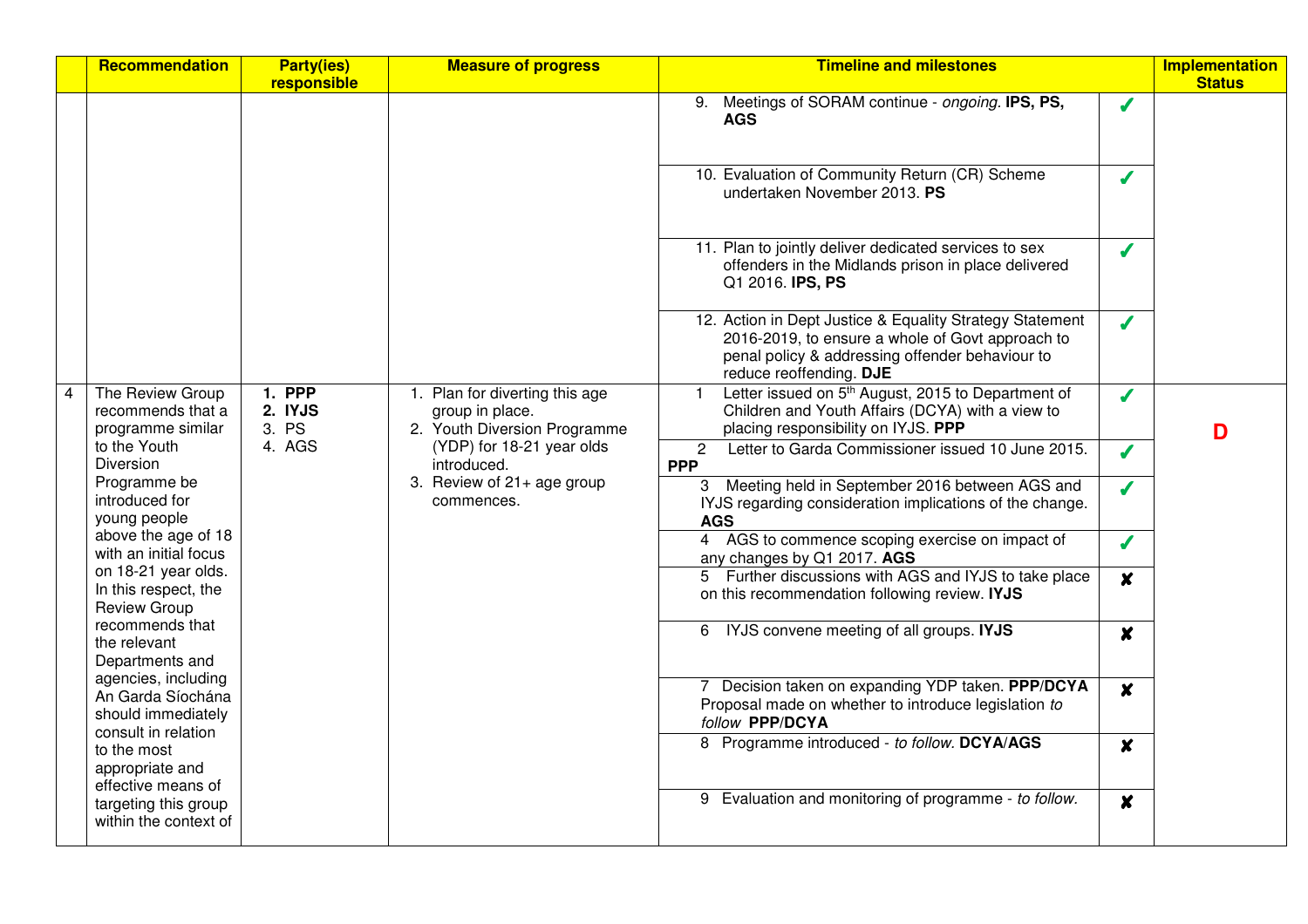|                | Recommendation                                                      | <b>Party(ies)</b><br>responsible         | <b>Measure of progress</b>                                                        | <b>Timeline and milestones</b>                                                                                                                                                             |                          | <b>Implementation</b><br><b>Status</b> |
|----------------|---------------------------------------------------------------------|------------------------------------------|-----------------------------------------------------------------------------------|--------------------------------------------------------------------------------------------------------------------------------------------------------------------------------------------|--------------------------|----------------------------------------|
|                |                                                                     |                                          |                                                                                   | Meetings of SORAM continue - ongoing. IPS, PS,<br>9.<br><b>AGS</b>                                                                                                                         | J                        |                                        |
|                |                                                                     |                                          |                                                                                   | 10. Evaluation of Community Return (CR) Scheme<br>undertaken November 2013. PS                                                                                                             | $\boldsymbol{J}$         |                                        |
|                |                                                                     |                                          |                                                                                   | 11. Plan to jointly deliver dedicated services to sex<br>offenders in the Midlands prison in place delivered<br>Q1 2016. IPS, PS                                                           | J                        |                                        |
|                |                                                                     |                                          |                                                                                   | 12. Action in Dept Justice & Equality Strategy Statement<br>2016-2019, to ensure a whole of Govt approach to<br>penal policy & addressing offender behaviour to<br>reduce reoffending. DJE | $\boldsymbol{J}$         |                                        |
| $\overline{4}$ | The Review Group<br>recommends that a<br>programme similar          | <b>1. PPP</b><br>2. IYJS<br>3. PS        | 1. Plan for diverting this age<br>group in place.<br>2. Youth Diversion Programme | Letter issued on 5 <sup>th</sup> August, 2015 to Department of<br>Children and Youth Affairs (DCYA) with a view to<br>placing responsibility on IYJS. PPP                                  | $\boldsymbol{J}$         | D                                      |
|                | to the Youth<br>4. AGS<br>Diversion                                 | (YDP) for 18-21 year olds<br>introduced. | Letter to Garda Commissioner issued 10 June 2015.<br>$\mathbf{2}$<br><b>PPP</b>   | $\boldsymbol{J}$                                                                                                                                                                           |                          |                                        |
|                | Programme be<br>introduced for<br>young people                      |                                          | 3. Review of 21+ age group<br>commences.                                          | 3 Meeting held in September 2016 between AGS and<br>IYJS regarding consideration implications of the change.<br><b>AGS</b>                                                                 | $\overline{\mathcal{L}}$ |                                        |
|                | above the age of 18<br>with an initial focus                        |                                          |                                                                                   | 4 AGS to commence scoping exercise on impact of<br>any changes by Q1 2017. AGS                                                                                                             | $\boldsymbol{J}$         |                                        |
|                | on 18-21 year olds.<br>In this respect, the<br><b>Review Group</b>  |                                          |                                                                                   | 5 Further discussions with AGS and IYJS to take place<br>on this recommendation following review. IYJS                                                                                     | $\boldsymbol{x}$         |                                        |
|                | recommends that<br>the relevant<br>Departments and                  |                                          |                                                                                   | 6 IYJS convene meeting of all groups. IYJS                                                                                                                                                 | $\boldsymbol{x}$         |                                        |
|                | agencies, including<br>An Garda Síochána<br>should immediately      |                                          |                                                                                   | 7 Decision taken on expanding YDP taken. PPP/DCYA<br>Proposal made on whether to introduce legislation to<br>follow PPP/DCYA                                                               | $\boldsymbol{x}$         |                                        |
|                | consult in relation<br>to the most<br>appropriate and               |                                          |                                                                                   | 8 Programme introduced - to follow. DCYA/AGS                                                                                                                                               | $\boldsymbol{x}$         |                                        |
|                | effective means of<br>targeting this group<br>within the context of |                                          |                                                                                   | 9 Evaluation and monitoring of programme - to follow.                                                                                                                                      | $\boldsymbol{x}$         |                                        |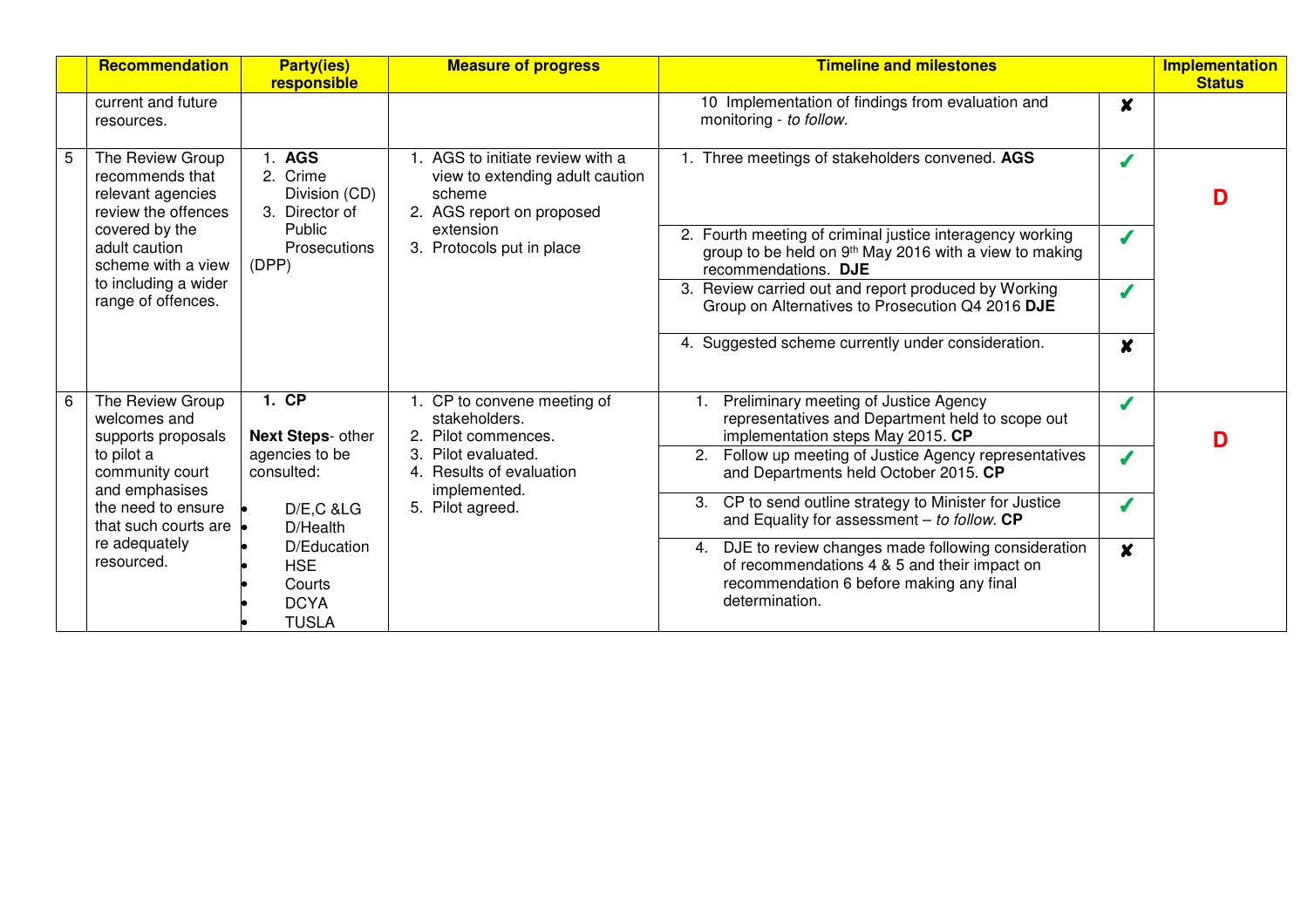| Recommendation                                                                  | <b>Party(ies)</b><br>responsible                                   | <b>Measure of progress</b>                                                                                 | <b>Timeline and milestones</b>                                                                                                                                      |                  | <b>Implementation</b><br><b>Status</b> |
|---------------------------------------------------------------------------------|--------------------------------------------------------------------|------------------------------------------------------------------------------------------------------------|---------------------------------------------------------------------------------------------------------------------------------------------------------------------|------------------|----------------------------------------|
| current and future<br>resources.                                                |                                                                    |                                                                                                            | 10 Implementation of findings from evaluation and<br>monitoring - to follow.                                                                                        | $\boldsymbol{x}$ |                                        |
| The Review Group<br>recommends that<br>relevant agencies<br>review the offences | . AGS<br>2. Crime<br>Division (CD)<br>3. Director of               | 1. AGS to initiate review with a<br>view to extending adult caution<br>scheme<br>2. AGS report on proposed | 1. Three meetings of stakeholders convened. AGS                                                                                                                     |                  | D                                      |
| covered by the<br>adult caution<br>scheme with a view                           | Public<br>Prosecutions<br>(DPP)                                    | extension<br>3. Protocols put in place                                                                     | 2. Fourth meeting of criminal justice interagency working<br>group to be held on 9 <sup>th</sup> May 2016 with a view to making<br>recommendations. DJE             |                  |                                        |
| to including a wider<br>range of offences.                                      |                                                                    |                                                                                                            | 3. Review carried out and report produced by Working<br>Group on Alternatives to Prosecution Q4 2016 DJE                                                            |                  |                                        |
|                                                                                 |                                                                    |                                                                                                            | 4. Suggested scheme currently under consideration.                                                                                                                  | $\boldsymbol{x}$ |                                        |
| The Review Group<br>welcomes and<br>supports proposals                          | 1. CP<br>Next Steps- other                                         | 1. CP to convene meeting of<br>stakeholders.<br>2. Pilot commences.                                        | Preliminary meeting of Justice Agency<br>representatives and Department held to scope out<br>implementation steps May 2015. CP                                      |                  | D                                      |
| to pilot a<br>community court<br>and emphasises                                 | agencies to be<br>consulted:                                       | Pilot evaluated.<br>Results of evaluation<br>4<br>implemented.                                             | 2. Follow up meeting of Justice Agency representatives<br>and Departments held October 2015. CP                                                                     |                  |                                        |
| the need to ensure<br>that such courts are                                      | $D/E$ , $C$ & $LG$<br>D/Health                                     | 5. Pilot agreed.                                                                                           | 3. CP to send outline strategy to Minister for Justice<br>and Equality for assessment $-$ to follow. CP                                                             |                  |                                        |
| re adequately<br>resourced.                                                     | D/Education<br><b>HSE</b><br>Courts<br><b>DCYA</b><br><b>TUSLA</b> |                                                                                                            | 4. DJE to review changes made following consideration<br>of recommendations 4 & 5 and their impact on<br>recommendation 6 before making any final<br>determination. | $\mathbf{x}$     |                                        |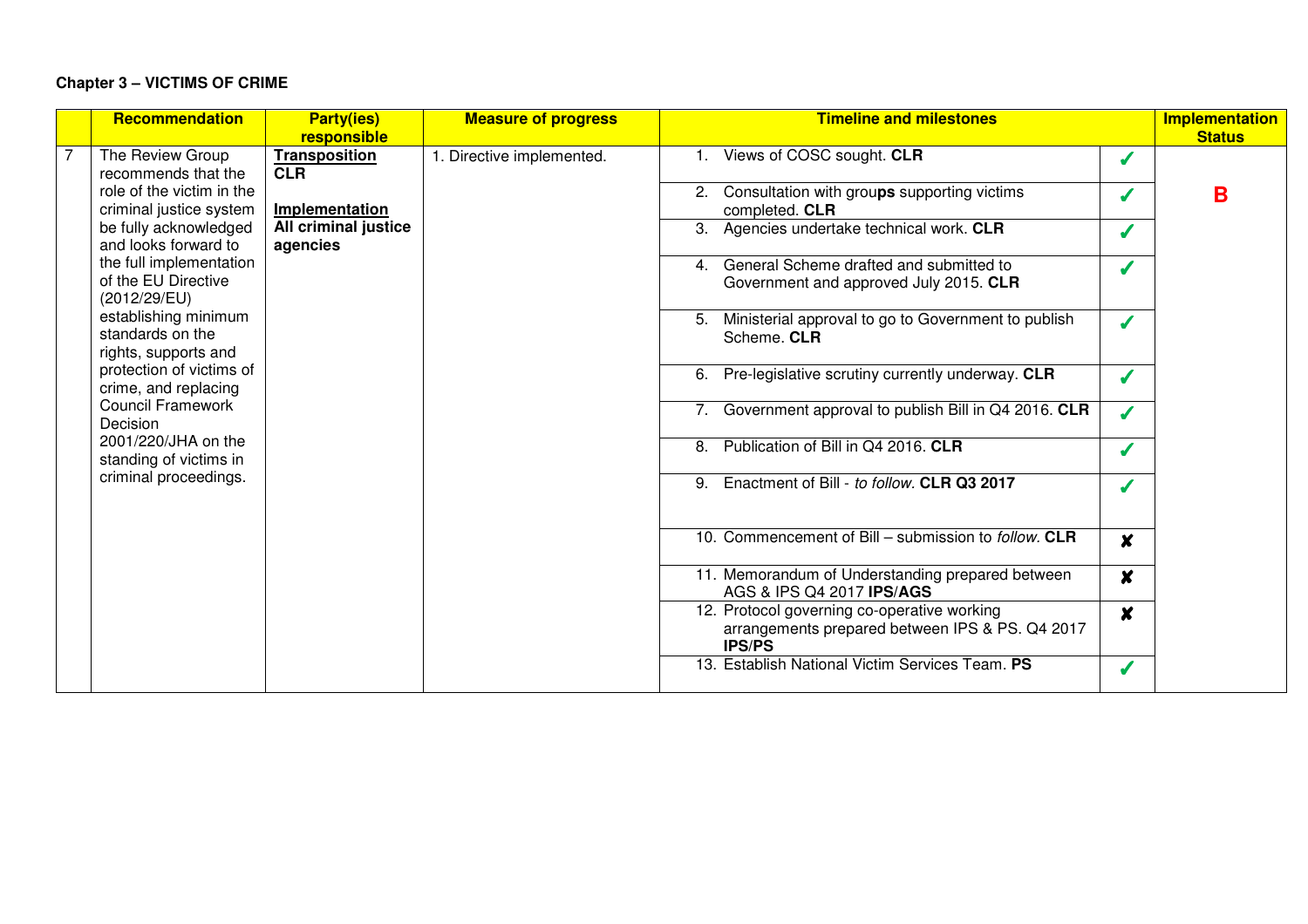## **Chapter 3 – VICTIMS OF CRIME**

| <b>Recommendation</b>                                            | <b>Party(ies)</b>                   | <b>Measure of progress</b> | <b>Timeline and milestones</b>                                                                                  |                  | Implementation<br><b>Status</b> |
|------------------------------------------------------------------|-------------------------------------|----------------------------|-----------------------------------------------------------------------------------------------------------------|------------------|---------------------------------|
| The Review Group                                                 | responsible<br><b>Transposition</b> | 1. Directive implemented.  | 1. Views of COSC sought. CLR                                                                                    |                  |                                 |
| recommends that the                                              | <b>CLR</b>                          |                            |                                                                                                                 |                  |                                 |
| role of the victim in the                                        |                                     |                            | 2. Consultation with groups supporting victims                                                                  |                  | в                               |
| criminal justice system                                          | Implementation                      |                            | completed. CLR                                                                                                  |                  |                                 |
| be fully acknowledged                                            | All criminal justice                |                            | 3. Agencies undertake technical work. CLR                                                                       |                  |                                 |
| and looks forward to                                             | agencies                            |                            |                                                                                                                 |                  |                                 |
| the full implementation<br>of the EU Directive<br>(2012/29/EU)   |                                     |                            | General Scheme drafted and submitted to<br>$\overline{4}$<br>Government and approved July 2015. CLR             |                  |                                 |
| establishing minimum<br>standards on the<br>rights, supports and |                                     |                            | Ministerial approval to go to Government to publish<br>5.<br>Scheme. CLR                                        |                  |                                 |
| protection of victims of<br>crime, and replacing                 |                                     |                            | Pre-legislative scrutiny currently underway. CLR<br>6.                                                          |                  |                                 |
| <b>Council Framework</b><br>Decision                             |                                     |                            | 7. Government approval to publish Bill in Q4 2016. CLR                                                          | $\boldsymbol{J}$ |                                 |
| 2001/220/JHA on the<br>standing of victims in                    |                                     |                            | Publication of Bill in Q4 2016. CLR<br>8.                                                                       |                  |                                 |
| criminal proceedings.                                            |                                     |                            | Enactment of Bill - to follow. CLR Q3 2017<br>9.                                                                |                  |                                 |
|                                                                  |                                     |                            | 10. Commencement of Bill - submission to follow. CLR                                                            | $\boldsymbol{x}$ |                                 |
|                                                                  |                                     |                            | 11. Memorandum of Understanding prepared between<br>AGS & IPS Q4 2017 IPS/AGS                                   | $\boldsymbol{x}$ |                                 |
|                                                                  |                                     |                            | 12. Protocol governing co-operative working<br>arrangements prepared between IPS & PS. Q4 2017<br><b>IPS/PS</b> | $\boldsymbol{x}$ |                                 |
|                                                                  |                                     |                            | 13. Establish National Victim Services Team. PS                                                                 |                  |                                 |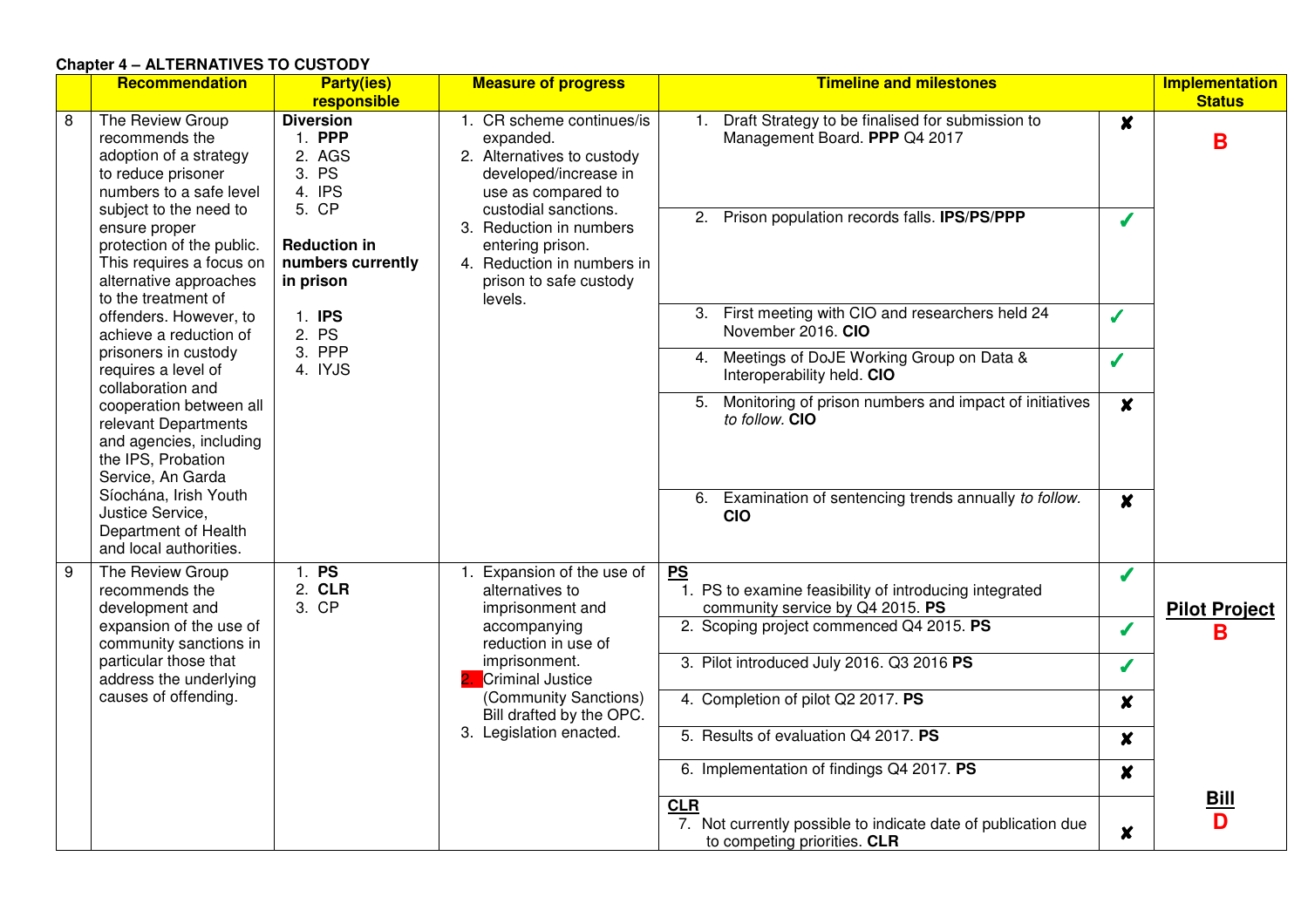#### **Chapter 4 – ALTERNATIVES TO CUSTODY**

|   | Recommendation                                                                                                                                                                                                                                                     | <b>Party(ies)</b><br>responsible                                                                                          | <b>Measure of progress</b>                                                                                                                                                                                                                                    | <b>Timeline and milestones</b>                                                                                                            |                       | <b>Implementation</b><br><b>Status</b> |
|---|--------------------------------------------------------------------------------------------------------------------------------------------------------------------------------------------------------------------------------------------------------------------|---------------------------------------------------------------------------------------------------------------------------|---------------------------------------------------------------------------------------------------------------------------------------------------------------------------------------------------------------------------------------------------------------|-------------------------------------------------------------------------------------------------------------------------------------------|-----------------------|----------------------------------------|
| 8 | The Review Group<br>recommends the<br>adoption of a strategy<br>to reduce prisoner<br>numbers to a safe level<br>subject to the need to<br>ensure proper<br>protection of the public.<br>This requires a focus on<br>alternative approaches<br>to the treatment of | <b>Diversion</b><br>1. PPP<br>2. AGS<br>3. PS<br>4. IPS<br>5. CP<br><b>Reduction in</b><br>numbers currently<br>in prison | 1. CR scheme continues/is<br>expanded.<br>2. Alternatives to custody<br>developed/increase in<br>use as compared to<br>custodial sanctions.<br>3. Reduction in numbers<br>entering prison.<br>4. Reduction in numbers in<br>prison to safe custody<br>levels. | Draft Strategy to be finalised for submission to<br>1.<br>Management Board. PPP Q4 2017<br>2. Prison population records falls. IPS/PS/PPP | $\boldsymbol{x}$<br>J | B                                      |
|   | offenders. However, to<br>achieve a reduction of                                                                                                                                                                                                                   | 1. IPS<br>2. PS                                                                                                           |                                                                                                                                                                                                                                                               | 3. First meeting with CIO and researchers held 24<br>November 2016. CIO                                                                   | Í                     |                                        |
|   | prisoners in custody<br>requires a level of<br>collaboration and                                                                                                                                                                                                   | 3. PPP<br>4. IYJS                                                                                                         |                                                                                                                                                                                                                                                               | Meetings of DoJE Working Group on Data &<br>4.<br>Interoperability held. CIO                                                              | Í                     |                                        |
|   | cooperation between all<br>relevant Departments<br>and agencies, including<br>the IPS, Probation<br>Service, An Garda                                                                                                                                              |                                                                                                                           |                                                                                                                                                                                                                                                               | Monitoring of prison numbers and impact of initiatives<br>5.<br>to follow. CIO                                                            | $\boldsymbol{x}$      |                                        |
|   | Síochána, Irish Youth<br>Justice Service,<br>Department of Health<br>and local authorities.                                                                                                                                                                        |                                                                                                                           |                                                                                                                                                                                                                                                               | Examination of sentencing trends annually to follow.<br>6.<br><b>CIO</b>                                                                  | $\boldsymbol{x}$      |                                        |
| 9 | The Review Group<br>recommends the<br>development and                                                                                                                                                                                                              | 1. PS<br>2. CLR<br>3. CP                                                                                                  | Expansion of the use of<br>alternatives to<br>imprisonment and                                                                                                                                                                                                | PS<br>1. PS to examine feasibility of introducing integrated<br>community service by Q4 2015. PS                                          | J                     | <b>Pilot Project</b>                   |
|   | expansion of the use of<br>community sanctions in                                                                                                                                                                                                                  |                                                                                                                           | accompanying<br>reduction in use of                                                                                                                                                                                                                           | 2. Scoping project commenced Q4 2015. PS                                                                                                  | J                     | в                                      |
|   | particular those that<br>address the underlying                                                                                                                                                                                                                    |                                                                                                                           | imprisonment.<br><b>Criminal Justice</b>                                                                                                                                                                                                                      | 3. Pilot introduced July 2016. Q3 2016 PS                                                                                                 | J                     |                                        |
|   | causes of offending.                                                                                                                                                                                                                                               |                                                                                                                           | (Community Sanctions)<br>Bill drafted by the OPC.                                                                                                                                                                                                             | 4. Completion of pilot Q2 2017. PS                                                                                                        | $\boldsymbol{x}$      |                                        |
|   |                                                                                                                                                                                                                                                                    |                                                                                                                           | 3. Legislation enacted.                                                                                                                                                                                                                                       | 5. Results of evaluation Q4 2017. PS                                                                                                      | $\boldsymbol{x}$      |                                        |
|   |                                                                                                                                                                                                                                                                    |                                                                                                                           |                                                                                                                                                                                                                                                               | 6. Implementation of findings Q4 2017. PS<br><b>CLR</b>                                                                                   | $\boldsymbol{x}$      | <u>Bill</u>                            |
|   |                                                                                                                                                                                                                                                                    |                                                                                                                           |                                                                                                                                                                                                                                                               | 7. Not currently possible to indicate date of publication due<br>to competing priorities. CLR                                             | $\boldsymbol{x}$      | D                                      |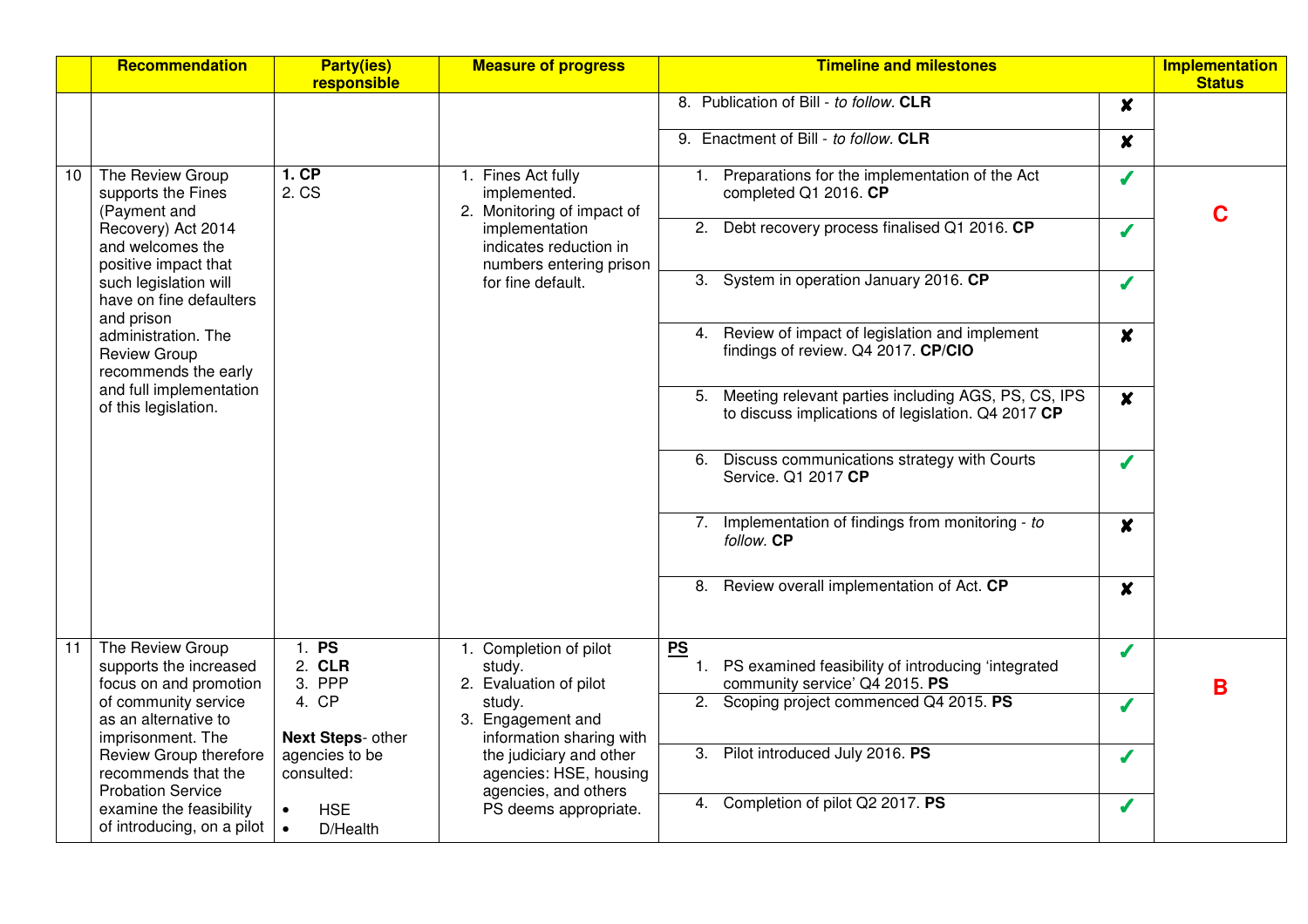|    | Recommendation                                                                                                                                                                                         | <b>Party(ies)</b><br>responsible                  | <b>Measure of progress</b>                                                                 | <b>Timeline and milestones</b>                                                                                  |                  | <b>Implementation</b><br><b>Status</b> |
|----|--------------------------------------------------------------------------------------------------------------------------------------------------------------------------------------------------------|---------------------------------------------------|--------------------------------------------------------------------------------------------|-----------------------------------------------------------------------------------------------------------------|------------------|----------------------------------------|
|    |                                                                                                                                                                                                        |                                                   |                                                                                            | 8. Publication of Bill - to follow. CLR                                                                         | $\boldsymbol{x}$ |                                        |
|    |                                                                                                                                                                                                        |                                                   |                                                                                            | 9. Enactment of Bill - to follow. CLR                                                                           | $\boldsymbol{x}$ |                                        |
| 10 | The Review Group<br>supports the Fines<br>(Payment and                                                                                                                                                 | 1.CP<br>2. CS                                     | 1. Fines Act fully<br>implemented.<br>2. Monitoring of impact of                           | Preparations for the implementation of the Act<br>1.<br>completed Q1 2016. CP                                   | Í                | C                                      |
|    | Recovery) Act 2014<br>and welcomes the<br>positive impact that<br>such legislation will<br>have on fine defaulters<br>and prison<br>administration. The<br><b>Review Group</b><br>recommends the early |                                                   | implementation<br>indicates reduction in<br>numbers entering prison                        | Debt recovery process finalised Q1 2016. CP<br>2.                                                               | J                |                                        |
|    |                                                                                                                                                                                                        |                                                   | for fine default.                                                                          | 3. System in operation January 2016. CP                                                                         | J                |                                        |
|    |                                                                                                                                                                                                        |                                                   | Review of impact of legislation and implement<br>4.<br>findings of review. Q4 2017. CP/CIO | $\boldsymbol{x}$                                                                                                |                  |                                        |
|    | and full implementation<br>of this legislation.                                                                                                                                                        |                                                   |                                                                                            | Meeting relevant parties including AGS, PS, CS, IPS<br>5.<br>to discuss implications of legislation. Q4 2017 CP | $\boldsymbol{x}$ |                                        |
|    |                                                                                                                                                                                                        |                                                   |                                                                                            | Discuss communications strategy with Courts<br>6.<br>Service. Q1 2017 CP                                        | J                |                                        |
|    |                                                                                                                                                                                                        |                                                   |                                                                                            | Implementation of findings from monitoring - to<br>7.<br>follow. CP                                             | $\boldsymbol{x}$ |                                        |
|    |                                                                                                                                                                                                        |                                                   |                                                                                            | Review overall implementation of Act. CP<br>8.                                                                  | $\boldsymbol{x}$ |                                        |
| 11 | The Review Group<br>supports the increased<br>focus on and promotion                                                                                                                                   | 1. PS<br>2. CLR<br>3. PPP                         | 1. Completion of pilot<br>study.<br>2. Evaluation of pilot                                 | PS<br>1. PS examined feasibility of introducing 'integrated<br>community service' Q4 2015. PS                   | Í                | B                                      |
|    | of community service<br>as an alternative to                                                                                                                                                           | 4. CP                                             | study.<br>3. Engagement and                                                                | 2. Scoping project commenced Q4 2015. PS                                                                        | $\boldsymbol{J}$ |                                        |
|    | imprisonment. The<br>Review Group therefore<br>recommends that the<br><b>Probation Service</b>                                                                                                         | Next Steps- other<br>agencies to be<br>consulted: | information sharing with<br>the judiciary and other<br>agencies: HSE, housing              | 3. Pilot introduced July 2016. PS                                                                               | ✔                |                                        |
|    | examine the feasibility<br>of introducing, on a pilot                                                                                                                                                  | $\bullet$<br><b>HSE</b><br>$\bullet$<br>D/Health  | agencies, and others<br>PS deems appropriate.                                              | 4. Completion of pilot Q2 2017. PS                                                                              |                  |                                        |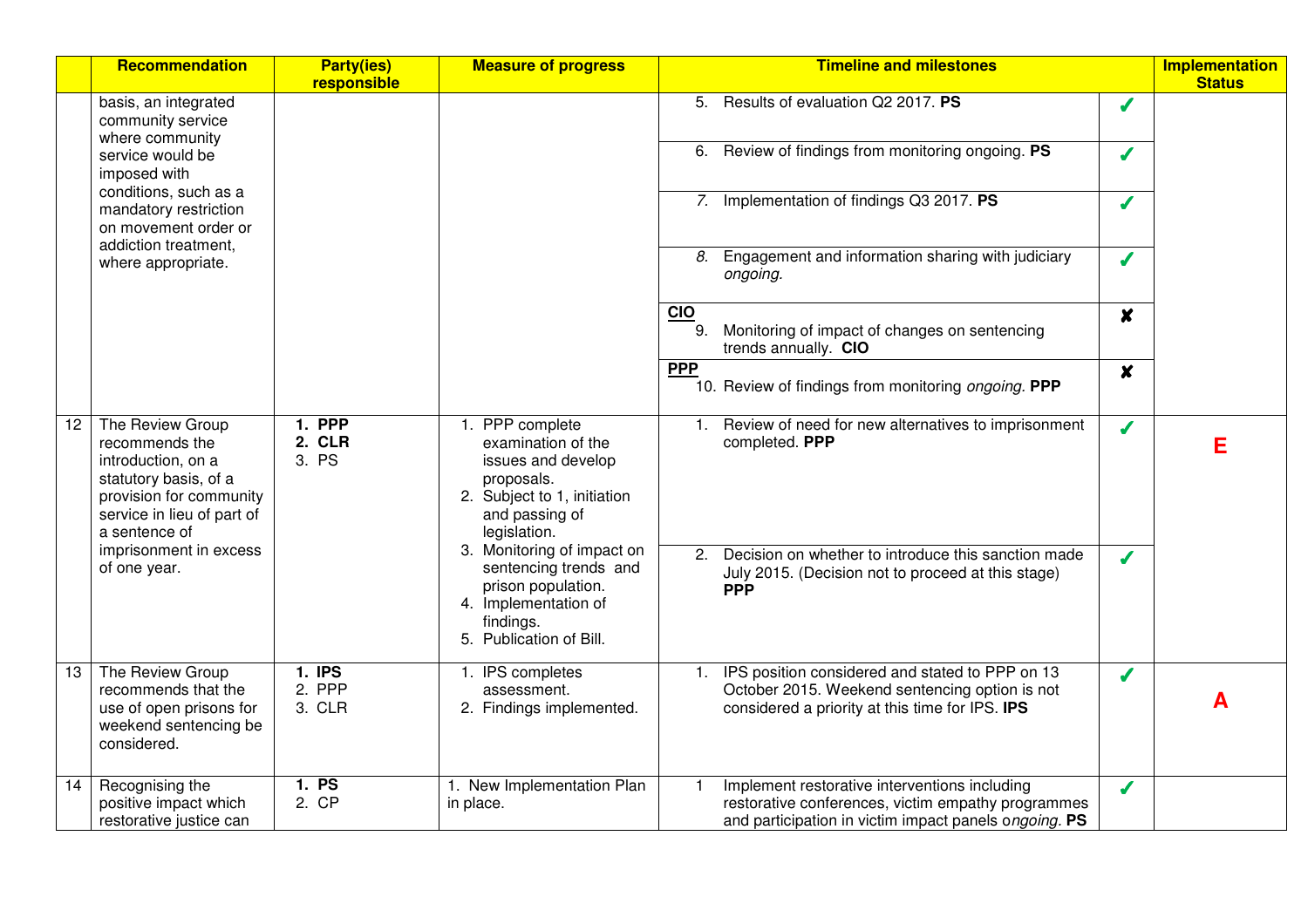|    | Recommendation                                                                                                                                              | <b>Party(ies)</b><br>responsible | <b>Measure of progress</b>                                                                                                                 | <b>Timeline and milestones</b>                                                                                                                                                 | <b>Implementation</b><br><b>Status</b> |
|----|-------------------------------------------------------------------------------------------------------------------------------------------------------------|----------------------------------|--------------------------------------------------------------------------------------------------------------------------------------------|--------------------------------------------------------------------------------------------------------------------------------------------------------------------------------|----------------------------------------|
|    | basis, an integrated<br>community service<br>where community                                                                                                |                                  |                                                                                                                                            | 5. Results of evaluation Q2 2017. PS<br>J                                                                                                                                      |                                        |
|    | service would be<br>imposed with                                                                                                                            |                                  |                                                                                                                                            | Review of findings from monitoring ongoing. PS<br>6.<br>J                                                                                                                      |                                        |
|    | conditions, such as a<br>mandatory restriction<br>on movement order or                                                                                      |                                  |                                                                                                                                            | 7. Implementation of findings Q3 2017. PS<br>J                                                                                                                                 |                                        |
|    | addiction treatment,<br>where appropriate.                                                                                                                  |                                  |                                                                                                                                            | Engagement and information sharing with judiciary<br>8.<br>J<br>ongoing.                                                                                                       |                                        |
|    |                                                                                                                                                             |                                  |                                                                                                                                            | <b>CIO</b><br>$\boldsymbol{x}$<br>9.<br>Monitoring of impact of changes on sentencing<br>trends annually. CIO                                                                  |                                        |
|    |                                                                                                                                                             |                                  |                                                                                                                                            | <b>PPP</b><br>$\boldsymbol{x}$<br>10. Review of findings from monitoring ongoing. PPP                                                                                          |                                        |
| 12 | The Review Group<br>recommends the<br>introduction, on a<br>statutory basis, of a<br>provision for community<br>service in lieu of part of<br>a sentence of | 1. PPP<br>2. CLR<br>3. PS        | 1. PPP complete<br>examination of the<br>issues and develop<br>proposals.<br>2. Subject to 1, initiation<br>and passing of<br>legislation. | 1. Review of need for new alternatives to imprisonment<br>J<br>completed. PPP                                                                                                  | Е                                      |
|    | imprisonment in excess<br>of one year.                                                                                                                      |                                  | 3. Monitoring of impact on<br>sentencing trends and<br>prison population.<br>4. Implementation of<br>findings.<br>5. Publication of Bill.  | Decision on whether to introduce this sanction made<br>2.<br>S<br>July 2015. (Decision not to proceed at this stage)<br><b>PPP</b>                                             |                                        |
| 13 | The Review Group<br>recommends that the<br>use of open prisons for<br>weekend sentencing be<br>considered.                                                  | $1.$ IPS<br>2. PPP<br>3. CLR     | 1. IPS completes<br>assessment.<br>2. Findings implemented.                                                                                | IPS position considered and stated to PPP on 13<br>1.<br>$\boldsymbol{J}$<br>October 2015. Weekend sentencing option is not<br>considered a priority at this time for IPS. IPS | А                                      |
| 14 | Recognising the<br>positive impact which<br>restorative justice can                                                                                         | 1. PS<br>2. CP                   | 1. New Implementation Plan<br>in place.                                                                                                    | Implement restorative interventions including<br>J<br>restorative conferences, victim empathy programmes<br>and participation in victim impact panels ongoing. PS              |                                        |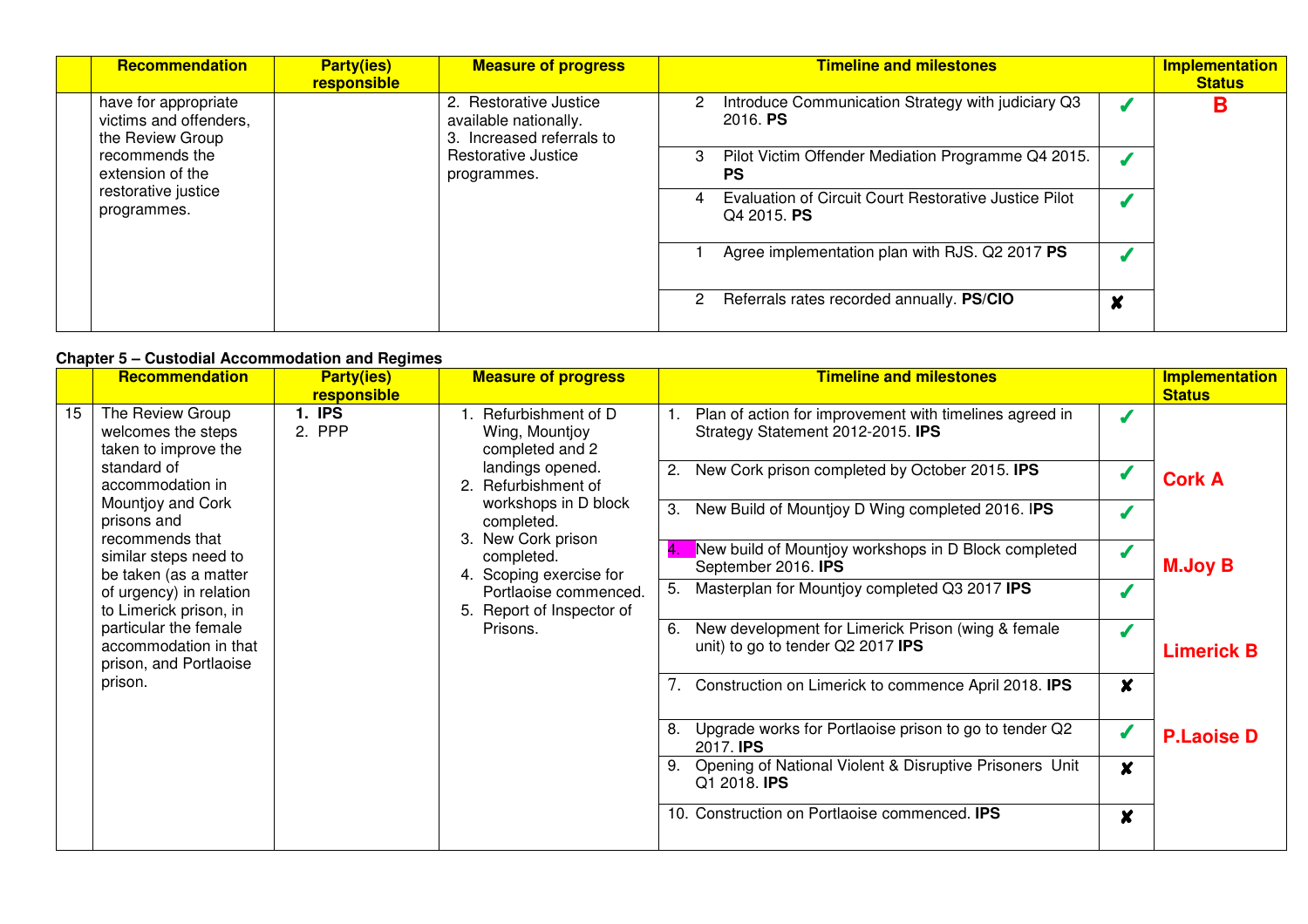| Recommendation                                                     | <b>Party(ies)</b><br>responsible | <b>Measure of progress</b>                                                   | <b>Timeline and milestones</b>                                       | Implementation<br><b>Status</b> |
|--------------------------------------------------------------------|----------------------------------|------------------------------------------------------------------------------|----------------------------------------------------------------------|---------------------------------|
| have for appropriate<br>victims and offenders,<br>the Review Group |                                  | 2. Restorative Justice<br>available nationally.<br>3. Increased referrals to | Introduce Communication Strategy with judiciary Q3<br>2016. PS       | D                               |
| recommends the<br>extension of the                                 |                                  | Restorative Justice<br>programmes.                                           | Pilot Victim Offender Mediation Programme Q4 2015.<br>3<br><b>PS</b> |                                 |
| restorative justice<br>programmes.                                 |                                  |                                                                              | Evaluation of Circuit Court Restorative Justice Pilot<br>Q4 2015. PS |                                 |
|                                                                    |                                  |                                                                              | Agree implementation plan with RJS. Q2 2017 PS                       |                                 |
|                                                                    |                                  |                                                                              | Referrals rates recorded annually. PS/CIO<br>2<br>X                  |                                 |

### **Chapter 5 – Custodial Accommodation and Regimes**

|    |                                                                          |                                  |                                                             | Agree implementation plan with HJS. Q2 2017 PS                                                |                  |                                        |
|----|--------------------------------------------------------------------------|----------------------------------|-------------------------------------------------------------|-----------------------------------------------------------------------------------------------|------------------|----------------------------------------|
|    |                                                                          |                                  |                                                             | Referrals rates recorded annually. PS/CIO<br>2                                                | $\boldsymbol{x}$ |                                        |
|    | <b>Chapter 5 – Custodial Accommodation and Regimes</b>                   |                                  |                                                             |                                                                                               |                  |                                        |
|    | <b>Recommendation</b>                                                    | <b>Party(ies)</b><br>responsible | <b>Measure of progress</b>                                  | <b>Timeline and milestones</b>                                                                |                  | <b>Implementation</b><br><b>Status</b> |
| 15 | The Review Group<br>welcomes the steps<br>taken to improve the           | <b>1. IPS</b><br>2. PPP          | Refurbishment of D<br>Wing, Mountjoy<br>completed and 2     | Plan of action for improvement with timelines agreed in<br>Strategy Statement 2012-2015. IPS  |                  |                                        |
|    | standard of<br>accommodation in                                          |                                  | landings opened.<br>2. Refurbishment of                     | New Cork prison completed by October 2015. <b>IPS</b>                                         |                  | <b>Cork A</b>                          |
|    | Mountjoy and Cork<br>prisons and<br>recommends that                      |                                  | workshops in D block<br>completed.                          | New Build of Mountjoy D Wing completed 2016. IPS<br>З.                                        |                  |                                        |
|    | similar steps need to<br>be taken (as a matter                           |                                  | 3. New Cork prison<br>completed.<br>4. Scoping exercise for | New build of Mountjoy workshops in D Block completed<br>September 2016. IPS                   |                  | <b>M.Joy B</b>                         |
|    | of urgency) in relation<br>to Limerick prison, in                        |                                  | Portlaoise commenced.<br>5. Report of Inspector of          | Masterplan for Mountjoy completed Q3 2017 IPS<br>5.                                           |                  |                                        |
|    | particular the female<br>accommodation in that<br>prison, and Portlaoise |                                  | Prisons.                                                    | New development for Limerick Prison (wing & female<br>6.<br>unit) to go to tender Q2 2017 IPS |                  | <b>Limerick B</b>                      |
|    | prison.                                                                  |                                  |                                                             | Construction on Limerick to commence April 2018. IPS                                          | X                |                                        |
|    |                                                                          |                                  |                                                             | Upgrade works for Portlaoise prison to go to tender Q2<br>2017. <b>IPS</b>                    | J                | <b>P.Laoise D</b>                      |
|    |                                                                          |                                  |                                                             | Opening of National Violent & Disruptive Prisoners Unit<br>9.<br>Q1 2018. <b>IPS</b>          | $\boldsymbol{x}$ |                                        |
|    |                                                                          |                                  |                                                             | 10. Construction on Portlaoise commenced. <b>IPS</b>                                          | X                |                                        |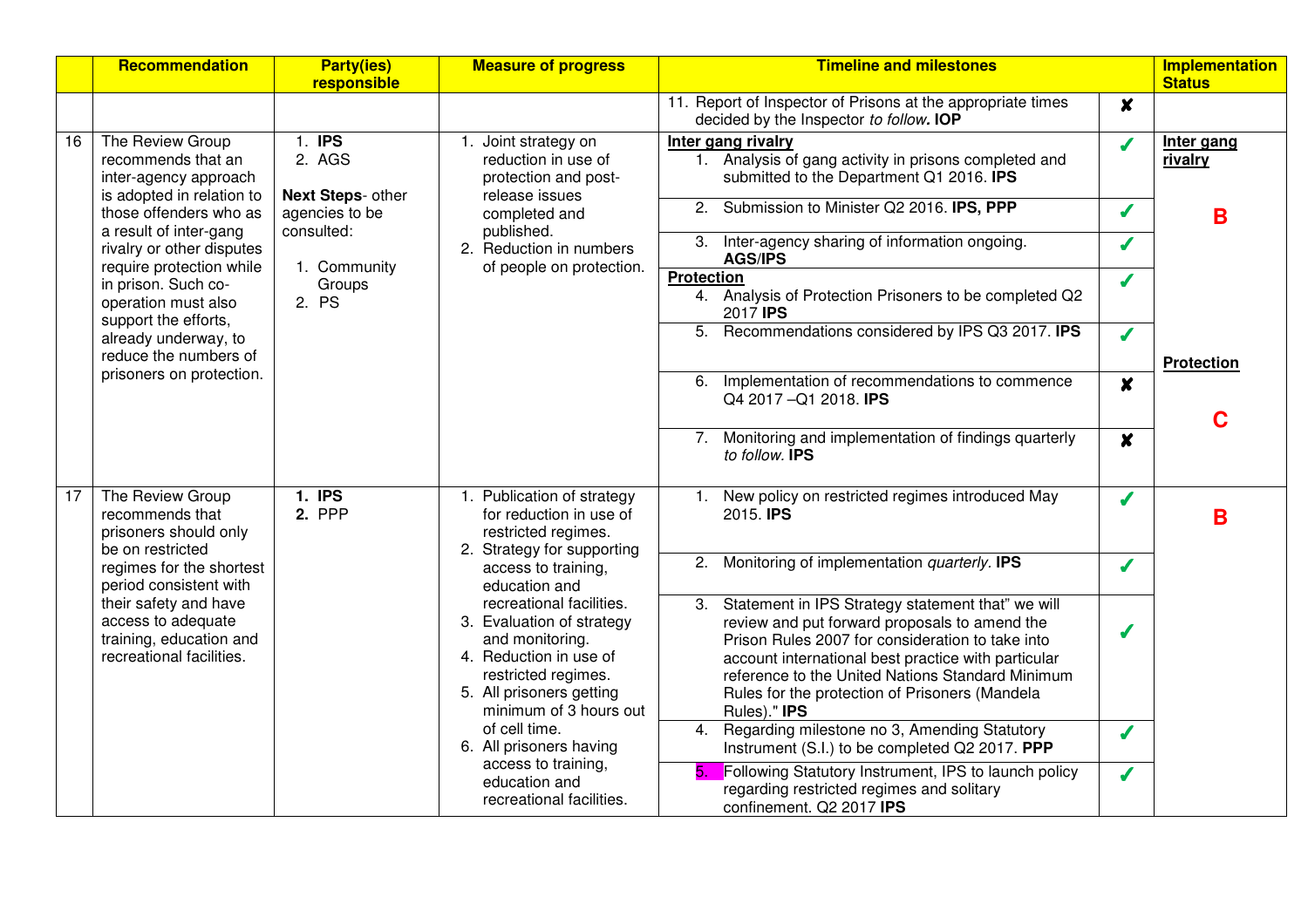|    | <b>Recommendation</b>                                                                                                                                          | <b>Party(ies)</b><br>responsible                                             | <b>Measure of progress</b>                                                                                                                                                      | <b>Timeline and milestones</b>                                                                                                                                                                                                                                                                                                            |                   | <b>Implementation</b><br><b>Status</b> |
|----|----------------------------------------------------------------------------------------------------------------------------------------------------------------|------------------------------------------------------------------------------|---------------------------------------------------------------------------------------------------------------------------------------------------------------------------------|-------------------------------------------------------------------------------------------------------------------------------------------------------------------------------------------------------------------------------------------------------------------------------------------------------------------------------------------|-------------------|----------------------------------------|
|    |                                                                                                                                                                |                                                                              |                                                                                                                                                                                 | 11. Report of Inspector of Prisons at the appropriate times<br>decided by the Inspector to follow. IOP                                                                                                                                                                                                                                    | $\boldsymbol{x}$  |                                        |
| 16 | The Review Group<br>recommends that an<br>inter-agency approach<br>is adopted in relation to                                                                   | 1. IPS<br>2. AGS<br>Next Steps- other                                        | Joint strategy on<br>reduction in use of<br>protection and post-<br>release issues                                                                                              | Inter gang rivalry<br>1. Analysis of gang activity in prisons completed and<br>submitted to the Department Q1 2016. IPS                                                                                                                                                                                                                   | J                 | Inter gang<br>rivalry                  |
|    | those offenders who as<br>a result of inter-gang                                                                                                               | agencies to be<br>consulted:                                                 | completed and<br>published.                                                                                                                                                     | Submission to Minister Q2 2016. IPS, PPP<br>2.                                                                                                                                                                                                                                                                                            | $\boldsymbol{J}$  | B                                      |
|    | rivalry or other disputes<br>require protection while<br>1. Community<br>in prison. Such co-<br>Groups<br>2. PS<br>operation must also<br>support the efforts, |                                                                              | 2. Reduction in numbers<br>of people on protection.                                                                                                                             | Inter-agency sharing of information ongoing.<br>3.<br><b>AGS/IPS</b>                                                                                                                                                                                                                                                                      | $\boldsymbol{J}$  |                                        |
|    |                                                                                                                                                                |                                                                              | <b>Protection</b><br>4. Analysis of Protection Prisoners to be completed Q2<br>2017 <b>IPS</b>                                                                                  | J                                                                                                                                                                                                                                                                                                                                         |                   |                                        |
|    | already underway, to                                                                                                                                           |                                                                              |                                                                                                                                                                                 | 5.<br>Recommendations considered by IPS Q3 2017. IPS                                                                                                                                                                                                                                                                                      | $\boldsymbol{J}$  |                                        |
|    | reduce the numbers of<br>prisoners on protection.                                                                                                              |                                                                              | Implementation of recommendations to commence<br>6.<br>Q4 2017 - Q1 2018. IPS                                                                                                   | $\boldsymbol{x}$                                                                                                                                                                                                                                                                                                                          | <b>Protection</b> |                                        |
|    |                                                                                                                                                                |                                                                              |                                                                                                                                                                                 |                                                                                                                                                                                                                                                                                                                                           |                   | C                                      |
|    |                                                                                                                                                                |                                                                              |                                                                                                                                                                                 | Monitoring and implementation of findings quarterly<br>7.<br>to follow. <b>IPS</b>                                                                                                                                                                                                                                                        | $\boldsymbol{x}$  |                                        |
| 17 | 1. IPS<br>The Review Group<br>2. PPP<br>recommends that<br>prisoners should only<br>be on restricted                                                           | 1. Publication of strategy<br>for reduction in use of<br>restricted regimes. | New policy on restricted regimes introduced May<br>1.<br>2015. <b>IPS</b>                                                                                                       | J                                                                                                                                                                                                                                                                                                                                         | B                 |                                        |
|    | regimes for the shortest<br>period consistent with                                                                                                             |                                                                              | 2. Strategy for supporting<br>access to training,<br>education and                                                                                                              | Monitoring of implementation quarterly. IPS<br>2.                                                                                                                                                                                                                                                                                         | J                 |                                        |
|    | their safety and have<br>access to adequate<br>training, education and<br>recreational facilities.                                                             |                                                                              | recreational facilities.<br>3. Evaluation of strategy<br>and monitoring.<br>4. Reduction in use of<br>restricted regimes.<br>5. All prisoners getting<br>minimum of 3 hours out | Statement in IPS Strategy statement that" we will<br>3.<br>review and put forward proposals to amend the<br>Prison Rules 2007 for consideration to take into<br>account international best practice with particular<br>reference to the United Nations Standard Minimum<br>Rules for the protection of Prisoners (Mandela<br>Rules)." IPS | J                 |                                        |
|    |                                                                                                                                                                |                                                                              | of cell time.<br>6. All prisoners having                                                                                                                                        | Regarding milestone no 3, Amending Statutory<br>4.<br>Instrument (S.I.) to be completed Q2 2017. PPP                                                                                                                                                                                                                                      | J                 |                                        |
|    |                                                                                                                                                                |                                                                              | access to training,<br>education and<br>recreational facilities.                                                                                                                | Following Statutory Instrument, IPS to launch policy<br>5.<br>regarding restricted regimes and solitary<br>confinement. Q2 2017 IPS                                                                                                                                                                                                       | J                 |                                        |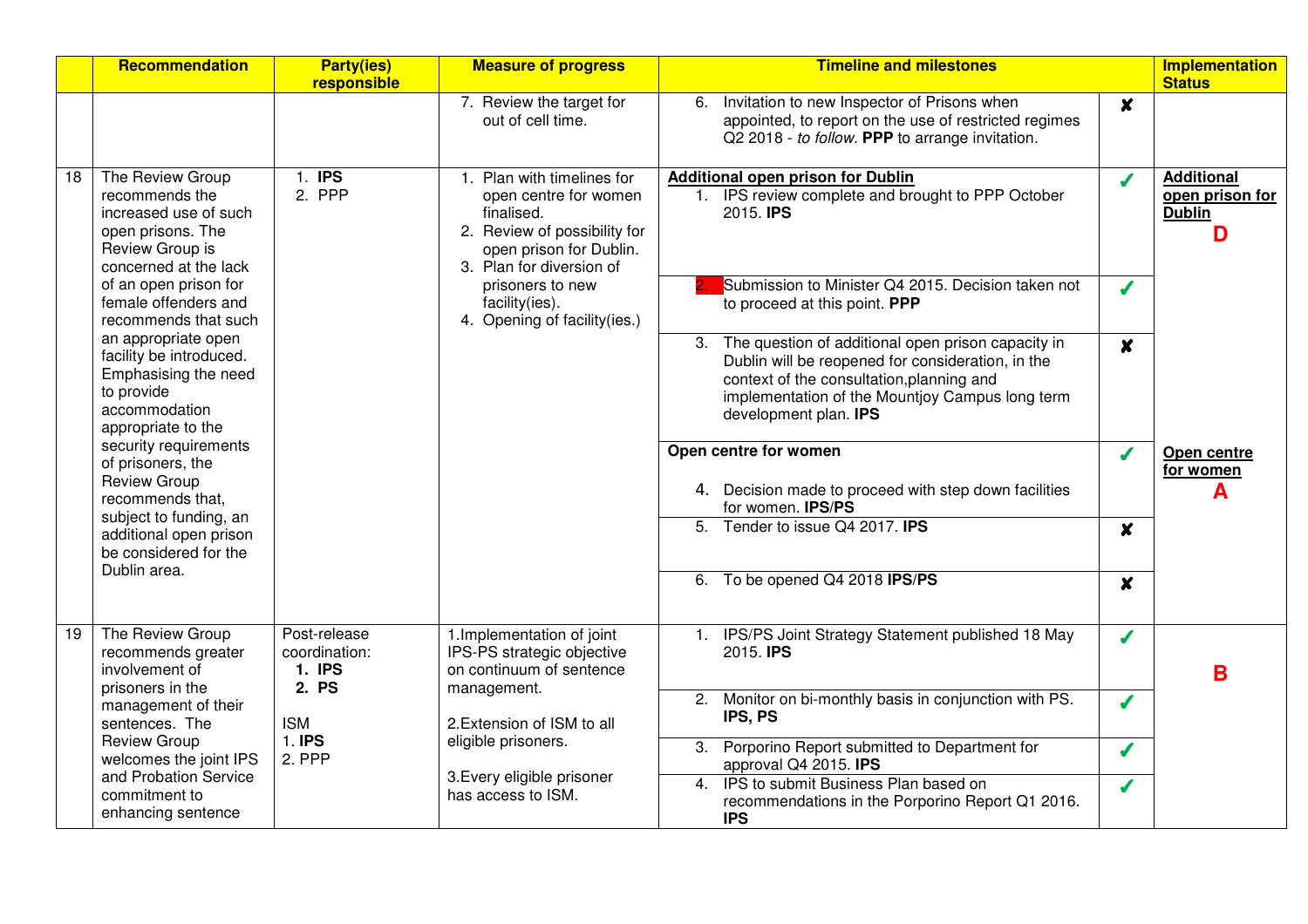|    | Recommendation                                                                                                               | <b>Party(ies)</b><br>responsible                        | <b>Measure of progress</b>                                                                                                                            | <b>Timeline and milestones</b>                                                                                                                                                                                                      |                  | <b>Implementation</b><br><b>Status</b>                     |
|----|------------------------------------------------------------------------------------------------------------------------------|---------------------------------------------------------|-------------------------------------------------------------------------------------------------------------------------------------------------------|-------------------------------------------------------------------------------------------------------------------------------------------------------------------------------------------------------------------------------------|------------------|------------------------------------------------------------|
|    |                                                                                                                              |                                                         | 7. Review the target for<br>out of cell time.                                                                                                         | Invitation to new Inspector of Prisons when<br>6.<br>appointed, to report on the use of restricted regimes<br>Q2 2018 - to follow. PPP to arrange invitation.                                                                       | $\boldsymbol{x}$ |                                                            |
| 18 | The Review Group<br>recommends the<br>increased use of such<br>open prisons. The<br>Review Group is<br>concerned at the lack | 1. IPS<br>2. PPP                                        | Plan with timelines for<br>open centre for women<br>finalised.<br>2. Review of possibility for<br>open prison for Dublin.<br>3. Plan for diversion of | <b>Additional open prison for Dublin</b><br>1. IPS review complete and brought to PPP October<br>2015. <b>IPS</b>                                                                                                                   | J                | <b>Additional</b><br>open prison for<br><b>Dublin</b><br>D |
|    | of an open prison for<br>female offenders and<br>recommends that such                                                        |                                                         | prisoners to new<br>facility(ies).<br>4. Opening of facility(ies.)                                                                                    | Submission to Minister Q4 2015. Decision taken not<br>to proceed at this point. PPP                                                                                                                                                 | $\boldsymbol{J}$ |                                                            |
|    | an appropriate open<br>facility be introduced.<br>Emphasising the need<br>to provide<br>accommodation<br>appropriate to the  |                                                         |                                                                                                                                                       | 3. The question of additional open prison capacity in<br>Dublin will be reopened for consideration, in the<br>context of the consultation, planning and<br>implementation of the Mountjoy Campus long term<br>development plan. IPS | $\boldsymbol{x}$ |                                                            |
|    | security requirements<br>of prisoners, the<br><b>Review Group</b><br>recommends that,                                        |                                                         |                                                                                                                                                       | Open centre for women<br>4. Decision made to proceed with step down facilities<br>for women. IPS/PS                                                                                                                                 | J                | Open centre<br>for women                                   |
|    | subject to funding, an<br>additional open prison<br>be considered for the                                                    |                                                         |                                                                                                                                                       | $\overline{5}$ .<br>Tender to issue Q4 2017. IPS                                                                                                                                                                                    | $\boldsymbol{x}$ |                                                            |
|    | Dublin area.                                                                                                                 |                                                         |                                                                                                                                                       | 6. To be opened Q4 2018 IPS/PS                                                                                                                                                                                                      | $\boldsymbol{x}$ |                                                            |
| 19 | The Review Group<br>recommends greater<br>involvement of<br>prisoners in the                                                 | Post-release<br>coordination:<br><b>1. IPS</b><br>2. PS | 1. Implementation of joint<br>IPS-PS strategic objective<br>on continuum of sentence<br>management.                                                   | 1. IPS/PS Joint Strategy Statement published 18 May<br>2015. <b>IPS</b>                                                                                                                                                             | J                | B                                                          |
|    | management of their<br>sentences. The                                                                                        | <b>ISM</b>                                              | 2. Extension of ISM to all                                                                                                                            | 2. Monitor on bi-monthly basis in conjunction with PS.<br>IPS, PS                                                                                                                                                                   | $\boldsymbol{J}$ |                                                            |
|    | <b>Review Group</b><br>welcomes the joint IPS<br>and Probation Service                                                       | 1. IPS<br>2. PPP                                        | eligible prisoners.<br>3. Every eligible prisoner                                                                                                     | 3. Porporino Report submitted to Department for<br>approval Q4 2015. IPS                                                                                                                                                            | J                |                                                            |
|    | commitment to<br>enhancing sentence                                                                                          |                                                         | has access to ISM.                                                                                                                                    | IPS to submit Business Plan based on<br>4.<br>recommendations in the Porporino Report Q1 2016.<br><b>IPS</b>                                                                                                                        | $\boldsymbol{J}$ |                                                            |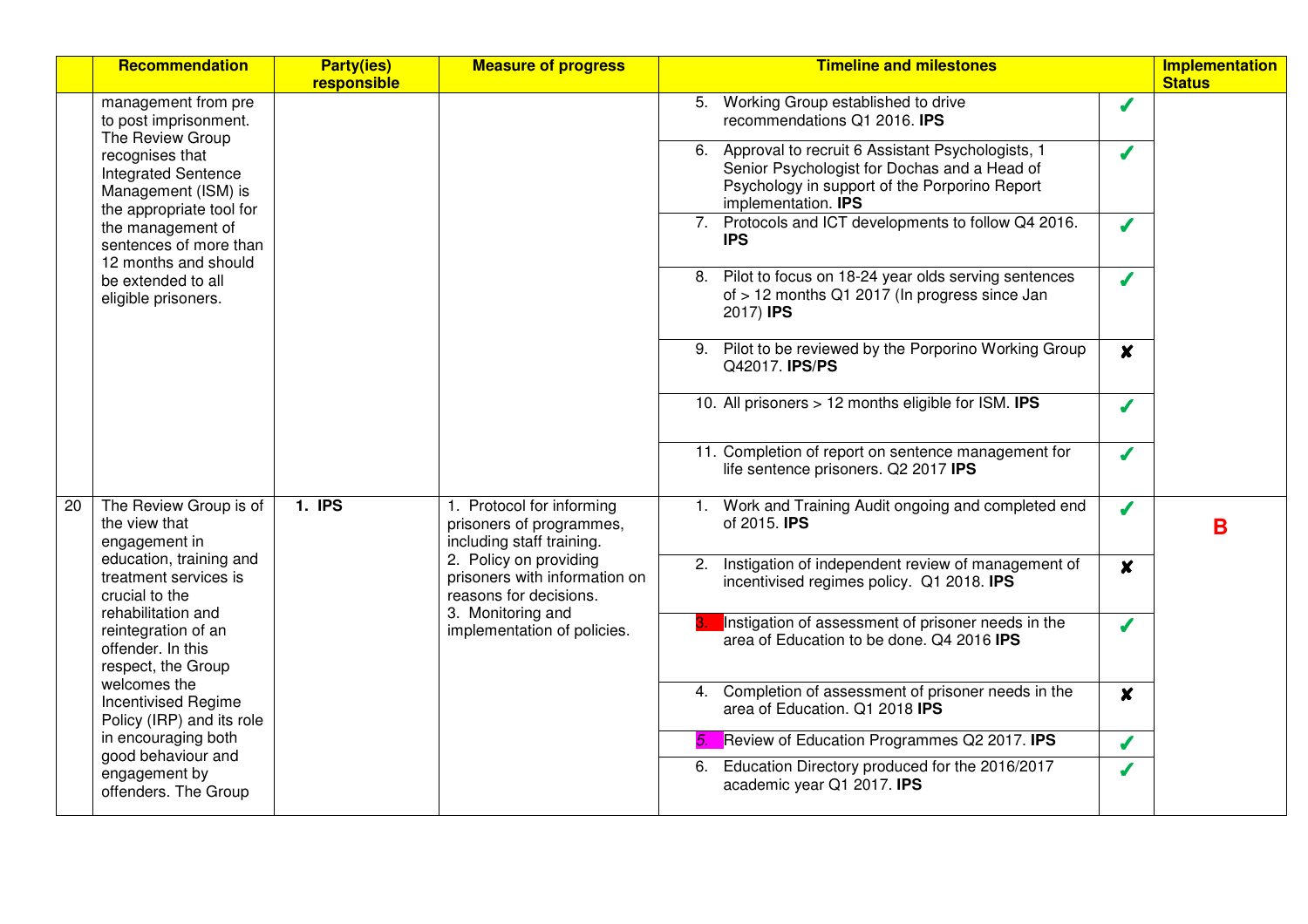|    | <b>Recommendation</b>                                                                                                                                                                                                | <b>Party(ies)</b><br>responsible                                                             | <b>Measure of progress</b>                                                        | <b>Timeline and milestones</b>                                                                                                                                                | <b>Implementation</b><br><b>Status</b> |
|----|----------------------------------------------------------------------------------------------------------------------------------------------------------------------------------------------------------------------|----------------------------------------------------------------------------------------------|-----------------------------------------------------------------------------------|-------------------------------------------------------------------------------------------------------------------------------------------------------------------------------|----------------------------------------|
|    | management from pre<br>to post imprisonment.<br>The Review Group                                                                                                                                                     |                                                                                              |                                                                                   | 5. Working Group established to drive<br>J<br>recommendations Q1 2016. IPS                                                                                                    |                                        |
|    | recognises that<br><b>Integrated Sentence</b><br>Management (ISM) is<br>the appropriate tool for<br>the management of<br>sentences of more than<br>12 months and should<br>be extended to all<br>eligible prisoners. |                                                                                              |                                                                                   | Approval to recruit 6 Assistant Psychologists, 1<br>J<br>Senior Psychologist for Dochas and a Head of<br>Psychology in support of the Porporino Report<br>implementation. IPS |                                        |
|    |                                                                                                                                                                                                                      |                                                                                              |                                                                                   | Protocols and ICT developments to follow Q4 2016.<br>7.<br>$\boldsymbol{J}$<br><b>IPS</b>                                                                                     |                                        |
|    |                                                                                                                                                                                                                      |                                                                                              |                                                                                   | 8. Pilot to focus on 18-24 year olds serving sentences<br>J<br>of > 12 months Q1 2017 (In progress since Jan<br>2017) <b>IPS</b>                                              |                                        |
|    |                                                                                                                                                                                                                      |                                                                                              |                                                                                   | 9. Pilot to be reviewed by the Porporino Working Group<br>$\boldsymbol{x}$<br>Q42017. IPS/PS                                                                                  |                                        |
|    |                                                                                                                                                                                                                      |                                                                                              |                                                                                   | 10. All prisoners > 12 months eligible for ISM. IPS<br>J                                                                                                                      |                                        |
|    |                                                                                                                                                                                                                      |                                                                                              |                                                                                   | 11. Completion of report on sentence management for<br>J<br>life sentence prisoners. Q2 2017 IPS                                                                              |                                        |
| 20 | The Review Group is of<br>the view that<br>engagement in                                                                                                                                                             | 1. IPS<br>1. Protocol for informing<br>prisoners of programmes,<br>including staff training. | Work and Training Audit ongoing and completed end<br>J<br>1.<br>of 2015. IPS      | B                                                                                                                                                                             |                                        |
|    | education, training and<br>treatment services is<br>crucial to the                                                                                                                                                   |                                                                                              | 2. Policy on providing<br>prisoners with information on<br>reasons for decisions. | Instigation of independent review of management of<br>2.<br>$\boldsymbol{x}$<br>incentivised regimes policy. Q1 2018. IPS                                                     |                                        |
|    | rehabilitation and<br>reintegration of an<br>offender. In this<br>respect, the Group                                                                                                                                 |                                                                                              | 3. Monitoring and<br>implementation of policies.                                  | Instigation of assessment of prisoner needs in the<br>J<br>area of Education to be done. Q4 2016 IPS                                                                          |                                        |
|    | welcomes the<br><b>Incentivised Regime</b><br>Policy (IRP) and its role                                                                                                                                              |                                                                                              |                                                                                   | Completion of assessment of prisoner needs in the<br>4.<br>$\boldsymbol{x}$<br>area of Education. Q1 2018 IPS                                                                 |                                        |
|    | in encouraging both<br>good behaviour and                                                                                                                                                                            |                                                                                              |                                                                                   | Review of Education Programmes Q2 2017. IPS<br>5.<br>J                                                                                                                        |                                        |
|    | engagement by<br>offenders. The Group                                                                                                                                                                                |                                                                                              |                                                                                   | 6. Education Directory produced for the 2016/2017<br>J<br>academic year Q1 2017. IPS                                                                                          |                                        |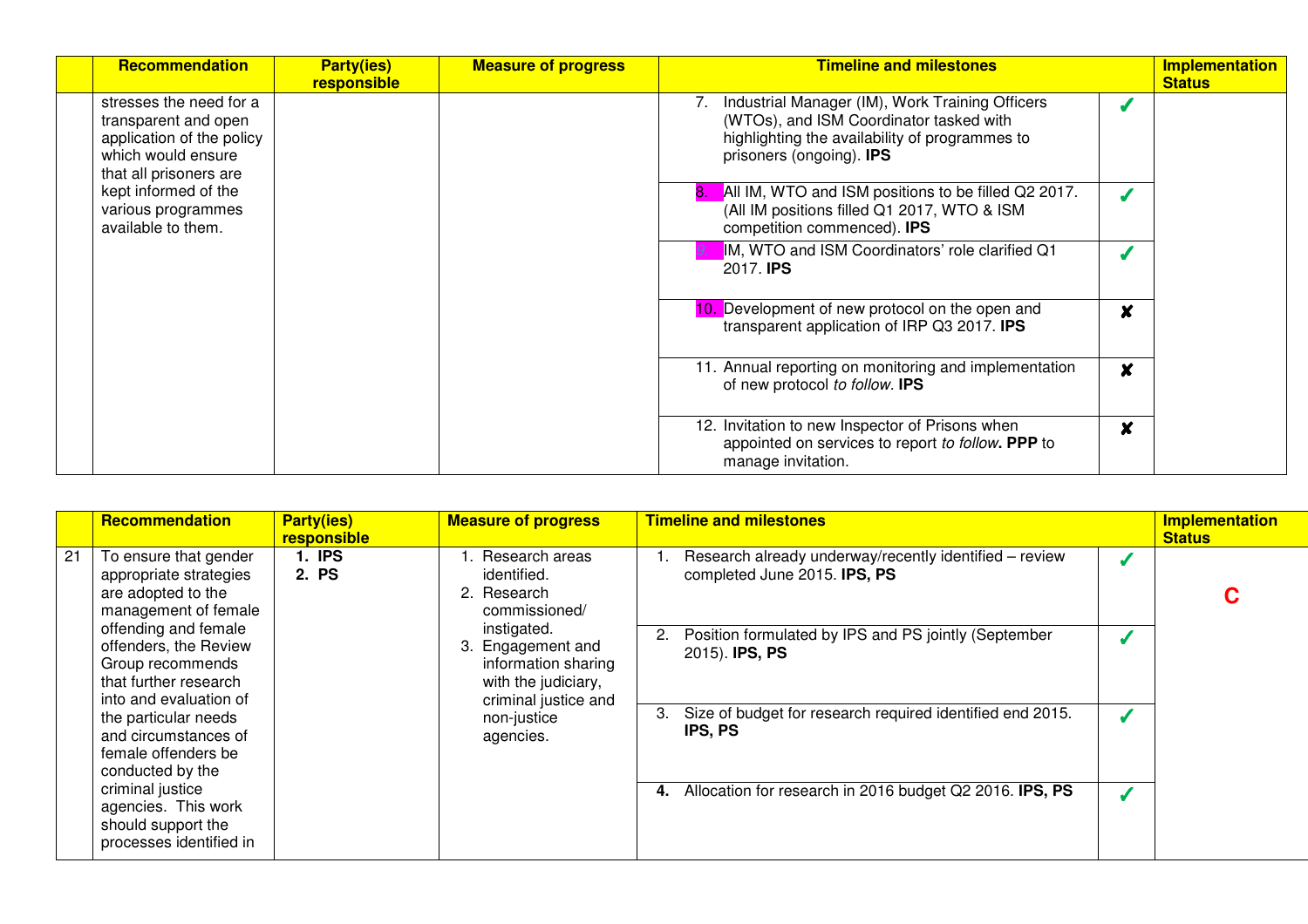| <b>Recommendation</b>                                                                                                        | <b>Party(ies)</b><br>responsible | <b>Measure of progress</b> | <b>Timeline and milestones</b>                                                                                                                                           |                  | <b>Implementation</b><br><b>Status</b> |
|------------------------------------------------------------------------------------------------------------------------------|----------------------------------|----------------------------|--------------------------------------------------------------------------------------------------------------------------------------------------------------------------|------------------|----------------------------------------|
| stresses the need for a<br>transparent and open<br>application of the policy<br>which would ensure<br>that all prisoners are |                                  |                            | Industrial Manager (IM), Work Training Officers<br>(WTOs), and ISM Coordinator tasked with<br>highlighting the availability of programmes to<br>prisoners (ongoing). IPS |                  |                                        |
| kept informed of the<br>various programmes<br>available to them.                                                             |                                  |                            | All IM, WTO and ISM positions to be filled Q2 2017.<br>(All IM positions filled Q1 2017, WTO & ISM<br>competition commenced). IPS                                        |                  |                                        |
|                                                                                                                              |                                  |                            | IM, WTO and ISM Coordinators' role clarified Q1<br>2017. <b>IPS</b>                                                                                                      |                  |                                        |
|                                                                                                                              |                                  |                            | Development of new protocol on the open and<br>10.<br>transparent application of IRP Q3 2017. <b>IPS</b>                                                                 | X                |                                        |
|                                                                                                                              |                                  |                            | 11. Annual reporting on monitoring and implementation<br>of new protocol to follow. IPS                                                                                  | X                |                                        |
|                                                                                                                              |                                  |                            | 12. Invitation to new Inspector of Prisons when<br>appointed on services to report to follow. PPP to<br>manage invitation.                                               | $\boldsymbol{x}$ |                                        |

|    | Recommendation                                                                                                       | <b>Party(ies)</b><br>responsible | <b>Measure of progress</b>                                                                                                            | <b>Timeline and milestones</b>                                                         | <b>Implementation</b><br><b>Status</b> |
|----|----------------------------------------------------------------------------------------------------------------------|----------------------------------|---------------------------------------------------------------------------------------------------------------------------------------|----------------------------------------------------------------------------------------|----------------------------------------|
| 21 | To ensure that gender<br>appropriate strategies<br>are adopted to the<br>management of female                        | <b>1. IPS</b><br>2. PS           | Research areas<br>identified.<br>2. Research<br>commissioned/                                                                         | Research already underway/recently identified – review<br>completed June 2015. IPS, PS |                                        |
|    | offending and female<br>offenders, the Review<br>Group recommends<br>that further research<br>into and evaluation of |                                  | instigated.<br>Engagement and<br>З.<br>information sharing<br>with the judiciary,<br>criminal justice and<br>non-justice<br>agencies. | Position formulated by IPS and PS jointly (September<br>2.<br>2015). <b>IPS, PS</b>    |                                        |
|    | the particular needs<br>and circumstances of<br>female offenders be<br>conducted by the                              |                                  |                                                                                                                                       | Size of budget for research required identified end 2015.<br>3.<br>IPS, PS             |                                        |
|    | criminal justice<br>agencies. This work<br>should support the<br>processes identified in                             |                                  |                                                                                                                                       | Allocation for research in 2016 budget Q2 2016. IPS, PS<br>4.                          |                                        |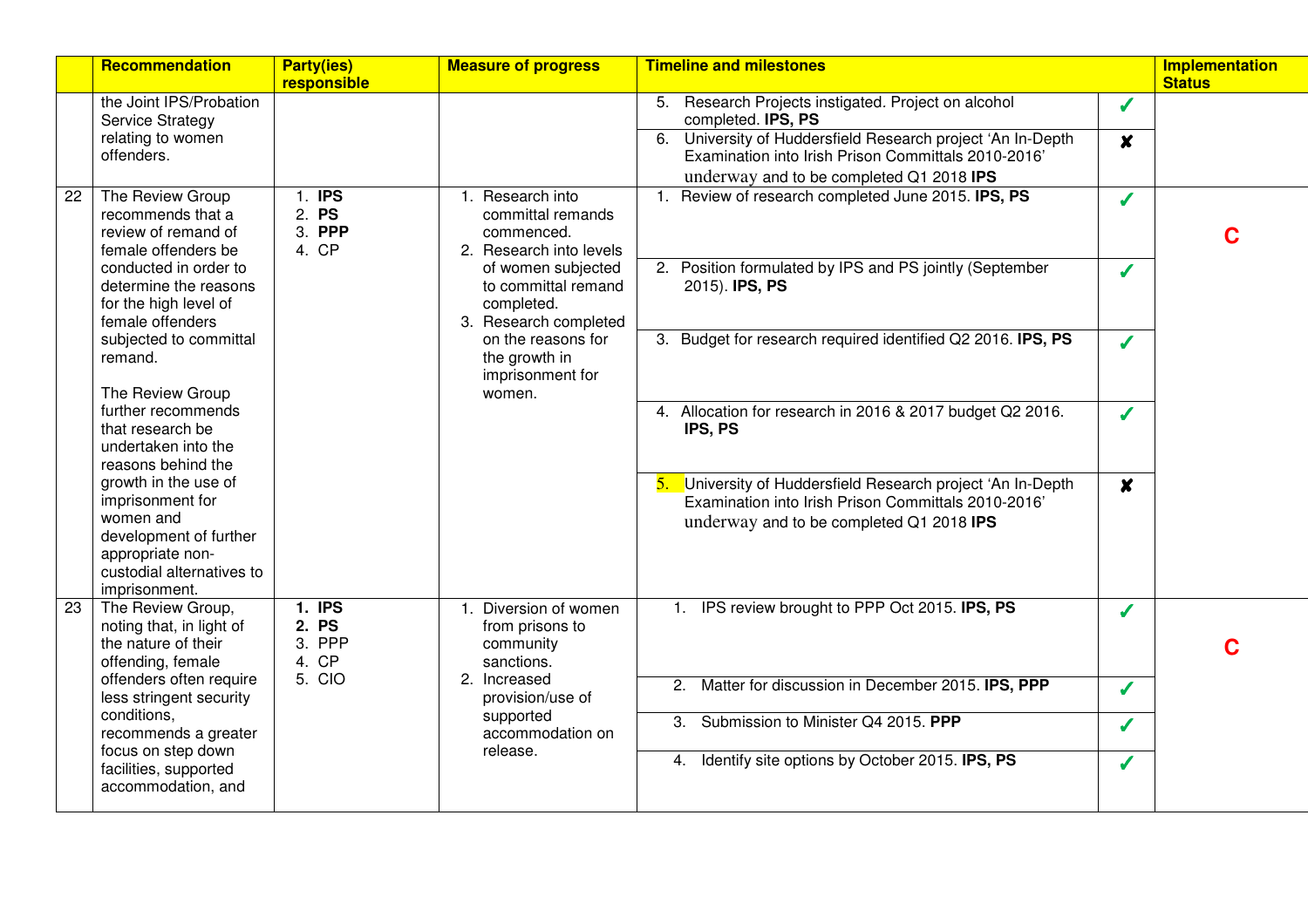|    | Recommendation                                                                                                                                    | <b>Party(ies)</b><br>responsible          | <b>Measure of progress</b>                                                                                                                            | <b>Timeline and milestones</b>                                                                                                                                   |                  | <b>Implementation</b><br><b>Status</b> |
|----|---------------------------------------------------------------------------------------------------------------------------------------------------|-------------------------------------------|-------------------------------------------------------------------------------------------------------------------------------------------------------|------------------------------------------------------------------------------------------------------------------------------------------------------------------|------------------|----------------------------------------|
|    | the Joint IPS/Probation<br><b>Service Strategy</b>                                                                                                |                                           |                                                                                                                                                       | 5. Research Projects instigated. Project on alcohol<br>completed. IPS, PS                                                                                        | $\boldsymbol{J}$ |                                        |
|    | relating to women<br>offenders.                                                                                                                   |                                           |                                                                                                                                                       | 6. University of Huddersfield Research project 'An In-Depth<br>Examination into Irish Prison Committals 2010-2016<br>underway and to be completed Q1 2018 IPS    | $\boldsymbol{x}$ |                                        |
| 22 | The Review Group<br>recommends that a<br>review of remand of<br>female offenders be                                                               | 1. IPS<br>2. PS<br>3. PPP<br>4. CP        | 1. Research into<br>committal remands<br>commenced.<br>2. Research into levels                                                                        | Review of research completed June 2015. IPS, PS<br>1.                                                                                                            | J                | C                                      |
|    | conducted in order to<br>determine the reasons<br>for the high level of<br>female offenders                                                       |                                           | of women subjected<br>to committal remand<br>completed.<br>3. Research completed<br>on the reasons for<br>the growth in<br>imprisonment for<br>women. | 2. Position formulated by IPS and PS jointly (September<br>2015). <b>IPS, PS</b>                                                                                 | J                |                                        |
|    | subjected to committal<br>remand.<br>The Review Group                                                                                             |                                           |                                                                                                                                                       | 3. Budget for research required identified Q2 2016. IPS, PS                                                                                                      | J                |                                        |
|    | further recommends<br>that research be<br>undertaken into the<br>reasons behind the                                                               |                                           |                                                                                                                                                       | 4. Allocation for research in 2016 & 2017 budget Q2 2016.<br>IPS, PS                                                                                             | J                |                                        |
|    | growth in the use of<br>imprisonment for<br>women and<br>development of further<br>appropriate non-<br>custodial alternatives to<br>imprisonment. |                                           |                                                                                                                                                       | University of Huddersfield Research project 'An In-Depth<br>5.<br>Examination into Irish Prison Committals 2010-2016<br>underway and to be completed Q1 2018 IPS | $\boldsymbol{x}$ |                                        |
| 23 | The Review Group,<br>noting that, in light of<br>the nature of their<br>offending, female                                                         | <b>1. IPS</b><br>2. PS<br>3. PPP<br>4. CP | 1. Diversion of women<br>from prisons to<br>community<br>sanctions.                                                                                   | 1. IPS review brought to PPP Oct 2015. IPS, PS                                                                                                                   | Í                | C                                      |
|    | offenders often require<br>less stringent security                                                                                                | 5. CIO                                    | 2. Increased<br>provision/use of                                                                                                                      | 2. Matter for discussion in December 2015. IPS, PPP                                                                                                              | $\boldsymbol{J}$ |                                        |
|    | conditions,<br>recommends a greater                                                                                                               |                                           | supported<br>accommodation on                                                                                                                         | 3. Submission to Minister Q4 2015. PPP                                                                                                                           | J                |                                        |
|    | focus on step down<br>facilities, supported<br>accommodation, and                                                                                 |                                           | release.                                                                                                                                              | 4. Identify site options by October 2015. IPS, PS                                                                                                                | Í                |                                        |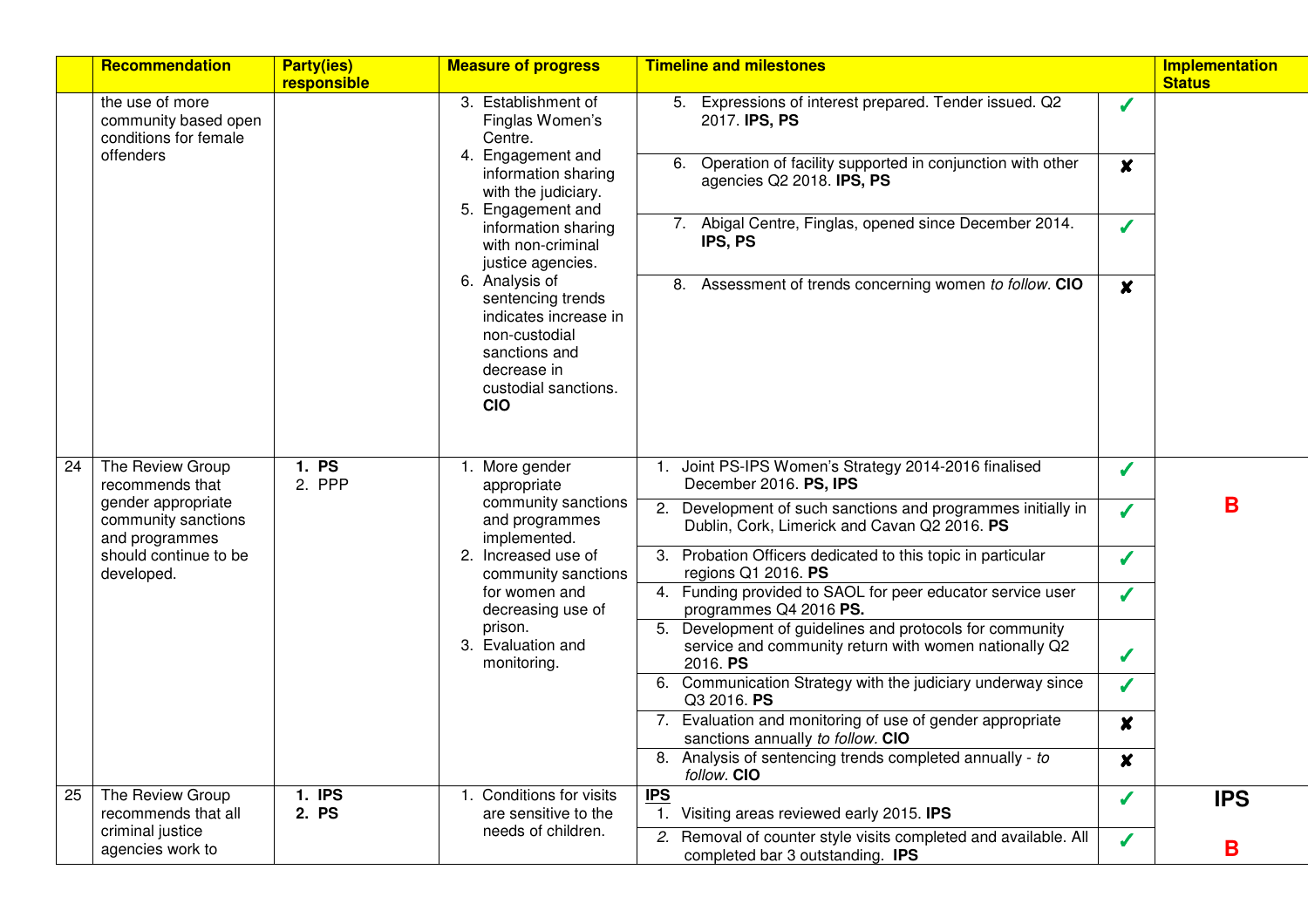|    | Recommendation                                                                                                                            | <b>Party(ies)</b><br>responsible                                                                                                                                                                                                                                                                             | <b>Measure of progress</b>                                                                                                           | <b>Timeline and milestones</b>                                                                                                   |                  | <b>Implementation</b><br><b>Status</b> |
|----|-------------------------------------------------------------------------------------------------------------------------------------------|--------------------------------------------------------------------------------------------------------------------------------------------------------------------------------------------------------------------------------------------------------------------------------------------------------------|--------------------------------------------------------------------------------------------------------------------------------------|----------------------------------------------------------------------------------------------------------------------------------|------------------|----------------------------------------|
|    | the use of more<br>community based open<br>conditions for female<br>offenders                                                             |                                                                                                                                                                                                                                                                                                              | 3. Establishment of<br>Finglas Women's<br>Centre.                                                                                    | 5. Expressions of interest prepared. Tender issued. Q2<br>2017. IPS, PS                                                          | J                |                                        |
|    |                                                                                                                                           | 4. Engagement and<br>information sharing<br>with the judiciary.<br>5. Engagement and<br>information sharing<br>with non-criminal<br>justice agencies.<br>6. Analysis of<br>sentencing trends<br>indicates increase in<br>non-custodial<br>sanctions and<br>decrease in<br>custodial sanctions.<br><b>CIO</b> | Operation of facility supported in conjunction with other<br>6.<br>agencies Q2 2018. IPS, PS                                         | $\boldsymbol{x}$                                                                                                                 |                  |                                        |
|    |                                                                                                                                           |                                                                                                                                                                                                                                                                                                              |                                                                                                                                      | 7. Abigal Centre, Finglas, opened since December 2014.<br>IPS, PS                                                                | Í                |                                        |
|    |                                                                                                                                           |                                                                                                                                                                                                                                                                                                              |                                                                                                                                      | 8. Assessment of trends concerning women to follow. CIO                                                                          | X                |                                        |
| 24 | The Review Group<br>recommends that<br>gender appropriate<br>community sanctions<br>and programmes<br>should continue to be<br>developed. | 1. PS<br>2. PPP                                                                                                                                                                                                                                                                                              | 1. More gender<br>appropriate<br>community sanctions<br>and programmes<br>implemented.<br>2. Increased use of<br>community sanctions | Joint PS-IPS Women's Strategy 2014-2016 finalised<br>$\mathbf{1}$ .<br>December 2016. PS, IPS                                    | J                | B                                      |
|    |                                                                                                                                           |                                                                                                                                                                                                                                                                                                              |                                                                                                                                      | 2. Development of such sanctions and programmes initially in<br>Dublin, Cork, Limerick and Cavan Q2 2016. PS                     | S                |                                        |
|    |                                                                                                                                           |                                                                                                                                                                                                                                                                                                              |                                                                                                                                      | 3. Probation Officers dedicated to this topic in particular<br>regions Q1 2016. PS                                               | $\checkmark$     |                                        |
|    |                                                                                                                                           |                                                                                                                                                                                                                                                                                                              | for women and<br>decreasing use of                                                                                                   | 4. Funding provided to SAOL for peer educator service user<br>programmes Q4 2016 PS.                                             | J                |                                        |
|    |                                                                                                                                           |                                                                                                                                                                                                                                                                                                              | prison.<br>3. Evaluation and<br>monitoring.                                                                                          | Development of guidelines and protocols for community<br>5.<br>service and community return with women nationally Q2<br>2016. PS | Í                |                                        |
|    |                                                                                                                                           |                                                                                                                                                                                                                                                                                                              |                                                                                                                                      | 6. Communication Strategy with the judiciary underway since<br>Q3 2016. PS                                                       | Í                |                                        |
|    |                                                                                                                                           |                                                                                                                                                                                                                                                                                                              |                                                                                                                                      | 7. Evaluation and monitoring of use of gender appropriate<br>sanctions annually to follow. CIO                                   | $\boldsymbol{x}$ |                                        |
|    |                                                                                                                                           |                                                                                                                                                                                                                                                                                                              |                                                                                                                                      | 8. Analysis of sentencing trends completed annually - to<br>follow. CIO                                                          | $\pmb{\times}$   |                                        |
| 25 | The Review Group<br>recommends that all                                                                                                   | 1. IPS<br>2. PS                                                                                                                                                                                                                                                                                              | 1. Conditions for visits<br>are sensitive to the                                                                                     | <b>IPS</b><br>Visiting areas reviewed early 2015. IPS<br>$\mathbf{1}$ .                                                          | J                | <b>IPS</b>                             |
|    | criminal justice<br>agencies work to                                                                                                      |                                                                                                                                                                                                                                                                                                              | needs of children.                                                                                                                   | 2. Removal of counter style visits completed and available. All<br>completed bar 3 outstanding. IPS                              | $\boldsymbol{J}$ | B                                      |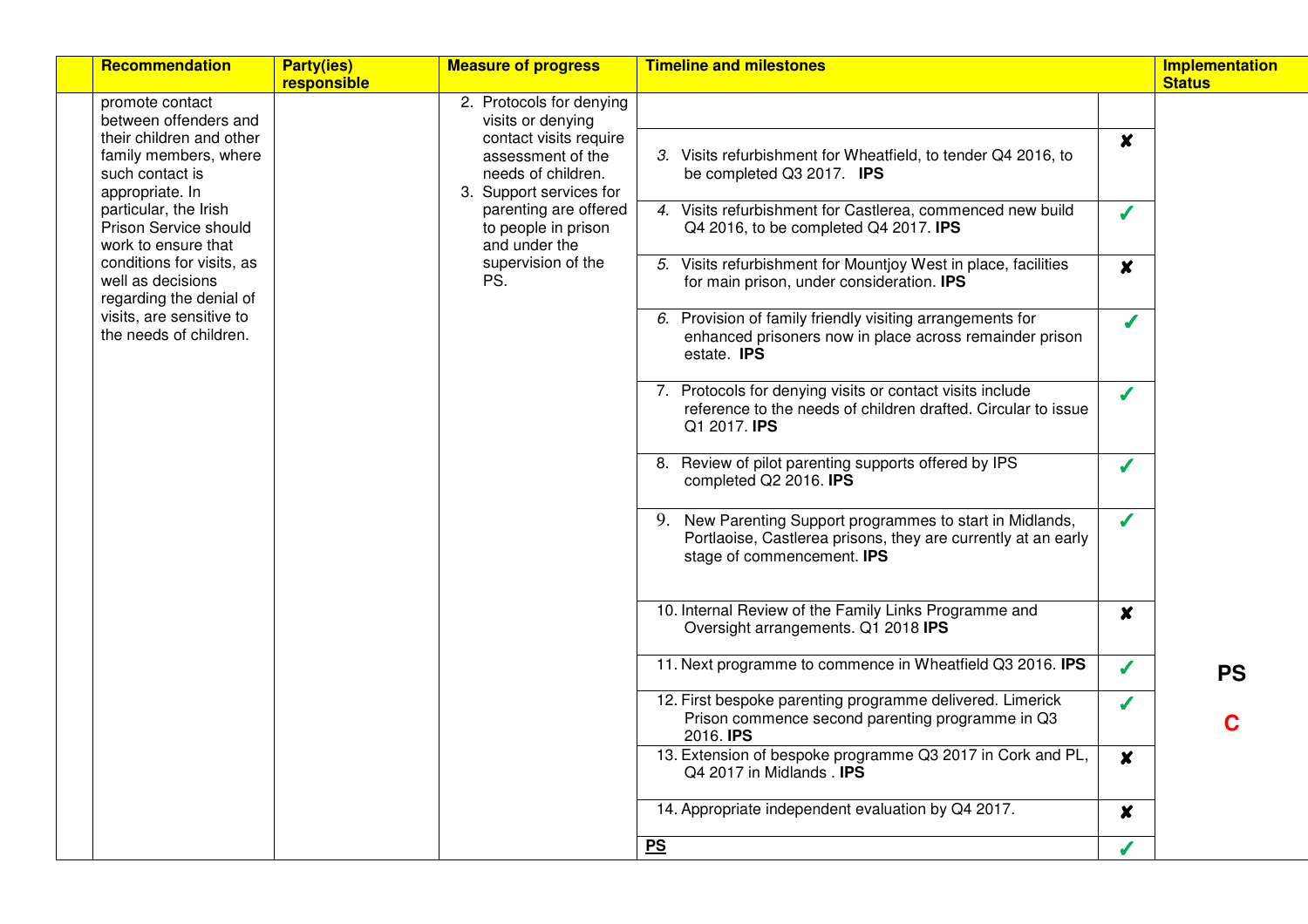|                                                                                                                                                  | Recommendation                                                                                                                      | <b>Party(ies)</b><br>responsible | <b>Measure of progress</b>                                                                                                                               | <b>Timeline and milestones</b>                                                                                                             |                  | <b>Implementation</b><br><b>Status</b> |
|--------------------------------------------------------------------------------------------------------------------------------------------------|-------------------------------------------------------------------------------------------------------------------------------------|----------------------------------|----------------------------------------------------------------------------------------------------------------------------------------------------------|--------------------------------------------------------------------------------------------------------------------------------------------|------------------|----------------------------------------|
|                                                                                                                                                  | promote contact<br>between offenders and<br>their children and other<br>family members, where<br>such contact is<br>appropriate. In |                                  | 2. Protocols for denying<br>visits or denying<br>contact visits require<br>assessment of the<br>needs of children.<br>3. Support services for            | 3. Visits refurbishment for Wheatfield, to tender Q4 2016, to<br>be completed Q3 2017. IPS                                                 | $\boldsymbol{x}$ |                                        |
| particular, the Irish<br>Prison Service should<br>work to ensure that<br>well as decisions<br>visits, are sensitive to<br>the needs of children. |                                                                                                                                     |                                  | parenting are offered<br>to people in prison<br>and under the<br>supervision of the<br>PS.                                                               | 4. Visits refurbishment for Castlerea, commenced new build<br>Q4 2016, to be completed Q4 2017. IPS                                        | J                |                                        |
|                                                                                                                                                  | conditions for visits, as<br>regarding the denial of                                                                                |                                  |                                                                                                                                                          | 5. Visits refurbishment for Mountjoy West in place, facilities<br>for main prison, under consideration. IPS                                | $\boldsymbol{x}$ |                                        |
|                                                                                                                                                  |                                                                                                                                     |                                  |                                                                                                                                                          | 6. Provision of family friendly visiting arrangements for<br>enhanced prisoners now in place across remainder prison<br>estate. IPS        | $\checkmark$     |                                        |
|                                                                                                                                                  |                                                                                                                                     |                                  |                                                                                                                                                          | 7. Protocols for denying visits or contact visits include<br>reference to the needs of children drafted. Circular to issue<br>Q1 2017. IPS | $\boldsymbol{J}$ |                                        |
|                                                                                                                                                  |                                                                                                                                     |                                  |                                                                                                                                                          | 8. Review of pilot parenting supports offered by IPS<br>completed Q2 2016. IPS                                                             | J                |                                        |
|                                                                                                                                                  |                                                                                                                                     |                                  | 9. New Parenting Support programmes to start in Midlands,<br>Portlaoise, Castlerea prisons, they are currently at an early<br>stage of commencement. IPS | J                                                                                                                                          |                  |                                        |
|                                                                                                                                                  |                                                                                                                                     |                                  |                                                                                                                                                          | 10. Internal Review of the Family Links Programme and<br>Oversight arrangements. Q1 2018 IPS                                               | $\boldsymbol{x}$ |                                        |
|                                                                                                                                                  |                                                                                                                                     |                                  |                                                                                                                                                          | 11. Next programme to commence in Wheatfield Q3 2016. IPS                                                                                  | $\boldsymbol{J}$ | <b>PS</b>                              |
|                                                                                                                                                  |                                                                                                                                     |                                  |                                                                                                                                                          | 12. First bespoke parenting programme delivered. Limerick<br>Prison commence second parenting programme in Q3<br>2016. <b>IPS</b>          | J                | Ć                                      |
|                                                                                                                                                  |                                                                                                                                     |                                  |                                                                                                                                                          | 13. Extension of bespoke programme Q3 2017 in Cork and PL,<br>Q4 2017 in Midlands . IPS                                                    | $\boldsymbol{x}$ |                                        |
|                                                                                                                                                  |                                                                                                                                     |                                  |                                                                                                                                                          | 14. Appropriate independent evaluation by Q4 2017.                                                                                         | $\boldsymbol{x}$ |                                        |
|                                                                                                                                                  |                                                                                                                                     |                                  |                                                                                                                                                          | PS                                                                                                                                         |                  |                                        |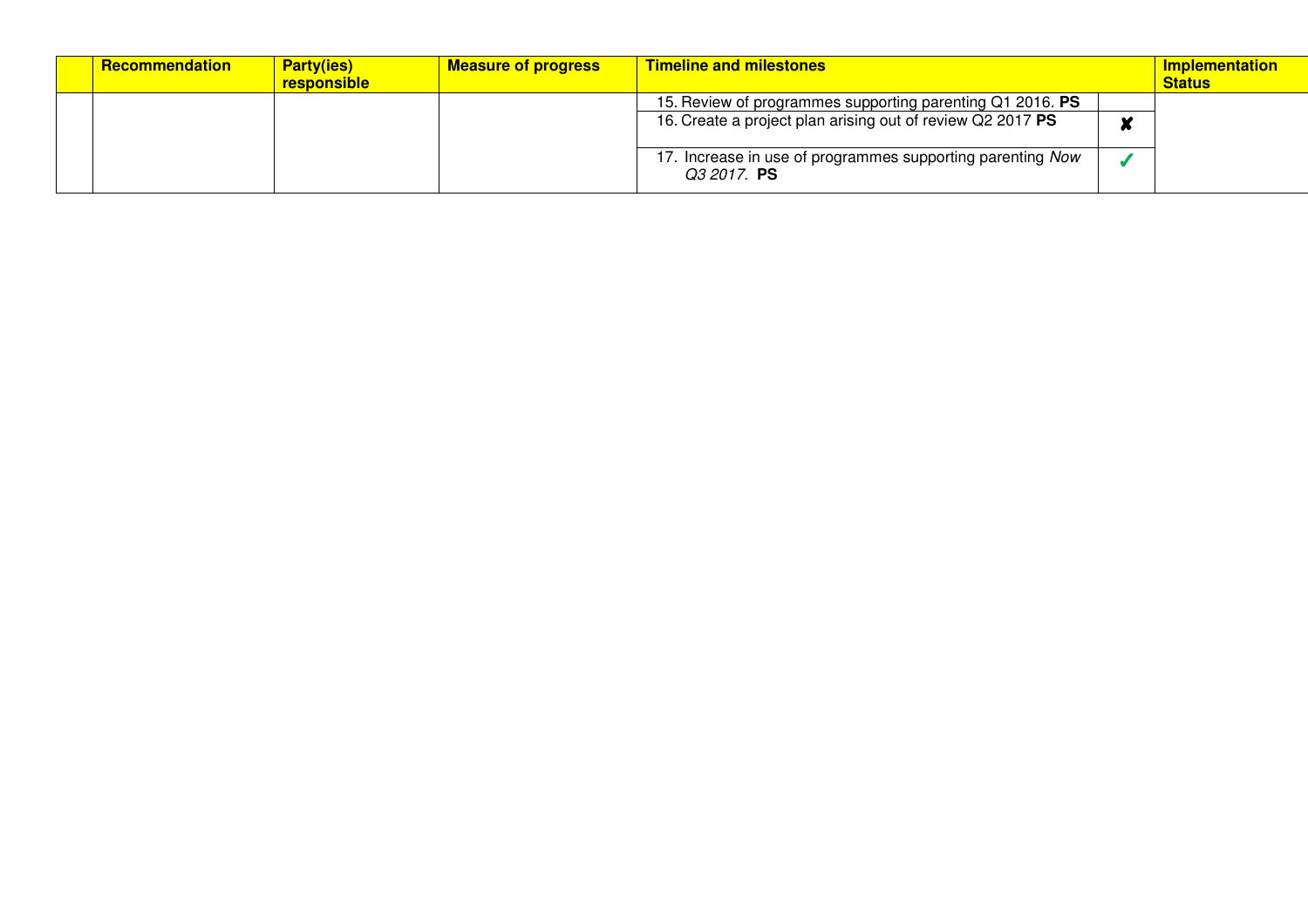| <b>Recommendation</b> | <b>Party(ies)</b><br>responsible | <b>Measure of progress</b> | <b>Timeline and milestones</b>                                            | <b>Implementation</b><br><b>Status</b> |
|-----------------------|----------------------------------|----------------------------|---------------------------------------------------------------------------|----------------------------------------|
|                       |                                  |                            | 15. Review of programmes supporting parenting Q1 2016. PS                 |                                        |
|                       |                                  |                            | 16. Create a project plan arising out of review Q2 2017 PS                |                                        |
|                       |                                  |                            | 17. Increase in use of programmes supporting parenting Now<br>Q3 2017. PS |                                        |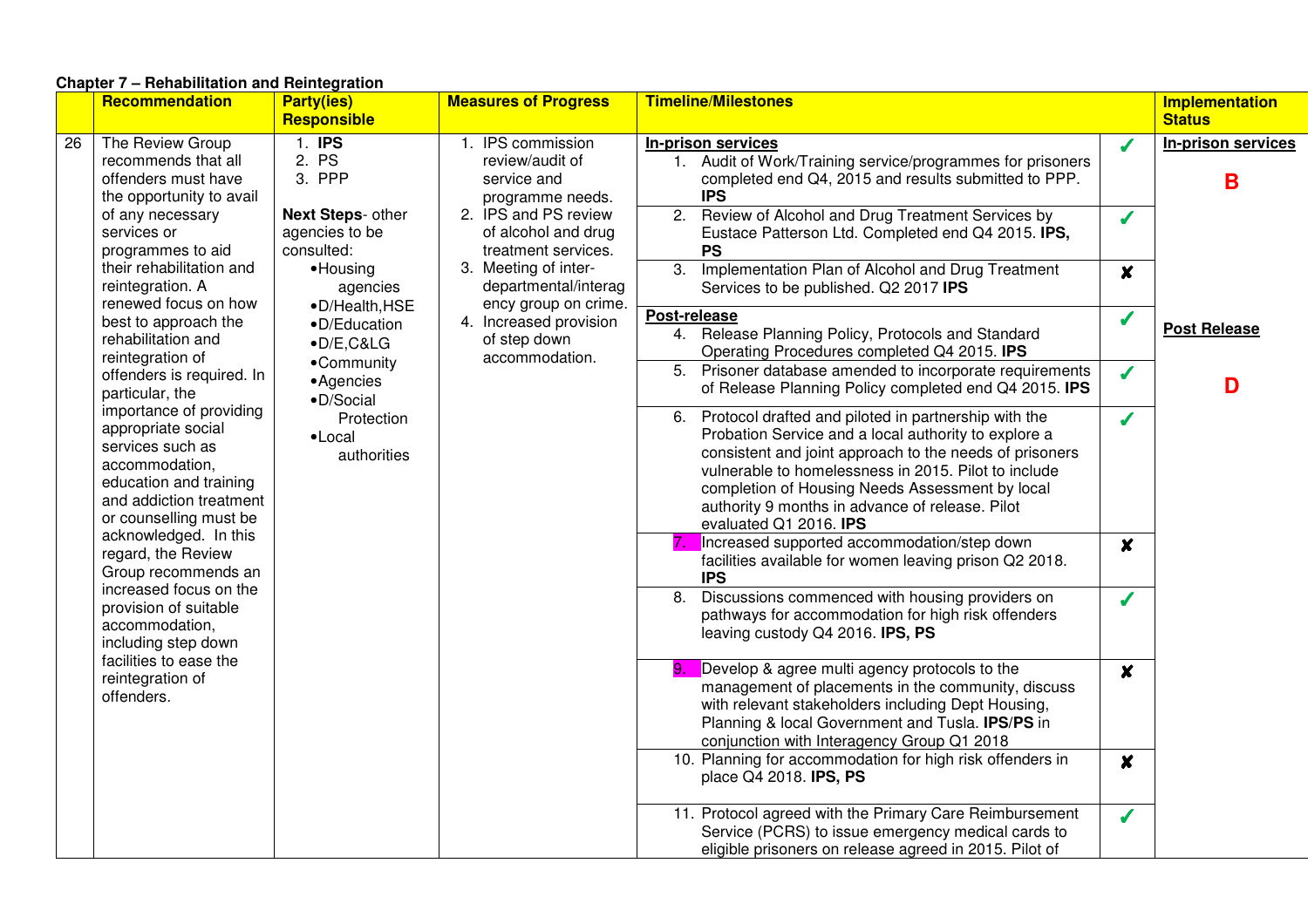# **Chapter 7 – Rehabilitation and Reintegration**

|    | <b>Recommendation</b>                                                                                                                                                                       | <b>Party(ies)</b><br><b>Responsible</b>                                                         | <b>Measures of Progress</b>                                                                                                                                                                                   | <b>Timeline/Milestones</b>                                                                                                                                                                                                                                                                                                                                         |                         | <b>Implementation</b><br><b>Status</b> |
|----|---------------------------------------------------------------------------------------------------------------------------------------------------------------------------------------------|-------------------------------------------------------------------------------------------------|---------------------------------------------------------------------------------------------------------------------------------------------------------------------------------------------------------------|--------------------------------------------------------------------------------------------------------------------------------------------------------------------------------------------------------------------------------------------------------------------------------------------------------------------------------------------------------------------|-------------------------|----------------------------------------|
| 26 | $1.$ IPS<br>The Review Group<br>2. PS<br>recommends that all<br>3. PPP<br>offenders must have<br>the opportunity to avail<br><b>Next Steps- other</b><br>of any necessary                   | 1. IPS commission<br>review/audit of<br>service and<br>programme needs.<br>2. IPS and PS review | In-prison services<br>1. Audit of Work/Training service/programmes for prisoners<br>completed end Q4, 2015 and results submitted to PPP.<br><b>IPS</b><br>2. Review of Alcohol and Drug Treatment Services by | J<br>J                                                                                                                                                                                                                                                                                                                                                             | In-prison services<br>B |                                        |
|    | services or<br>programmes to aid<br>their rehabilitation and<br>reintegration. A                                                                                                            | agencies to be<br>consulted:<br>·Housing<br>agencies                                            | of alcohol and drug<br>treatment services.<br>3. Meeting of inter-<br>departmental/interag                                                                                                                    | Eustace Patterson Ltd. Completed end Q4 2015. IPS,<br><b>PS</b><br>3.<br>Implementation Plan of Alcohol and Drug Treatment<br>Services to be published. Q2 2017 IPS                                                                                                                                                                                                | $\boldsymbol{x}$        |                                        |
|    | renewed focus on how<br>•D/Health, HSE<br>best to approach the<br>•D/Education<br>rehabilitation and<br>$\bullet$ D/E, C&LG<br>reintegration of<br>•Community                               | ency group on crime.<br>4. Increased provision<br>of step down<br>accommodation.                | Post-release<br>4. Release Planning Policy, Protocols and Standard<br>Operating Procedures completed Q4 2015. IPS                                                                                             | $\checkmark$                                                                                                                                                                                                                                                                                                                                                       | <b>Post Release</b>     |                                        |
|    | offenders is required. In<br>particular, the                                                                                                                                                | • Agencies<br>·D/Social                                                                         |                                                                                                                                                                                                               | 5. Prisoner database amended to incorporate requirements<br>of Release Planning Policy completed end Q4 2015. IPS                                                                                                                                                                                                                                                  | J                       | D                                      |
|    | importance of providing<br>appropriate social<br>services such as<br>accommodation,<br>education and training<br>and addiction treatment<br>or counselling must be<br>acknowledged. In this | Protection<br>$\bullet$ Local<br>authorities                                                    |                                                                                                                                                                                                               | 6. Protocol drafted and piloted in partnership with the<br>Probation Service and a local authority to explore a<br>consistent and joint approach to the needs of prisoners<br>vulnerable to homelessness in 2015. Pilot to include<br>completion of Housing Needs Assessment by local<br>authority 9 months in advance of release. Pilot<br>evaluated Q1 2016. IPS | J                       |                                        |
|    | regard, the Review<br>Group recommends an                                                                                                                                                   |                                                                                                 |                                                                                                                                                                                                               | Increased supported accommodation/step down<br>facilities available for women leaving prison Q2 2018.<br><b>IPS</b>                                                                                                                                                                                                                                                | $\boldsymbol{x}$        |                                        |
|    | increased focus on the<br>provision of suitable<br>accommodation,<br>including step down<br>facilities to ease the                                                                          |                                                                                                 |                                                                                                                                                                                                               | Discussions commenced with housing providers on<br>8.<br>pathways for accommodation for high risk offenders<br>leaving custody Q4 2016. IPS, PS                                                                                                                                                                                                                    | Í                       |                                        |
|    | reintegration of<br>offenders.                                                                                                                                                              |                                                                                                 |                                                                                                                                                                                                               | Develop & agree multi agency protocols to the<br>9.<br>management of placements in the community, discuss<br>with relevant stakeholders including Dept Housing,<br>Planning & local Government and Tusla. IPS/PS in<br>conjunction with Interagency Group Q1 2018                                                                                                  | $\boldsymbol{x}$        |                                        |
|    |                                                                                                                                                                                             |                                                                                                 |                                                                                                                                                                                                               | 10. Planning for accommodation for high risk offenders in<br>place Q4 2018. <b>IPS, PS</b>                                                                                                                                                                                                                                                                         | $\boldsymbol{x}$        |                                        |
|    |                                                                                                                                                                                             |                                                                                                 |                                                                                                                                                                                                               | 11. Protocol agreed with the Primary Care Reimbursement<br>Service (PCRS) to issue emergency medical cards to<br>eligible prisoners on release agreed in 2015. Pilot of                                                                                                                                                                                            | $\sqrt{\frac{1}{2}}$    |                                        |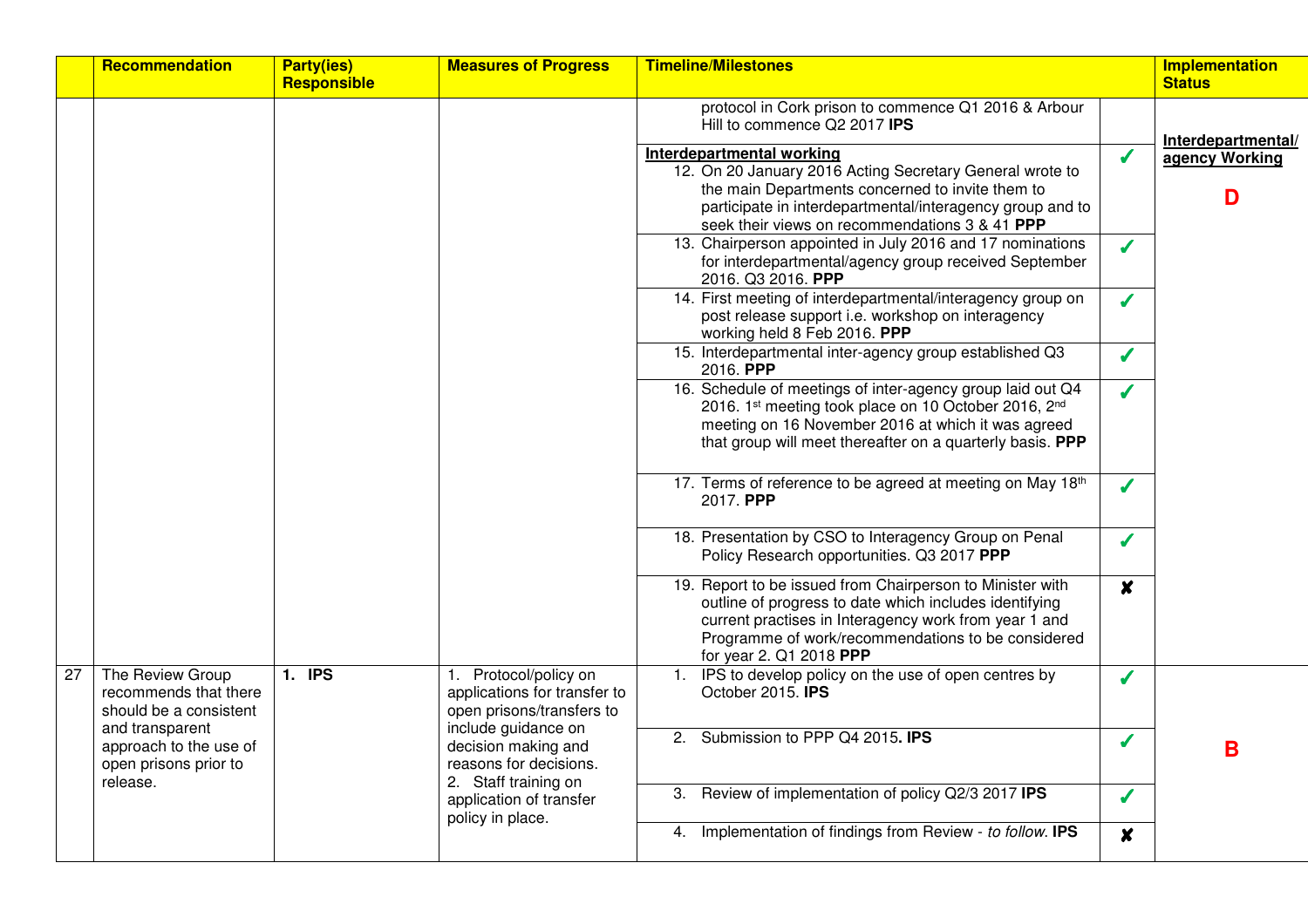|    | Recommendation                                                                                                                            | <b>Party(ies)</b><br><b>Responsible</b>                                                                                                                                                                                                     | <b>Measures of Progress</b>                                | <b>Timeline/Milestones</b>                                                                                                                                                                                                                                    |                  | <b>Implementation</b><br><b>Status</b> |
|----|-------------------------------------------------------------------------------------------------------------------------------------------|---------------------------------------------------------------------------------------------------------------------------------------------------------------------------------------------------------------------------------------------|------------------------------------------------------------|---------------------------------------------------------------------------------------------------------------------------------------------------------------------------------------------------------------------------------------------------------------|------------------|----------------------------------------|
|    |                                                                                                                                           |                                                                                                                                                                                                                                             |                                                            | protocol in Cork prison to commence Q1 2016 & Arbour<br>Hill to commence Q2 2017 IPS                                                                                                                                                                          |                  | Interdepartmental/                     |
|    |                                                                                                                                           |                                                                                                                                                                                                                                             |                                                            | Interdepartmental working<br>12. On 20 January 2016 Acting Secretary General wrote to<br>the main Departments concerned to invite them to<br>participate in interdepartmental/interagency group and to<br>seek their views on recommendations 3 & 41 PPP      | $\sqrt{2}$       | agency Working<br>D                    |
|    |                                                                                                                                           |                                                                                                                                                                                                                                             |                                                            | 13. Chairperson appointed in July 2016 and 17 nominations<br>for interdepartmental/agency group received September<br>2016. Q3 2016. PPP                                                                                                                      | $\boldsymbol{J}$ |                                        |
|    |                                                                                                                                           |                                                                                                                                                                                                                                             |                                                            | 14. First meeting of interdepartmental/interagency group on<br>post release support i.e. workshop on interagency<br>working held 8 Feb 2016. PPP                                                                                                              | $\boldsymbol{J}$ |                                        |
|    |                                                                                                                                           |                                                                                                                                                                                                                                             |                                                            | 15. Interdepartmental inter-agency group established Q3<br>2016. PPP                                                                                                                                                                                          | $\boldsymbol{J}$ |                                        |
|    |                                                                                                                                           |                                                                                                                                                                                                                                             |                                                            | 16. Schedule of meetings of inter-agency group laid out Q4<br>2016. 1st meeting took place on 10 October 2016, 2nd<br>meeting on 16 November 2016 at which it was agreed<br>that group will meet thereafter on a quarterly basis. PPP                         | $\sqrt{2}$       |                                        |
|    |                                                                                                                                           |                                                                                                                                                                                                                                             |                                                            | 17. Terms of reference to be agreed at meeting on May 18th<br>2017. PPP                                                                                                                                                                                       | J                |                                        |
|    |                                                                                                                                           |                                                                                                                                                                                                                                             |                                                            | 18. Presentation by CSO to Interagency Group on Penal<br>Policy Research opportunities. Q3 2017 PPP                                                                                                                                                           | J                |                                        |
|    |                                                                                                                                           |                                                                                                                                                                                                                                             |                                                            | 19. Report to be issued from Chairperson to Minister with<br>outline of progress to date which includes identifying<br>current practises in Interagency work from year 1 and<br>Programme of work/recommendations to be considered<br>for year 2. Q1 2018 PPP | $\boldsymbol{x}$ |                                        |
| 27 | The Review Group<br>recommends that there<br>should be a consistent<br>and transparent<br>approach to the use of<br>open prisons prior to | 1. IPS<br>1. Protocol/policy on<br>applications for transfer to<br>open prisons/transfers to<br>include guidance on<br>decision making and<br>reasons for decisions.<br>2. Staff training on<br>application of transfer<br>policy in place. |                                                            | IPS to develop policy on the use of open centres by<br>October 2015. IPS                                                                                                                                                                                      | $\boldsymbol{J}$ |                                        |
|    |                                                                                                                                           |                                                                                                                                                                                                                                             |                                                            | Submission to PPP Q4 2015. IPS<br>2 <sup>1</sup>                                                                                                                                                                                                              | $\checkmark$     | B                                      |
|    | release.                                                                                                                                  |                                                                                                                                                                                                                                             | Review of implementation of policy Q2/3 2017 IPS           | J                                                                                                                                                                                                                                                             |                  |                                        |
|    |                                                                                                                                           |                                                                                                                                                                                                                                             | 4. Implementation of findings from Review - to follow. IPS | $\boldsymbol{x}$                                                                                                                                                                                                                                              |                  |                                        |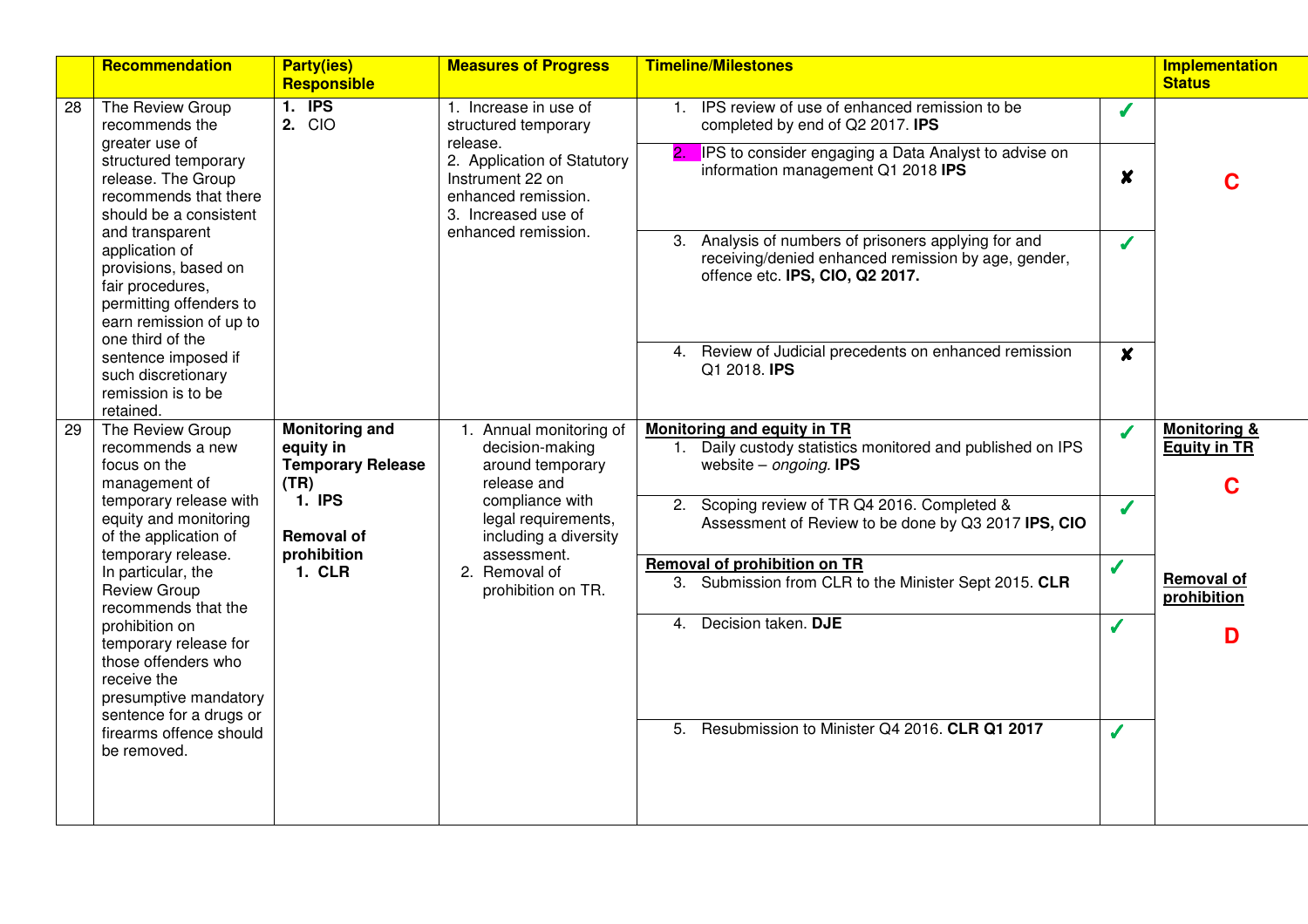|    | <b>Recommendation</b>                                                                                                                                   | <b>Party(ies)</b><br>Responsible                                       | <b>Measures of Progress</b>                                                                                           | <b>Timeline/Milestones</b>                                                                                                                     |                  | <b>Implementation</b><br><b>Status</b>              |
|----|---------------------------------------------------------------------------------------------------------------------------------------------------------|------------------------------------------------------------------------|-----------------------------------------------------------------------------------------------------------------------|------------------------------------------------------------------------------------------------------------------------------------------------|------------------|-----------------------------------------------------|
| 28 | The Review Group<br>recommends the<br>greater use of                                                                                                    | $1.$ IPS<br>2. CIO                                                     | 1. Increase in use of<br>structured temporary<br>release.                                                             | 1. IPS review of use of enhanced remission to be<br>completed by end of Q2 2017. IPS                                                           | J                |                                                     |
|    | structured temporary<br>release. The Group<br>recommends that there<br>should be a consistent                                                           |                                                                        | 2. Application of Statutory<br>Instrument 22 on<br>enhanced remission.<br>3. Increased use of<br>enhanced remission.  | <b>IPS</b> to consider engaging a Data Analyst to advise on<br>information management Q1 2018 IPS                                              | X                | C                                                   |
|    | and transparent<br>application of<br>provisions, based on<br>fair procedures,<br>permitting offenders to<br>earn remission of up to<br>one third of the |                                                                        |                                                                                                                       | 3. Analysis of numbers of prisoners applying for and<br>receiving/denied enhanced remission by age, gender,<br>offence etc. IPS, CIO, Q2 2017. | J                |                                                     |
|    | sentence imposed if<br>such discretionary<br>remission is to be<br>retained.                                                                            |                                                                        |                                                                                                                       | 4. Review of Judicial precedents on enhanced remission<br>Q1 2018. IPS                                                                         | $\boldsymbol{x}$ |                                                     |
| 29 | The Review Group<br>recommends a new<br>focus on the<br>management of                                                                                   | <b>Monitoring and</b><br>equity in<br><b>Temporary Release</b><br>(TR) | 1. Annual monitoring of<br>decision-making<br>around temporary<br>release and                                         | Monitoring and equity in TR<br>1. Daily custody statistics monitored and published on IPS<br>website $-$ ongoing. <b>IPS</b>                   | Í                | <b>Monitoring &amp;</b><br><b>Equity in TR</b><br>C |
|    | temporary release with<br>equity and monitoring<br>of the application of<br>temporary release.                                                          | <b>1. IPS</b><br><b>Removal of</b><br>prohibition<br><b>1. CLR</b>     | compliance with<br>legal requirements,<br>including a diversity<br>assessment.<br>2. Removal of<br>prohibition on TR. | 2. Scoping review of TR Q4 2016. Completed &<br>Assessment of Review to be done by Q3 2017 IPS, CIO                                            | J                | <b>Removal of</b><br>prohibition<br>D               |
|    | In particular, the<br><b>Review Group</b><br>recommends that the                                                                                        |                                                                        |                                                                                                                       | <b>Removal of prohibition on TR</b><br>3. Submission from CLR to the Minister Sept 2015. CLR                                                   | $\checkmark$     |                                                     |
|    | prohibition on<br>temporary release for<br>those offenders who<br>receive the<br>presumptive mandatory<br>sentence for a drugs or                       |                                                                        |                                                                                                                       | 4. Decision taken. DJE                                                                                                                         | $\boldsymbol{J}$ |                                                     |
|    | firearms offence should<br>be removed.                                                                                                                  |                                                                        |                                                                                                                       | 5. Resubmission to Minister Q4 2016. CLR Q1 2017                                                                                               |                  |                                                     |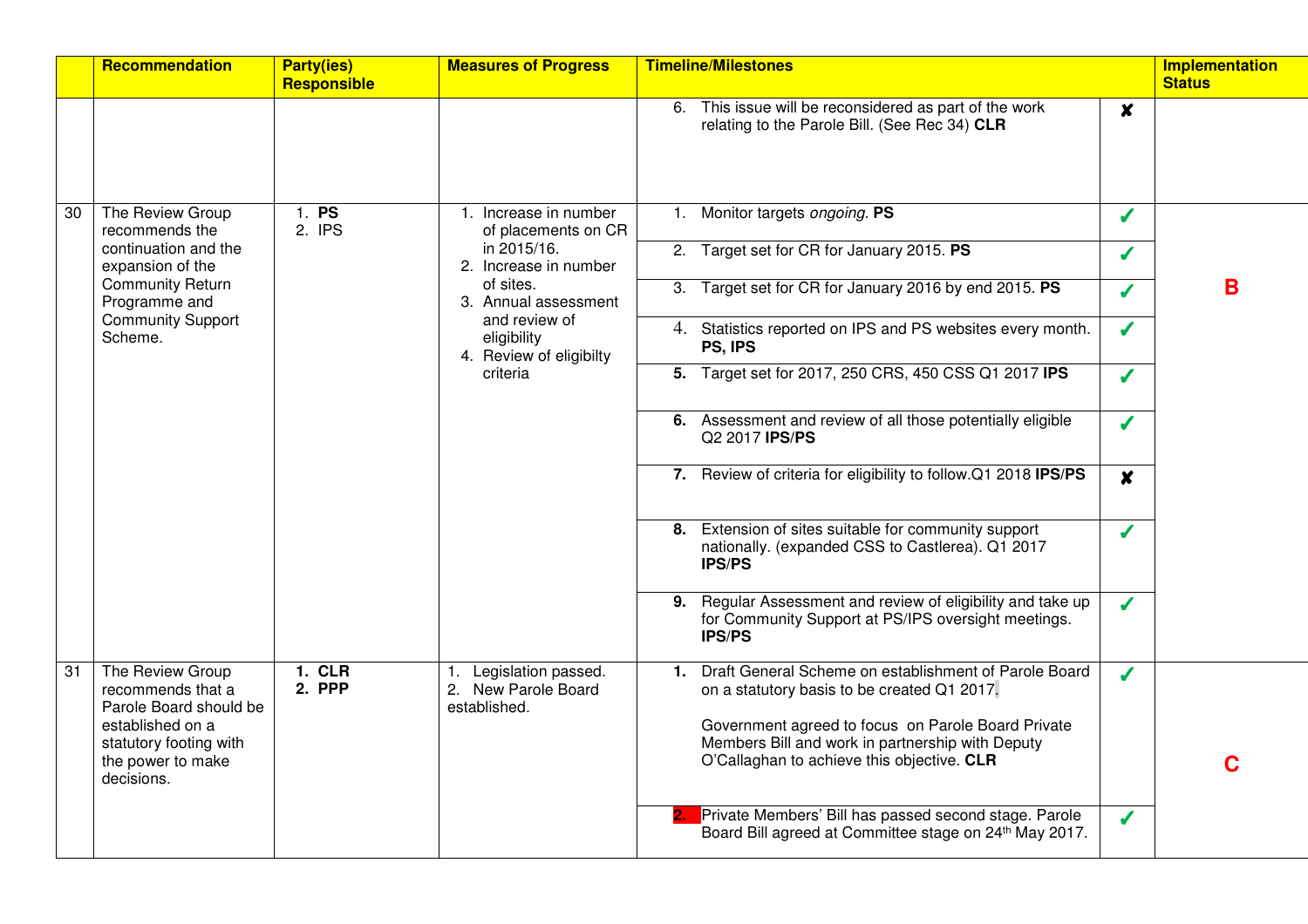|    | Recommendation                                                                                                                                   | <b>Party(ies)</b><br><b>Responsible</b>                 | <b>Measures of Progress</b>                                                  | <b>Timeline/Milestones</b>                                                                                                                                                                                                                                         |                  | <b>Implementation</b><br><b>Status</b> |
|----|--------------------------------------------------------------------------------------------------------------------------------------------------|---------------------------------------------------------|------------------------------------------------------------------------------|--------------------------------------------------------------------------------------------------------------------------------------------------------------------------------------------------------------------------------------------------------------------|------------------|----------------------------------------|
|    |                                                                                                                                                  |                                                         |                                                                              | 6. This issue will be reconsidered as part of the work<br>relating to the Parole Bill. (See Rec 34) CLR                                                                                                                                                            | $\boldsymbol{x}$ |                                        |
| 30 | The Review Group<br>recommends the                                                                                                               | 1. P <sub>S</sub><br>2. IPS                             | 1. Increase in number<br>of placements on CR                                 | 1. Monitor targets ongoing. PS                                                                                                                                                                                                                                     | J                |                                        |
|    | continuation and the<br>expansion of the                                                                                                         | in 2015/16.<br>2. Increase in number                    | 2. Target set for CR for January 2015. PS                                    | J                                                                                                                                                                                                                                                                  |                  |                                        |
|    | <b>Community Return</b><br>Programme and                                                                                                         |                                                         | of sites.<br>3. Annual assessment                                            | 3. Target set for CR for January 2016 by end 2015. PS                                                                                                                                                                                                              | J                | B                                      |
|    | <b>Community Support</b><br>Scheme.                                                                                                              | and review of<br>eligibility<br>4. Review of eligibilty | 4. Statistics reported on IPS and PS websites every month.<br>PS, IPS        | J                                                                                                                                                                                                                                                                  |                  |                                        |
|    |                                                                                                                                                  |                                                         | criteria                                                                     | 5. Target set for 2017, 250 CRS, 450 CSS Q1 2017 IPS                                                                                                                                                                                                               | J                |                                        |
|    |                                                                                                                                                  |                                                         | 6. Assessment and review of all those potentially eligible<br>Q2 2017 IPS/PS | $\boldsymbol{J}$                                                                                                                                                                                                                                                   |                  |                                        |
|    |                                                                                                                                                  |                                                         |                                                                              | 7. Review of criteria for eligibility to follow.Q1 2018 IPS/PS                                                                                                                                                                                                     | $\boldsymbol{x}$ |                                        |
|    |                                                                                                                                                  |                                                         |                                                                              | 8. Extension of sites suitable for community support<br>nationally. (expanded CSS to Castlerea). Q1 2017<br><b>IPS/PS</b>                                                                                                                                          | $\boldsymbol{J}$ |                                        |
|    |                                                                                                                                                  |                                                         |                                                                              | 9. Regular Assessment and review of eligibility and take up<br>for Community Support at PS/IPS oversight meetings.<br><b>IPS/PS</b>                                                                                                                                | J                |                                        |
| 31 | The Review Group<br>recommends that a<br>Parole Board should be<br>established on a<br>statutory footing with<br>the power to make<br>decisions. | <b>1. CLR</b><br>2. PPP                                 | Legislation passed.<br>1.<br>2. New Parole Board<br>established.             | Draft General Scheme on establishment of Parole Board<br>1.<br>on a statutory basis to be created Q1 2017.<br>Government agreed to focus on Parole Board Private<br>Members Bill and work in partnership with Deputy<br>O'Callaghan to achieve this objective. CLR | $\boldsymbol{J}$ | C                                      |
|    |                                                                                                                                                  |                                                         |                                                                              | Private Members' Bill has passed second stage. Parole<br>Board Bill agreed at Committee stage on 24 <sup>th</sup> May 2017.                                                                                                                                        | J                |                                        |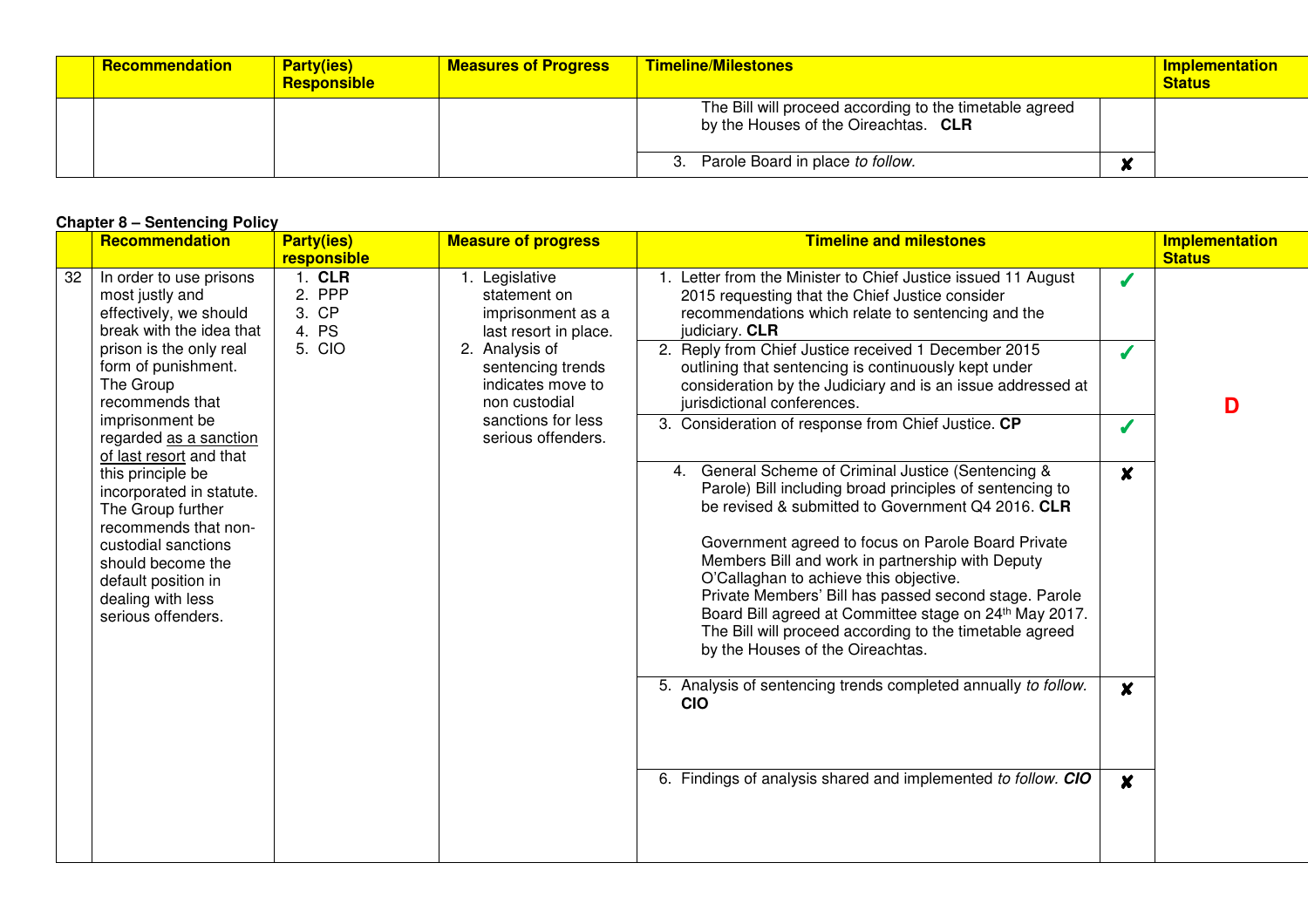| <b>Recommendation</b> | <b>Party(ies)</b><br><b>Responsible</b> | <b>Measures of Progress</b> | <b>Timeline/Milestones</b>                                                                      | <b>Implementation</b><br><b>Status</b> |
|-----------------------|-----------------------------------------|-----------------------------|-------------------------------------------------------------------------------------------------|----------------------------------------|
|                       |                                         |                             | The Bill will proceed according to the timetable agreed<br>by the Houses of the Oireachtas. CLR |                                        |
|                       |                                         |                             | 3. Parole Board in place to follow.                                                             |                                        |

#### **Chapter 8 – Sentencing Policy**

|    | <b>Recommendation</b>                                                                                                                                                                                                                                                                                                                                                                                                                                                  | <b>Party(ies)</b><br>Responsible                            | <b>Measures of Progress</b>                                                                                                                                                                           | <b>Timeline/Milestones</b>                                                                                                                                                                                                                                                                                                                                                                                                                                                                                                                                                                                                                                                                                                                                                                                                                                                                                                                                                                                                                                                                                                                                   |                                                                         | <b>Implementation</b><br><b>Status</b> |
|----|------------------------------------------------------------------------------------------------------------------------------------------------------------------------------------------------------------------------------------------------------------------------------------------------------------------------------------------------------------------------------------------------------------------------------------------------------------------------|-------------------------------------------------------------|-------------------------------------------------------------------------------------------------------------------------------------------------------------------------------------------------------|--------------------------------------------------------------------------------------------------------------------------------------------------------------------------------------------------------------------------------------------------------------------------------------------------------------------------------------------------------------------------------------------------------------------------------------------------------------------------------------------------------------------------------------------------------------------------------------------------------------------------------------------------------------------------------------------------------------------------------------------------------------------------------------------------------------------------------------------------------------------------------------------------------------------------------------------------------------------------------------------------------------------------------------------------------------------------------------------------------------------------------------------------------------|-------------------------------------------------------------------------|----------------------------------------|
|    |                                                                                                                                                                                                                                                                                                                                                                                                                                                                        |                                                             |                                                                                                                                                                                                       | The Bill will proceed according to the timetable agreed<br>by the Houses of the Oireachtas. CLR                                                                                                                                                                                                                                                                                                                                                                                                                                                                                                                                                                                                                                                                                                                                                                                                                                                                                                                                                                                                                                                              |                                                                         |                                        |
|    |                                                                                                                                                                                                                                                                                                                                                                                                                                                                        |                                                             |                                                                                                                                                                                                       | 3. Parole Board in place to follow.                                                                                                                                                                                                                                                                                                                                                                                                                                                                                                                                                                                                                                                                                                                                                                                                                                                                                                                                                                                                                                                                                                                          | $\boldsymbol{x}$                                                        |                                        |
|    | <b>Chapter 8 - Sentencing Policy</b><br>Recommendation                                                                                                                                                                                                                                                                                                                                                                                                                 | <b>Party(ies)</b>                                           | <b>Measure of progress</b>                                                                                                                                                                            | <b>Timeline and milestones</b>                                                                                                                                                                                                                                                                                                                                                                                                                                                                                                                                                                                                                                                                                                                                                                                                                                                                                                                                                                                                                                                                                                                               |                                                                         | <b>Implementation</b>                  |
| 32 | In order to use prisons<br>most justly and<br>effectively, we should<br>break with the idea that<br>prison is the only real<br>form of punishment.<br>The Group<br>recommends that<br>imprisonment be<br>regarded as a sanction<br>of last resort and that<br>this principle be<br>incorporated in statute.<br>The Group further<br>recommends that non-<br>custodial sanctions<br>should become the<br>default position in<br>dealing with less<br>serious offenders. | responsible<br>1. CLR<br>2. PPP<br>3. CP<br>4. PS<br>5. CIO | 1. Legislative<br>statement on<br>imprisonment as a<br>last resort in place.<br>2. Analysis of<br>sentencing trends<br>indicates move to<br>non custodial<br>sanctions for less<br>serious offenders. | 1. Letter from the Minister to Chief Justice issued 11 August<br>2015 requesting that the Chief Justice consider<br>recommendations which relate to sentencing and the<br>judiciary. CLR<br>2. Reply from Chief Justice received 1 December 2015<br>outlining that sentencing is continuously kept under<br>consideration by the Judiciary and is an issue addressed at<br>jurisdictional conferences.<br>3. Consideration of response from Chief Justice. CP<br>4. General Scheme of Criminal Justice (Sentencing &<br>Parole) Bill including broad principles of sentencing to<br>be revised & submitted to Government Q4 2016. CLR<br>Government agreed to focus on Parole Board Private<br>Members Bill and work in partnership with Deputy<br>O'Callaghan to achieve this objective.<br>Private Members' Bill has passed second stage. Parole<br>Board Bill agreed at Committee stage on 24th May 2017.<br>The Bill will proceed according to the timetable agreed<br>by the Houses of the Oireachtas.<br>5. Analysis of sentencing trends completed annually to follow.<br><b>CIO</b><br>6. Findings of analysis shared and implemented to follow. CIO | J<br>Í<br>J<br>$\boldsymbol{x}$<br>$\boldsymbol{x}$<br>$\boldsymbol{x}$ | <b>Status</b><br>D                     |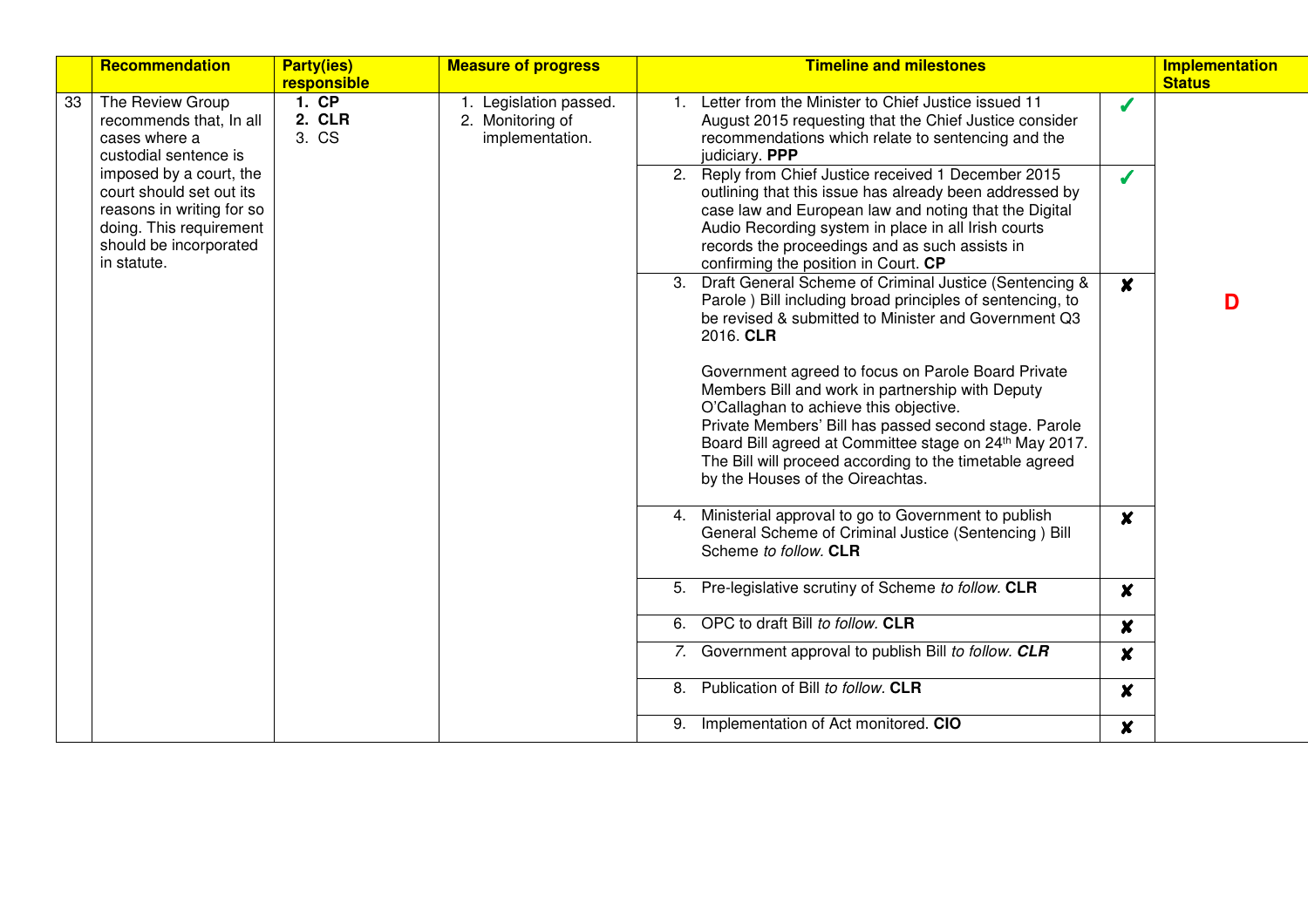|    | Recommendation                                                                                                                                       | <b>Party(ies)</b>    | <b>Measure of progress</b>                                    | <b>Timeline and milestones</b>                                                                                                                                                                                                                                                                                                                                                 | Implementation |
|----|------------------------------------------------------------------------------------------------------------------------------------------------------|----------------------|---------------------------------------------------------------|--------------------------------------------------------------------------------------------------------------------------------------------------------------------------------------------------------------------------------------------------------------------------------------------------------------------------------------------------------------------------------|----------------|
| 33 | The Review Group                                                                                                                                     | responsible<br>1. CP |                                                               | Letter from the Minister to Chief Justice issued 11                                                                                                                                                                                                                                                                                                                            | <b>Status</b>  |
|    | recommends that, In all<br>cases where a<br>custodial sentence is                                                                                    | 2. CLR<br>3. CS      | 1. Legislation passed.<br>2. Monitoring of<br>implementation. | Í<br>August 2015 requesting that the Chief Justice consider<br>recommendations which relate to sentencing and the<br>judiciary. PPP                                                                                                                                                                                                                                            |                |
|    | imposed by a court, the<br>court should set out its<br>reasons in writing for so<br>doing. This requirement<br>should be incorporated<br>in statute. |                      |                                                               | 2. Reply from Chief Justice received 1 December 2015<br>Í<br>outlining that this issue has already been addressed by<br>case law and European law and noting that the Digital<br>Audio Recording system in place in all Irish courts<br>records the proceedings and as such assists in<br>confirming the position in Court. CP                                                 |                |
|    |                                                                                                                                                      |                      |                                                               | 3. Draft General Scheme of Criminal Justice (Sentencing &<br>$\boldsymbol{x}$<br>Parole ) Bill including broad principles of sentencing, to<br>be revised & submitted to Minister and Government Q3<br>2016. CLR                                                                                                                                                               | D              |
|    |                                                                                                                                                      |                      |                                                               | Government agreed to focus on Parole Board Private<br>Members Bill and work in partnership with Deputy<br>O'Callaghan to achieve this objective.<br>Private Members' Bill has passed second stage. Parole<br>Board Bill agreed at Committee stage on 24 <sup>th</sup> May 2017.<br>The Bill will proceed according to the timetable agreed<br>by the Houses of the Oireachtas. |                |
|    |                                                                                                                                                      |                      |                                                               | 4. Ministerial approval to go to Government to publish<br>$\boldsymbol{x}$<br>General Scheme of Criminal Justice (Sentencing) Bill<br>Scheme to follow. CLR                                                                                                                                                                                                                    |                |
|    |                                                                                                                                                      |                      |                                                               | 5. Pre-legislative scrutiny of Scheme to follow. CLR<br>$\boldsymbol{x}$                                                                                                                                                                                                                                                                                                       |                |
|    |                                                                                                                                                      |                      |                                                               | 6. OPC to draft Bill to follow. CLR<br>$\boldsymbol{x}$                                                                                                                                                                                                                                                                                                                        |                |
|    |                                                                                                                                                      |                      |                                                               | 7. Government approval to publish Bill to follow. CLR<br>$\boldsymbol{x}$                                                                                                                                                                                                                                                                                                      |                |
|    |                                                                                                                                                      |                      |                                                               | 8. Publication of Bill to follow. CLR<br>$\boldsymbol{x}$                                                                                                                                                                                                                                                                                                                      |                |
|    |                                                                                                                                                      |                      |                                                               | 9. Implementation of Act monitored. CIO<br>X                                                                                                                                                                                                                                                                                                                                   |                |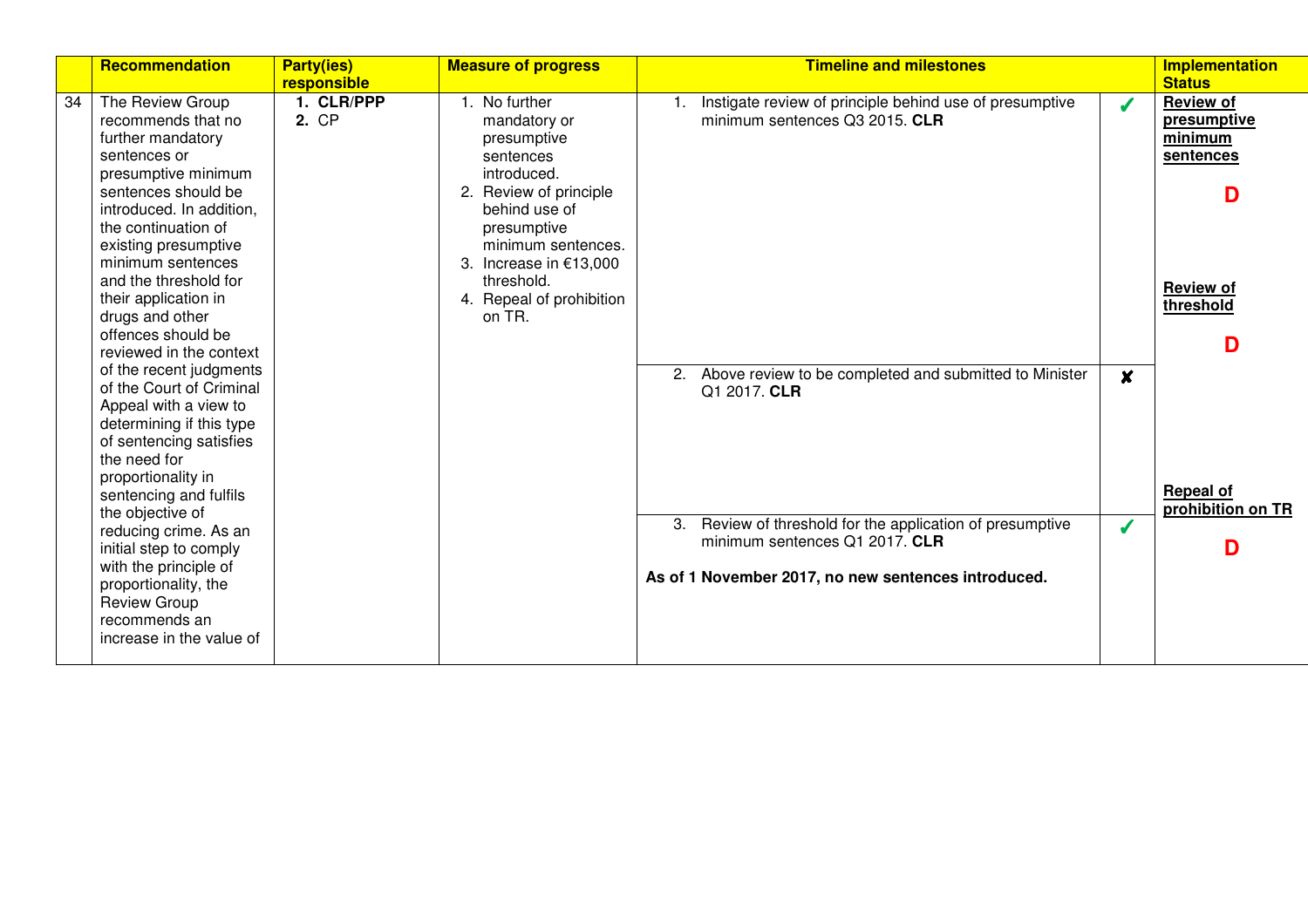|    | <b>Recommendation</b>                                                                                                                                                                                                                                                                                                                                                                           | <b>Party(ies)</b><br>responsible | <b>Measure of progress</b>                                                                                                                                                                                                          | <b>Timeline and milestones</b>                                                                                                                                                                                                  |                 | <b>Implementation</b><br><b>Status</b>                                                             |
|----|-------------------------------------------------------------------------------------------------------------------------------------------------------------------------------------------------------------------------------------------------------------------------------------------------------------------------------------------------------------------------------------------------|----------------------------------|-------------------------------------------------------------------------------------------------------------------------------------------------------------------------------------------------------------------------------------|---------------------------------------------------------------------------------------------------------------------------------------------------------------------------------------------------------------------------------|-----------------|----------------------------------------------------------------------------------------------------|
| 34 | The Review Group<br>recommends that no<br>further mandatory<br>sentences or<br>presumptive minimum<br>sentences should be<br>introduced. In addition,<br>the continuation of<br>existing presumptive<br>minimum sentences<br>and the threshold for<br>their application in<br>drugs and other<br>offences should be<br>reviewed in the context                                                  | 1. CLR/PPP<br>2. CP              | No further<br>mandatory or<br>presumptive<br>sentences<br>introduced.<br>2. Review of principle<br>behind use of<br>presumptive<br>minimum sentences.<br>3. Increase in €13,000<br>threshold.<br>4. Repeal of prohibition<br>on TR. | 1. Instigate review of principle behind use of presumptive<br>minimum sentences Q3 2015. CLR                                                                                                                                    | Í               | <b>Review of</b><br>presumptive<br>minimum<br>sentences<br>D<br><b>Review of</b><br>threshold<br>D |
|    | of the recent judgments<br>of the Court of Criminal<br>Appeal with a view to<br>determining if this type<br>of sentencing satisfies<br>the need for<br>proportionality in<br>sentencing and fulfils<br>the objective of<br>reducing crime. As an<br>initial step to comply<br>with the principle of<br>proportionality, the<br><b>Review Group</b><br>recommends an<br>increase in the value of |                                  |                                                                                                                                                                                                                                     | 2. Above review to be completed and submitted to Minister<br>Q1 2017. CLR<br>3. Review of threshold for the application of presumptive<br>minimum sentences Q1 2017. CLR<br>As of 1 November 2017, no new sentences introduced. | X<br>$\sqrt{2}$ | <b>Repeal of</b><br>prohibition on TR<br>D                                                         |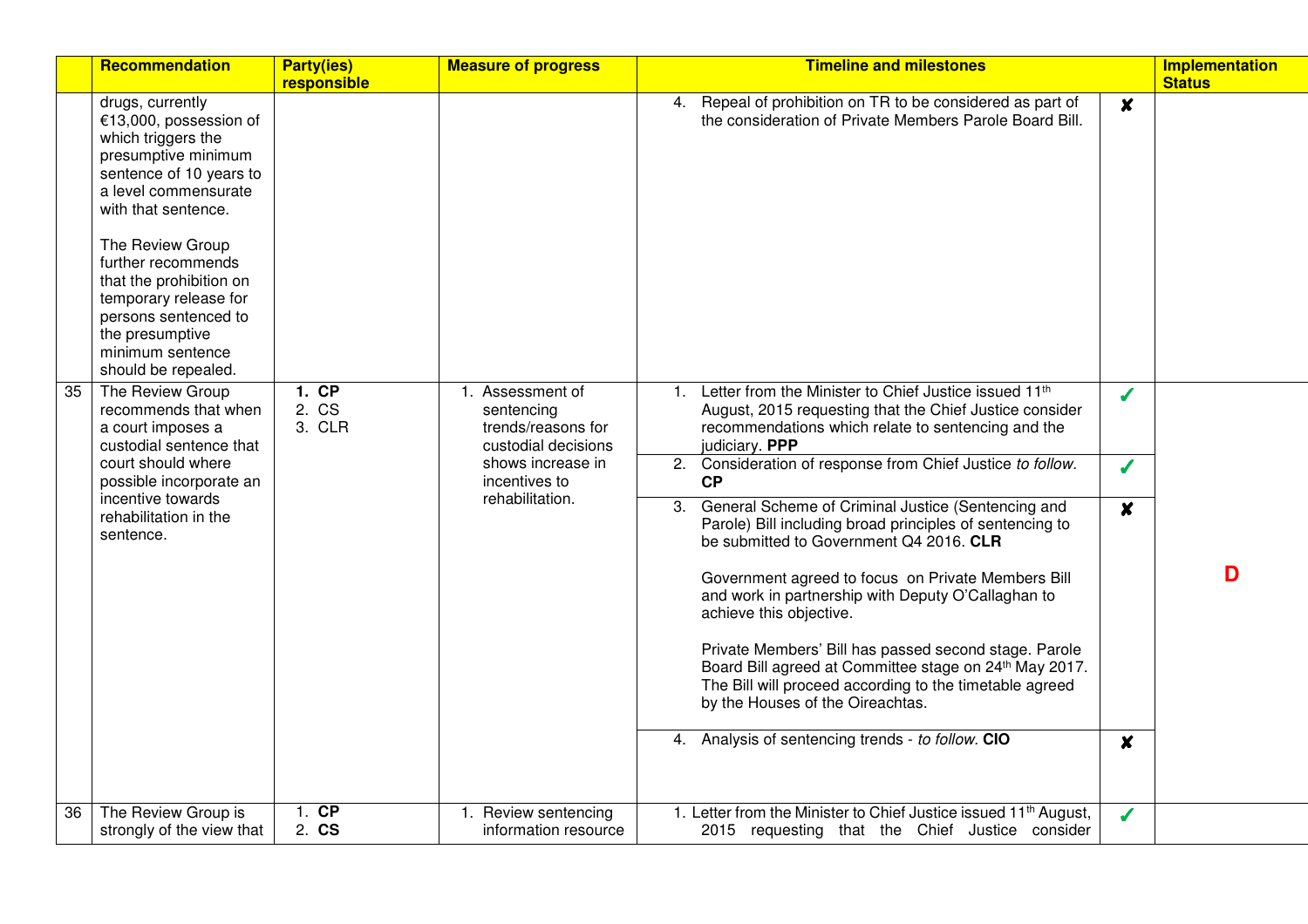|    | Recommendation                                                                                                                                                                                                                                                                                                                                        | <b>Party(ies)</b><br>responsible | <b>Measure of progress</b>                                                                                                              | <b>Timeline and milestones</b>                                                                                                                                                                                                                                                                                                                                                                                                                                                                                                                                                                                                                                                                                                                                                                                                                                                                                          | <b>Implementation</b><br><b>Status</b> |
|----|-------------------------------------------------------------------------------------------------------------------------------------------------------------------------------------------------------------------------------------------------------------------------------------------------------------------------------------------------------|----------------------------------|-----------------------------------------------------------------------------------------------------------------------------------------|-------------------------------------------------------------------------------------------------------------------------------------------------------------------------------------------------------------------------------------------------------------------------------------------------------------------------------------------------------------------------------------------------------------------------------------------------------------------------------------------------------------------------------------------------------------------------------------------------------------------------------------------------------------------------------------------------------------------------------------------------------------------------------------------------------------------------------------------------------------------------------------------------------------------------|----------------------------------------|
|    | drugs, currently<br>€13,000, possession of<br>which triggers the<br>presumptive minimum<br>sentence of 10 years to<br>a level commensurate<br>with that sentence.<br>The Review Group<br>further recommends<br>that the prohibition on<br>temporary release for<br>persons sentenced to<br>the presumptive<br>minimum sentence<br>should be repealed. |                                  |                                                                                                                                         | Repeal of prohibition on TR to be considered as part of<br>4.<br>$\boldsymbol{x}$<br>the consideration of Private Members Parole Board Bill.                                                                                                                                                                                                                                                                                                                                                                                                                                                                                                                                                                                                                                                                                                                                                                            |                                        |
| 35 | The Review Group<br>recommends that when<br>a court imposes a<br>custodial sentence that<br>court should where<br>possible incorporate an<br>incentive towards<br>rehabilitation in the<br>sentence.                                                                                                                                                  | 1.CP<br>2. CS<br>3. CLR          | Assessment of<br>1.<br>sentencing<br>trends/reasons for<br>custodial decisions<br>shows increase in<br>incentives to<br>rehabilitation. | Letter from the Minister to Chief Justice issued 11th<br>1.<br>J<br>August, 2015 requesting that the Chief Justice consider<br>recommendations which relate to sentencing and the<br>judiciary. PPP<br>Consideration of response from Chief Justice to follow.<br>2.<br>$\boldsymbol{J}$<br>CP<br>General Scheme of Criminal Justice (Sentencing and<br>3.<br>$\boldsymbol{x}$<br>Parole) Bill including broad principles of sentencing to<br>be submitted to Government Q4 2016. CLR<br>Government agreed to focus on Private Members Bill<br>and work in partnership with Deputy O'Callaghan to<br>achieve this objective.<br>Private Members' Bill has passed second stage. Parole<br>Board Bill agreed at Committee stage on 24th May 2017.<br>The Bill will proceed according to the timetable agreed<br>by the Houses of the Oireachtas.<br>4. Analysis of sentencing trends - to follow. CIO<br>$\boldsymbol{x}$ | D                                      |
| 36 | The Review Group is<br>strongly of the view that                                                                                                                                                                                                                                                                                                      | $1.$ CP<br>2. CS                 | Review sentencing<br>1.<br>information resource                                                                                         | 1. Letter from the Minister to Chief Justice issued 11 <sup>th</sup> August,<br>J<br>2015 requesting that the Chief Justice consider                                                                                                                                                                                                                                                                                                                                                                                                                                                                                                                                                                                                                                                                                                                                                                                    |                                        |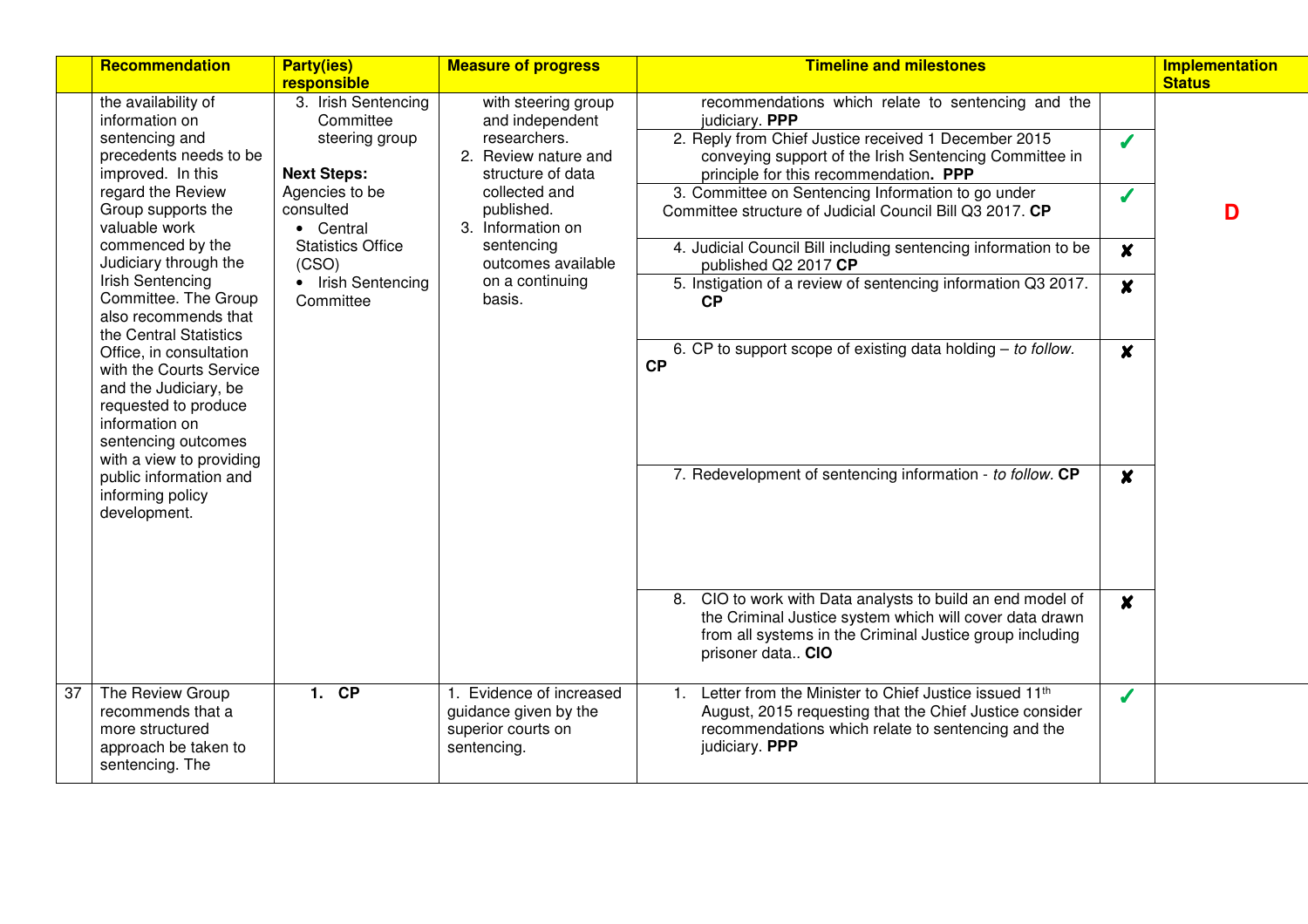|                 | Recommendation                                                                                                                                                         | <b>Party(ies)</b><br>responsible                                                                        | <b>Measure of progress</b>                                                                                                         | <b>Timeline and milestones</b>                                                                                                                                                                                                                                                                                                                     |                                      | Implementation<br><b>Status</b> |
|-----------------|------------------------------------------------------------------------------------------------------------------------------------------------------------------------|---------------------------------------------------------------------------------------------------------|------------------------------------------------------------------------------------------------------------------------------------|----------------------------------------------------------------------------------------------------------------------------------------------------------------------------------------------------------------------------------------------------------------------------------------------------------------------------------------------------|--------------------------------------|---------------------------------|
|                 | the availability of<br>information on<br>sentencing and<br>precedents needs to be<br>improved. In this<br>regard the Review<br>Group supports the                      | 3. Irish Sentencing<br>Committee<br>steering group<br><b>Next Steps:</b><br>Agencies to be<br>consulted | with steering group<br>and independent<br>researchers.<br>2. Review nature and<br>structure of data<br>collected and<br>published. | recommendations which relate to sentencing and the<br>judiciary. PPP<br>2. Reply from Chief Justice received 1 December 2015<br>conveying support of the Irish Sentencing Committee in<br>principle for this recommendation. PPP<br>3. Committee on Sentencing Information to go under<br>Committee structure of Judicial Council Bill Q3 2017. CP | $\boldsymbol{J}$<br>$\boldsymbol{J}$ | D                               |
|                 | valuable work<br>commenced by the<br>Judiciary through the<br>Irish Sentencing<br>Committee. The Group<br>also recommends that                                         | • Central<br><b>Statistics Office</b><br>(CSO)<br>• Irish Sentencing<br>Committee                       | 3. Information on<br>sentencing<br>outcomes available<br>on a continuing<br>basis.                                                 | 4. Judicial Council Bill including sentencing information to be<br>published Q2 2017 CP<br>5. Instigation of a review of sentencing information Q3 2017.<br>CP                                                                                                                                                                                     | $\boldsymbol{x}$<br>$\boldsymbol{x}$ |                                 |
|                 | the Central Statistics<br>Office, in consultation<br>with the Courts Service<br>and the Judiciary, be<br>requested to produce<br>information on<br>sentencing outcomes |                                                                                                         |                                                                                                                                    | 6. CP to support scope of existing data holding $-$ to follow.<br><b>CP</b>                                                                                                                                                                                                                                                                        | $\boldsymbol{x}$                     |                                 |
|                 | with a view to providing<br>public information and<br>informing policy<br>development.                                                                                 |                                                                                                         |                                                                                                                                    | 7. Redevelopment of sentencing information - to follow. CP                                                                                                                                                                                                                                                                                         | $\boldsymbol{x}$                     |                                 |
|                 |                                                                                                                                                                        |                                                                                                         |                                                                                                                                    | 8. CIO to work with Data analysts to build an end model of<br>the Criminal Justice system which will cover data drawn<br>from all systems in the Criminal Justice group including<br>prisoner data CIO                                                                                                                                             | $\boldsymbol{x}$                     |                                 |
| $\overline{37}$ | The Review Group<br>recommends that a<br>more structured<br>approach be taken to<br>sentencing. The                                                                    | $1.$ CP                                                                                                 | Evidence of increased<br>guidance given by the<br>superior courts on<br>sentencing.                                                | Letter from the Minister to Chief Justice issued 11th<br>$\mathbf{1}$ .<br>August, 2015 requesting that the Chief Justice consider<br>recommendations which relate to sentencing and the<br>judiciary. PPP                                                                                                                                         | $\boldsymbol{J}$                     |                                 |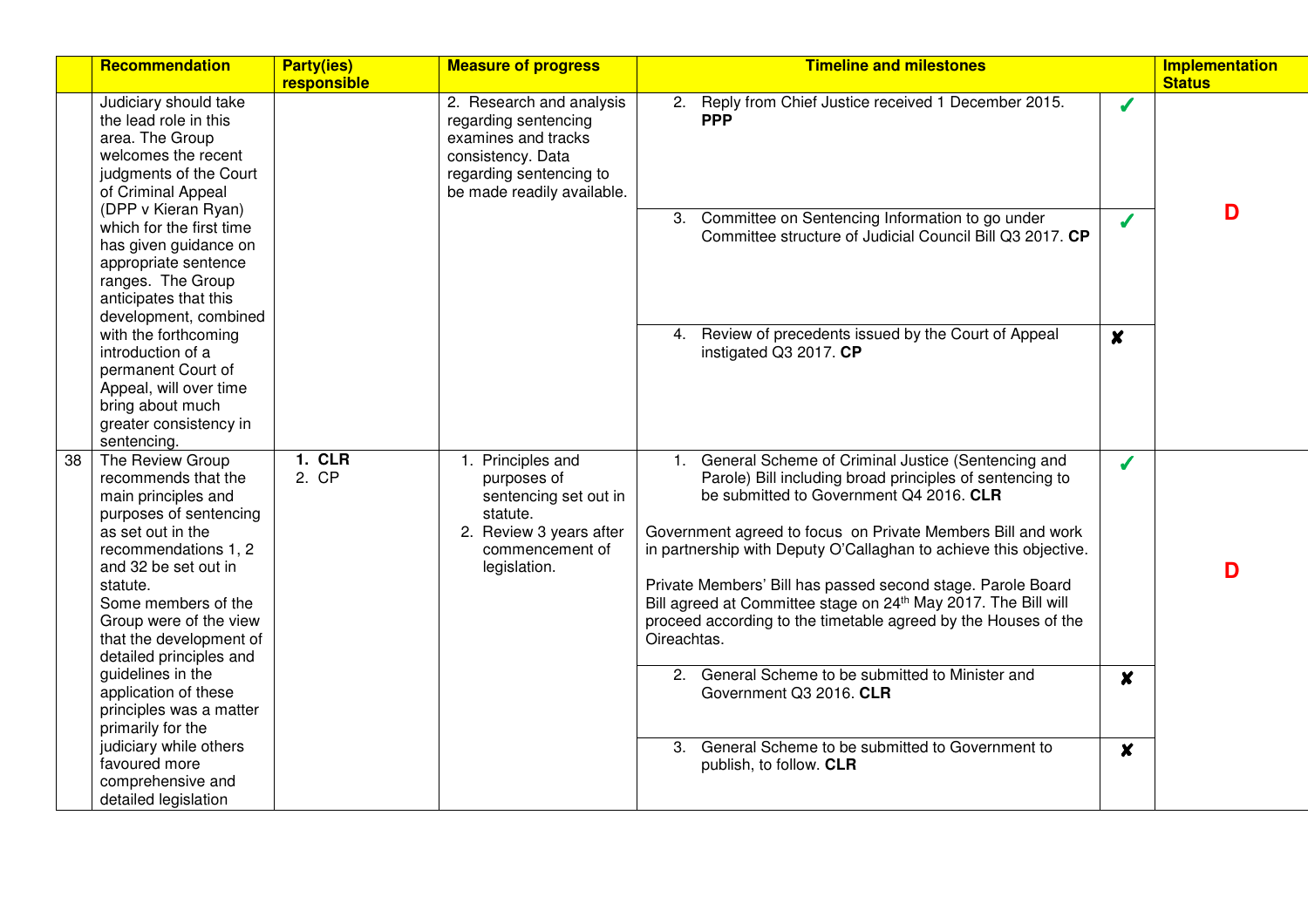|    | <b>Recommendation</b>                                                                                                                                                                                                                                                            | <b>Party(ies)</b><br>responsible | <b>Measure of progress</b>                                                                                                                            | <b>Timeline and milestones</b>                                                                                                                                                                                                                                                                                                                                                                                                                                                                                        |                  | <b>Implementation</b><br><b>Status</b> |
|----|----------------------------------------------------------------------------------------------------------------------------------------------------------------------------------------------------------------------------------------------------------------------------------|----------------------------------|-------------------------------------------------------------------------------------------------------------------------------------------------------|-----------------------------------------------------------------------------------------------------------------------------------------------------------------------------------------------------------------------------------------------------------------------------------------------------------------------------------------------------------------------------------------------------------------------------------------------------------------------------------------------------------------------|------------------|----------------------------------------|
|    | Judiciary should take<br>the lead role in this<br>area. The Group<br>welcomes the recent<br>judgments of the Court<br>of Criminal Appeal                                                                                                                                         |                                  | 2. Research and analysis<br>regarding sentencing<br>examines and tracks<br>consistency. Data<br>regarding sentencing to<br>be made readily available. | Reply from Chief Justice received 1 December 2015.<br>2.<br><b>PPP</b>                                                                                                                                                                                                                                                                                                                                                                                                                                                | J                |                                        |
|    | (DPP v Kieran Ryan)<br>which for the first time<br>has given guidance on<br>appropriate sentence<br>ranges. The Group<br>anticipates that this<br>development, combined                                                                                                          |                                  |                                                                                                                                                       | 3. Committee on Sentencing Information to go under<br>Committee structure of Judicial Council Bill Q3 2017. CP                                                                                                                                                                                                                                                                                                                                                                                                        | J                | D                                      |
|    | with the forthcoming<br>introduction of a<br>permanent Court of<br>Appeal, will over time<br>bring about much<br>greater consistency in<br>sentencing.                                                                                                                           |                                  |                                                                                                                                                       | Review of precedents issued by the Court of Appeal<br>4.<br>instigated Q3 2017. CP                                                                                                                                                                                                                                                                                                                                                                                                                                    | $\boldsymbol{x}$ |                                        |
| 38 | The Review Group<br>recommends that the<br>main principles and<br>purposes of sentencing<br>as set out in the<br>recommendations 1, 2<br>and 32 be set out in<br>statute.<br>Some members of the<br>Group were of the view<br>that the development of<br>detailed principles and | <b>1. CLR</b><br>2. CP           | 1. Principles and<br>purposes of<br>sentencing set out in<br>statute.<br>2. Review 3 years after<br>commencement of<br>legislation.                   | General Scheme of Criminal Justice (Sentencing and<br>1.<br>Parole) Bill including broad principles of sentencing to<br>be submitted to Government Q4 2016. CLR<br>Government agreed to focus on Private Members Bill and work<br>in partnership with Deputy O'Callaghan to achieve this objective.<br>Private Members' Bill has passed second stage. Parole Board<br>Bill agreed at Committee stage on 24th May 2017. The Bill will<br>proceed according to the timetable agreed by the Houses of the<br>Oireachtas. | J                | D                                      |
|    | guidelines in the<br>application of these<br>principles was a matter<br>primarily for the                                                                                                                                                                                        |                                  |                                                                                                                                                       | General Scheme to be submitted to Minister and<br>2.<br>Government Q3 2016. CLR                                                                                                                                                                                                                                                                                                                                                                                                                                       | $\boldsymbol{x}$ |                                        |
|    | judiciary while others<br>favoured more<br>comprehensive and<br>detailed legislation                                                                                                                                                                                             |                                  |                                                                                                                                                       | General Scheme to be submitted to Government to<br>3.<br>publish, to follow. CLR                                                                                                                                                                                                                                                                                                                                                                                                                                      | $\boldsymbol{x}$ |                                        |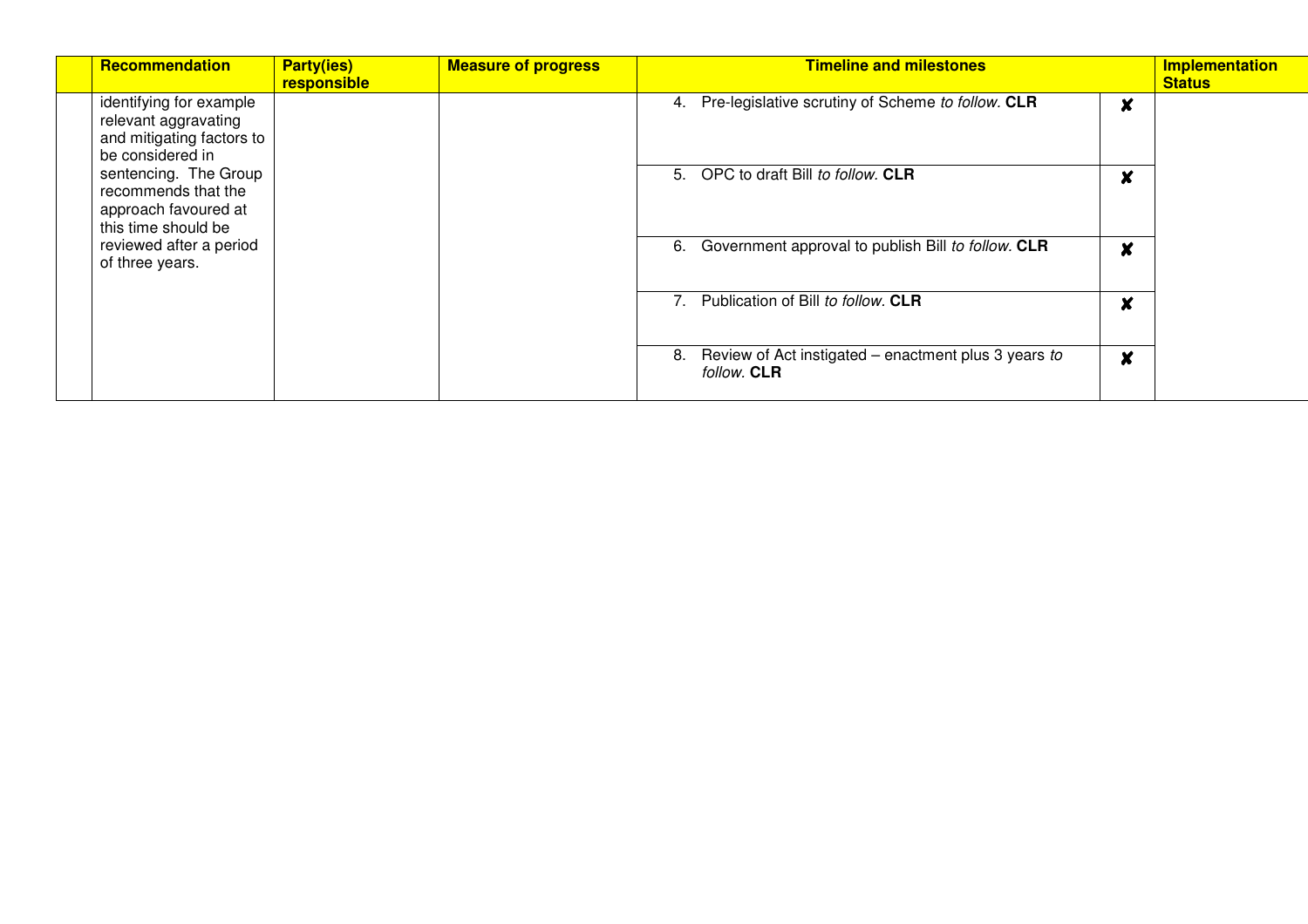| Recommendation                                                                                   | <b>Party(ies)</b><br>responsible | <b>Measure of progress</b> | <b>Timeline and milestones</b>                                                       | <b>Implementation</b><br><b>Status</b> |
|--------------------------------------------------------------------------------------------------|----------------------------------|----------------------------|--------------------------------------------------------------------------------------|----------------------------------------|
| identifying for example<br>relevant aggravating<br>and mitigating factors to<br>be considered in |                                  |                            | Pre-legislative scrutiny of Scheme to follow. CLR<br>4.<br>$\boldsymbol{\mathsf{x}}$ |                                        |
| sentencing. The Group<br>recommends that the<br>approach favoured at<br>this time should be      |                                  |                            | OPC to draft Bill to follow. CLR<br>5.<br>v                                          |                                        |
| reviewed after a period<br>of three years.                                                       |                                  |                            | Government approval to publish Bill to follow. CLR<br>6.<br>X                        |                                        |
|                                                                                                  |                                  |                            | Publication of Bill to follow. CLR<br>M<br>4.                                        |                                        |
|                                                                                                  |                                  |                            | Review of Act instigated – enactment plus 3 years to<br>8.<br>X<br>follow. CLR       |                                        |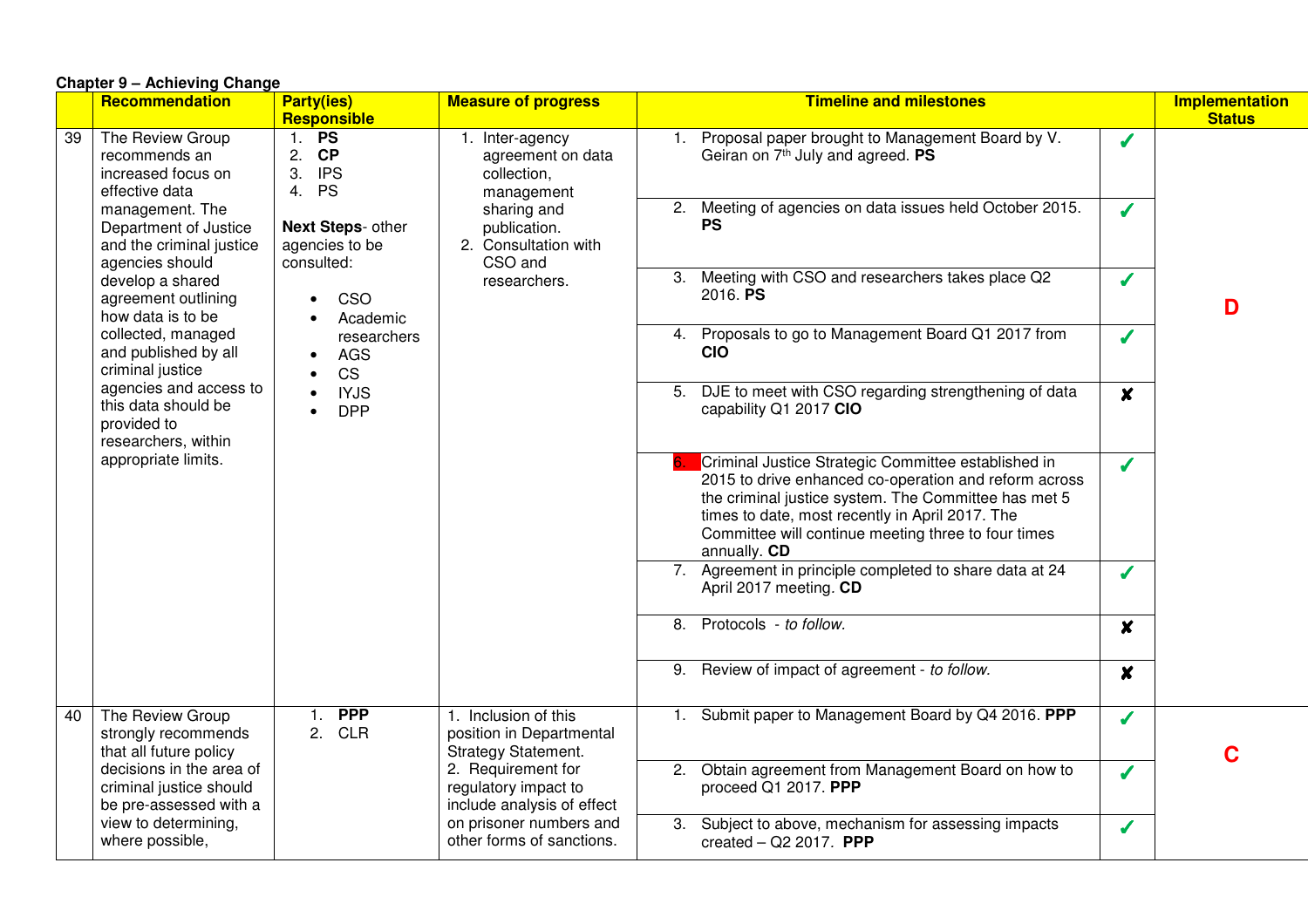|    | Chapter 9 – Achieving Change                                                                                                                                                                                          |                                                            |                                                                                                       |                                                                                                                                                                                                                                                                                                     |                                        |
|----|-----------------------------------------------------------------------------------------------------------------------------------------------------------------------------------------------------------------------|------------------------------------------------------------|-------------------------------------------------------------------------------------------------------|-----------------------------------------------------------------------------------------------------------------------------------------------------------------------------------------------------------------------------------------------------------------------------------------------------|----------------------------------------|
|    | Recommendation                                                                                                                                                                                                        | <b>Party(ies)</b><br>Responsible                           | <b>Measure of progress</b>                                                                            | <b>Timeline and milestones</b>                                                                                                                                                                                                                                                                      | <b>Implementation</b><br><b>Status</b> |
| 39 | The Review Group<br>recommends an<br>increased focus on                                                                                                                                                               | 1. PS<br>2. CP<br>3. IPS                                   | 1. Inter-agency<br>agreement on data<br>collection,                                                   | Proposal paper brought to Management Board by V.<br>$\mathbf{1}$ .<br>Í<br>Geiran on 7 <sup>th</sup> July and agreed. PS                                                                                                                                                                            |                                        |
|    | effective data<br>management. The<br>Department of Justice<br>and the criminal justice<br>agencies should                                                                                                             | 4. PS<br>Next Steps- other<br>agencies to be<br>consulted: | management<br>sharing and<br>publication.<br>2. Consultation with<br>CSO and                          | 2. Meeting of agencies on data issues held October 2015.<br>J<br><b>PS</b>                                                                                                                                                                                                                          |                                        |
|    | develop a shared<br>agreement outlining<br>how data is to be                                                                                                                                                          | CSO<br>Academic                                            | researchers.                                                                                          | 3. Meeting with CSO and researchers takes place Q2<br>Í<br>2016. PS                                                                                                                                                                                                                                 | D                                      |
|    | collected, managed<br>researchers<br>and published by all<br>AGS<br>criminal justice<br><b>CS</b><br>agencies and access to<br><b>IYJS</b><br>this data should be<br><b>DPP</b><br>provided to<br>researchers, within |                                                            |                                                                                                       | Proposals to go to Management Board Q1 2017 from<br>4.<br>Í<br><b>CIO</b>                                                                                                                                                                                                                           |                                        |
|    |                                                                                                                                                                                                                       |                                                            | 5. DJE to meet with CSO regarding strengthening of data<br>$\boldsymbol{x}$<br>capability Q1 2017 CIO |                                                                                                                                                                                                                                                                                                     |                                        |
|    | appropriate limits.                                                                                                                                                                                                   |                                                            |                                                                                                       | Criminal Justice Strategic Committee established in<br>J<br>2015 to drive enhanced co-operation and reform across<br>the criminal justice system. The Committee has met 5<br>times to date, most recently in April 2017. The<br>Committee will continue meeting three to four times<br>annually. CD |                                        |
|    |                                                                                                                                                                                                                       |                                                            |                                                                                                       | 7. Agreement in principle completed to share data at 24<br>J<br>April 2017 meeting. CD                                                                                                                                                                                                              |                                        |
|    |                                                                                                                                                                                                                       |                                                            |                                                                                                       | 8. Protocols - to follow.<br>$\boldsymbol{x}$                                                                                                                                                                                                                                                       |                                        |
|    |                                                                                                                                                                                                                       |                                                            |                                                                                                       | 9. Review of impact of agreement - to follow.<br>$\boldsymbol{x}$                                                                                                                                                                                                                                   |                                        |
| 40 | The Review Group<br>strongly recommends<br>that all future policy                                                                                                                                                     | <b>PPP</b><br>1.<br>2.<br><b>CLR</b>                       | 1. Inclusion of this<br>position in Departmental<br><b>Strategy Statement.</b>                        | 1. Submit paper to Management Board by Q4 2016. PPP<br>✔                                                                                                                                                                                                                                            | C                                      |
|    | decisions in the area of<br>criminal justice should<br>be pre-assessed with a                                                                                                                                         |                                                            | 2. Requirement for<br>regulatory impact to<br>include analysis of effect                              | 2. Obtain agreement from Management Board on how to<br>Í<br>proceed Q1 2017. PPP                                                                                                                                                                                                                    |                                        |
|    | view to determining,<br>where possible,                                                                                                                                                                               |                                                            | on prisoner numbers and<br>other forms of sanctions.                                                  | 3. Subject to above, mechanism for assessing impacts<br>Í<br>created $-$ Q2 2017. PPP                                                                                                                                                                                                               |                                        |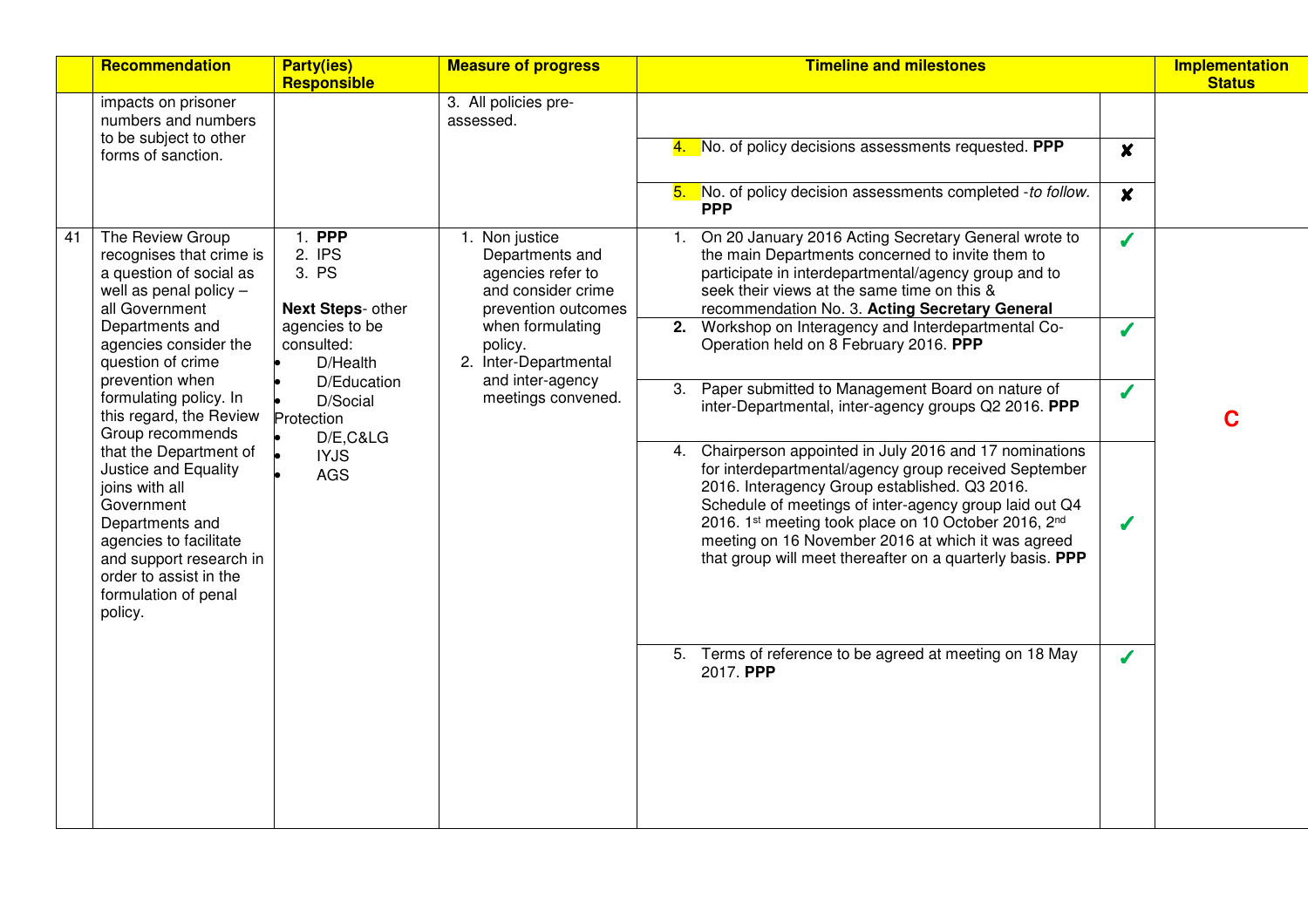|    | Recommendation                                                                                                                                                                                                                                                                                                                                                                                                                                                                                          | <b>Party(ies)</b><br>Responsible                                                                                                                                      | <b>Measure of progress</b>                                                                                                                                                                            | <b>Timeline and milestones</b>                                                                                                                                                                                                                                                                                                                                                                                                                                                                                                                                                                                                                                                                                                                                                                                                                                                                                                                                                                                      | <b>Implementation</b><br><b>Status</b> |
|----|---------------------------------------------------------------------------------------------------------------------------------------------------------------------------------------------------------------------------------------------------------------------------------------------------------------------------------------------------------------------------------------------------------------------------------------------------------------------------------------------------------|-----------------------------------------------------------------------------------------------------------------------------------------------------------------------|-------------------------------------------------------------------------------------------------------------------------------------------------------------------------------------------------------|---------------------------------------------------------------------------------------------------------------------------------------------------------------------------------------------------------------------------------------------------------------------------------------------------------------------------------------------------------------------------------------------------------------------------------------------------------------------------------------------------------------------------------------------------------------------------------------------------------------------------------------------------------------------------------------------------------------------------------------------------------------------------------------------------------------------------------------------------------------------------------------------------------------------------------------------------------------------------------------------------------------------|----------------------------------------|
|    | impacts on prisoner<br>numbers and numbers<br>to be subject to other<br>forms of sanction.                                                                                                                                                                                                                                                                                                                                                                                                              |                                                                                                                                                                       | 3. All policies pre-<br>assessed.                                                                                                                                                                     | 4. No. of policy decisions assessments requested. PPP<br>$\boldsymbol{x}$<br>No. of policy decision assessments completed -to follow.<br>5.<br>$\boldsymbol{x}$<br><b>PPP</b>                                                                                                                                                                                                                                                                                                                                                                                                                                                                                                                                                                                                                                                                                                                                                                                                                                       |                                        |
| 41 | The Review Group<br>recognises that crime is<br>a question of social as<br>well as penal policy -<br>all Government<br>Departments and<br>agencies consider the<br>question of crime<br>prevention when<br>formulating policy. In<br>this regard, the Review<br>Group recommends<br>that the Department of<br>Justice and Equality<br>joins with all<br>Government<br>Departments and<br>agencies to facilitate<br>and support research in<br>order to assist in the<br>formulation of penal<br>policy. | 1. PPP<br>2. IPS<br>3. PS<br>Next Steps- other<br>agencies to be<br>consulted:<br>D/Health<br>D/Education<br>D/Social<br>Protection<br>D/E,C&LG<br><b>IYJS</b><br>AGS | 1. Non justice<br>Departments and<br>agencies refer to<br>and consider crime<br>prevention outcomes<br>when formulating<br>policy.<br>2. Inter-Departmental<br>and inter-agency<br>meetings convened. | On 20 January 2016 Acting Secretary General wrote to<br>$\mathbf{1}$ .<br>Í<br>the main Departments concerned to invite them to<br>participate in interdepartmental/agency group and to<br>seek their views at the same time on this &<br>recommendation No. 3. Acting Secretary General<br>2. Workshop on Interagency and Interdepartmental Co-<br>J<br>Operation held on 8 February 2016. PPP<br>3. Paper submitted to Management Board on nature of<br>Í<br>inter-Departmental, inter-agency groups Q2 2016. PPP<br>Chairperson appointed in July 2016 and 17 nominations<br>4.<br>for interdepartmental/agency group received September<br>2016. Interagency Group established. Q3 2016.<br>Schedule of meetings of inter-agency group laid out Q4<br>2016. 1st meeting took place on 10 October 2016, 2nd<br>J<br>meeting on 16 November 2016 at which it was agreed<br>that group will meet thereafter on a quarterly basis. PPP<br>5. Terms of reference to be agreed at meeting on 18 May<br>J<br>2017. PPP | C                                      |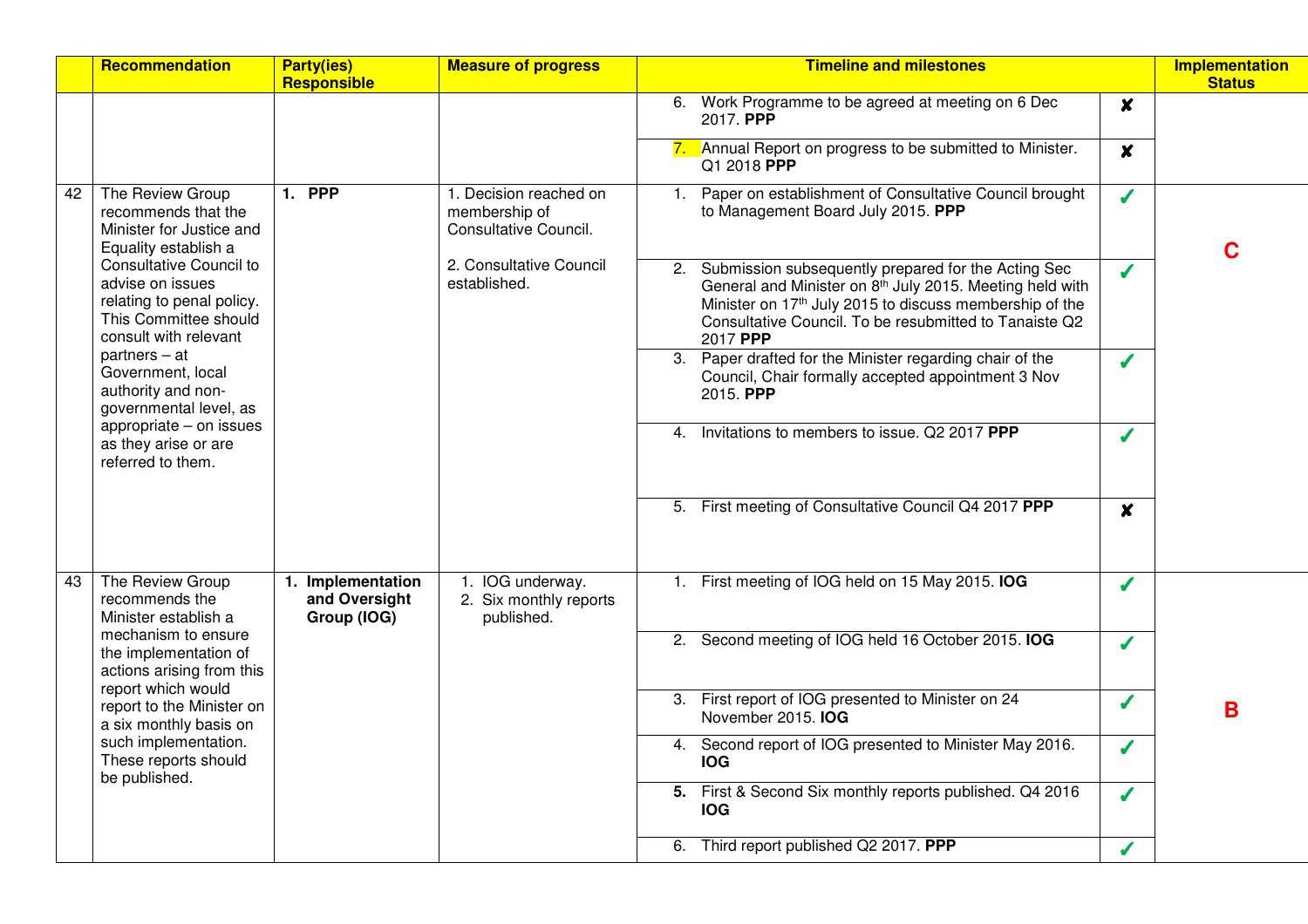|    | <b>Recommendation</b>                                                                                                             | <b>Party(ies)</b><br><b>Responsible</b>           | <b>Measure of progress</b>                                       | <b>Timeline and milestones</b>                                                                                                                                                                                                                              | <b>Implementation</b><br><b>Status</b> |
|----|-----------------------------------------------------------------------------------------------------------------------------------|---------------------------------------------------|------------------------------------------------------------------|-------------------------------------------------------------------------------------------------------------------------------------------------------------------------------------------------------------------------------------------------------------|----------------------------------------|
|    |                                                                                                                                   |                                                   |                                                                  | 6. Work Programme to be agreed at meeting on 6 Dec<br>$\boldsymbol{x}$<br>2017. PPP                                                                                                                                                                         |                                        |
|    |                                                                                                                                   |                                                   |                                                                  | 7. Annual Report on progress to be submitted to Minister.<br>$\boldsymbol{x}$<br>Q1 2018 PPP                                                                                                                                                                |                                        |
| 42 | The Review Group<br>recommends that the<br>Minister for Justice and<br>Equality establish a                                       | <b>1. PPP</b>                                     | 1. Decision reached on<br>membership of<br>Consultative Council. | Paper on establishment of Consultative Council brought<br>1.<br>Í<br>to Management Board July 2015. PPP                                                                                                                                                     | C                                      |
|    | <b>Consultative Council to</b><br>advise on issues<br>relating to penal policy.<br>This Committee should<br>consult with relevant |                                                   | 2. Consultative Council<br>established.                          | Submission subsequently prepared for the Acting Sec<br>2.<br>J<br>General and Minister on 8th July 2015. Meeting held with<br>Minister on 17th July 2015 to discuss membership of the<br>Consultative Council. To be resubmitted to Tanaiste Q2<br>2017 PPP |                                        |
|    | $partners - at$<br>Government, local<br>authority and non-<br>governmental level, as                                              |                                                   |                                                                  | 3. Paper drafted for the Minister regarding chair of the<br>J<br>Council, Chair formally accepted appointment 3 Nov<br>2015. PPP                                                                                                                            |                                        |
|    | appropriate - on issues<br>as they arise or are<br>referred to them.                                                              |                                                   |                                                                  | Invitations to members to issue. Q2 2017 PPP<br>4.<br>Í                                                                                                                                                                                                     |                                        |
|    |                                                                                                                                   |                                                   |                                                                  | 5. First meeting of Consultative Council Q4 2017 PPP<br>$\boldsymbol{x}$                                                                                                                                                                                    |                                        |
| 43 | The Review Group<br>recommends the<br>Minister establish a                                                                        | 1. Implementation<br>and Oversight<br>Group (IOG) | 1. IOG underway.<br>2. Six monthly reports<br>published.         | 1. First meeting of IOG held on 15 May 2015. IOG<br>Í                                                                                                                                                                                                       |                                        |
|    | mechanism to ensure<br>the implementation of<br>actions arising from this                                                         |                                                   |                                                                  | 2. Second meeting of IOG held 16 October 2015. IOG<br>J                                                                                                                                                                                                     |                                        |
|    | report which would<br>report to the Minister on<br>a six monthly basis on                                                         |                                                   |                                                                  | First report of IOG presented to Minister on 24<br>3.<br>J<br>November 2015. IOG                                                                                                                                                                            | B                                      |
|    | such implementation.<br>These reports should<br>be published.                                                                     |                                                   |                                                                  | Second report of IOG presented to Minister May 2016.<br>4.<br>s<br><b>IOG</b>                                                                                                                                                                               |                                        |
|    |                                                                                                                                   |                                                   |                                                                  | 5. First & Second Six monthly reports published. Q4 2016<br>J<br><b>IOG</b>                                                                                                                                                                                 |                                        |
|    |                                                                                                                                   |                                                   |                                                                  | 6. Third report published Q2 2017. PPP<br>Í                                                                                                                                                                                                                 |                                        |